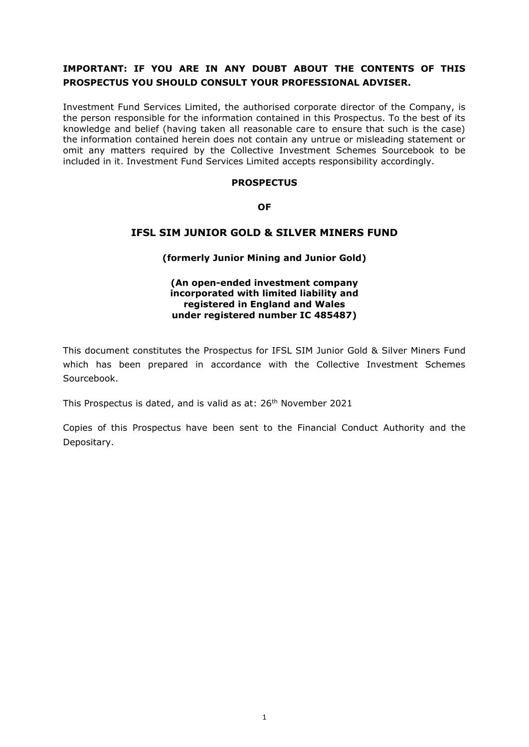# **IMPORTANT: IF YOU ARE IN ANY DOUBT ABOUT THE CONTENTS OF THIS PROSPECTUS YOU SHOULD CONSULT YOUR PROFESSIONAL ADVISER.**

Investment Fund Services Limited, the authorised corporate director of the Company, is the person responsible for the information contained in this Prospectus. To the best of its knowledge and belief (having taken all reasonable care to ensure that such is the case) the information contained herein does not contain any untrue or misleading statement or omit any matters required by the Collective Investment Schemes Sourcebook to be included in it. Investment Fund Services Limited accepts responsibility accordingly.

#### **PROSPECTUS**

**OF**

# **IFSL SIM JUNIOR GOLD & SILVER MINERS FUND**

## **(formerly Junior Mining and Junior Gold)**

#### **(An open-ended investment company incorporated with limited liability and registered in England and Wales under registered number IC 485487)**

This document constitutes the Prospectus for IFSL SIM Junior Gold & Silver Miners Fund which has been prepared in accordance with the Collective Investment Schemes Sourcebook.

This Prospectus is dated, and is valid as at: 26<sup>th</sup> November 2021

Copies of this Prospectus have been sent to the Financial Conduct Authority and the Depositary.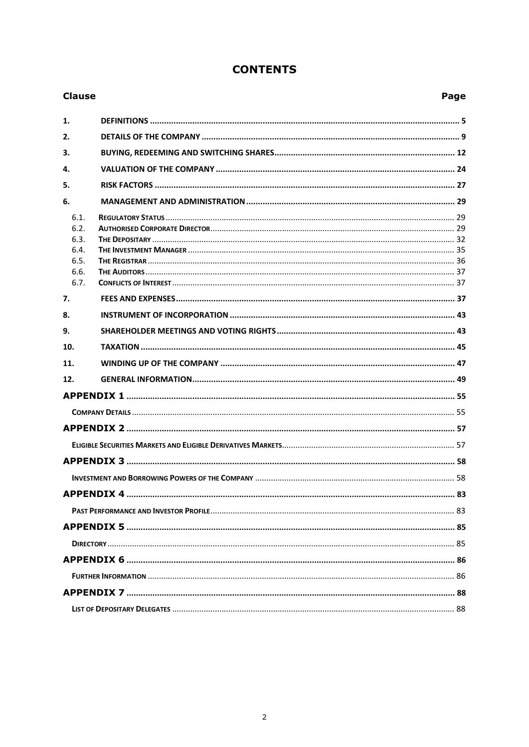|  | <b>CONTENTS</b> |
|--|-----------------|
|--|-----------------|

| <b>Clause</b>                                |  | Page |
|----------------------------------------------|--|------|
| 1.                                           |  |      |
| 2.                                           |  |      |
| 3.                                           |  |      |
| 4.                                           |  |      |
| 5.                                           |  |      |
| 6.                                           |  |      |
| 6.1.<br>6.2.<br>6.3.<br>6.4.<br>6.5.<br>6.6. |  |      |
| 6.7.                                         |  |      |
| 7.                                           |  |      |
| 8.<br>9.                                     |  |      |
| 10.                                          |  |      |
| 11.                                          |  |      |
| 12.                                          |  |      |
|                                              |  |      |
|                                              |  |      |
|                                              |  |      |
|                                              |  |      |
|                                              |  |      |
|                                              |  |      |
|                                              |  |      |
|                                              |  |      |
|                                              |  |      |
|                                              |  |      |
|                                              |  |      |
|                                              |  |      |
|                                              |  |      |
|                                              |  |      |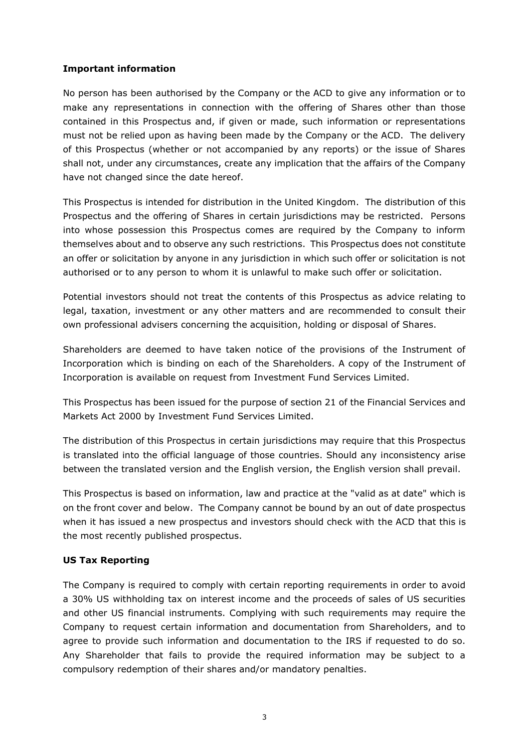## **Important information**

No person has been authorised by the Company or the ACD to give any information or to make any representations in connection with the offering of Shares other than those contained in this Prospectus and, if given or made, such information or representations must not be relied upon as having been made by the Company or the ACD. The delivery of this Prospectus (whether or not accompanied by any reports) or the issue of Shares shall not, under any circumstances, create any implication that the affairs of the Company have not changed since the date hereof.

This Prospectus is intended for distribution in the United Kingdom. The distribution of this Prospectus and the offering of Shares in certain jurisdictions may be restricted. Persons into whose possession this Prospectus comes are required by the Company to inform themselves about and to observe any such restrictions. This Prospectus does not constitute an offer or solicitation by anyone in any jurisdiction in which such offer or solicitation is not authorised or to any person to whom it is unlawful to make such offer or solicitation.

Potential investors should not treat the contents of this Prospectus as advice relating to legal, taxation, investment or any other matters and are recommended to consult their own professional advisers concerning the acquisition, holding or disposal of Shares.

Shareholders are deemed to have taken notice of the provisions of the Instrument of Incorporation which is binding on each of the Shareholders. A copy of the Instrument of Incorporation is available on request from Investment Fund Services Limited.

This Prospectus has been issued for the purpose of section 21 of the Financial Services and Markets Act 2000 by Investment Fund Services Limited.

The distribution of this Prospectus in certain jurisdictions may require that this Prospectus is translated into the official language of those countries. Should any inconsistency arise between the translated version and the English version, the English version shall prevail.

This Prospectus is based on information, law and practice at the "valid as at date" which is on the front cover and below. The Company cannot be bound by an out of date prospectus when it has issued a new prospectus and investors should check with the ACD that this is the most recently published prospectus.

# **US Tax Reporting**

The Company is required to comply with certain reporting requirements in order to avoid a 30% US withholding tax on interest income and the proceeds of sales of US securities and other US financial instruments. Complying with such requirements may require the Company to request certain information and documentation from Shareholders, and to agree to provide such information and documentation to the IRS if requested to do so. Any Shareholder that fails to provide the required information may be subject to a compulsory redemption of their shares and/or mandatory penalties.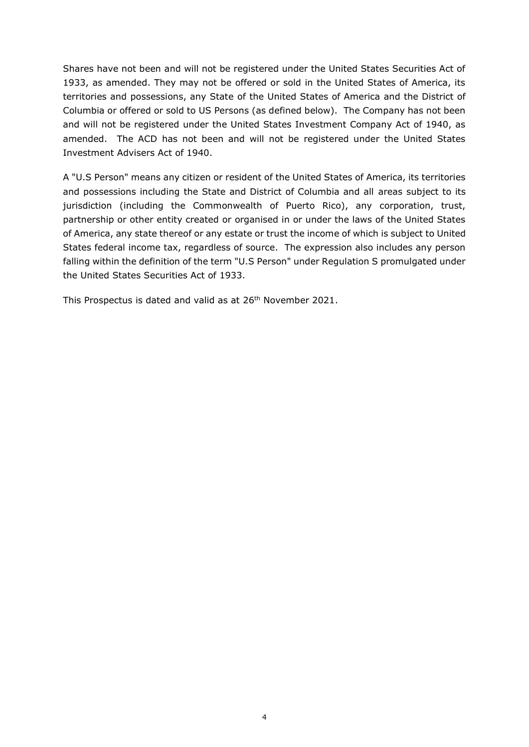Shares have not been and will not be registered under the United States Securities Act of 1933, as amended. They may not be offered or sold in the United States of America, its territories and possessions, any State of the United States of America and the District of Columbia or offered or sold to US Persons (as defined below). The Company has not been and will not be registered under the United States Investment Company Act of 1940, as amended. The ACD has not been and will not be registered under the United States Investment Advisers Act of 1940.

A "U.S Person" means any citizen or resident of the United States of America, its territories and possessions including the State and District of Columbia and all areas subject to its jurisdiction (including the Commonwealth of Puerto Rico), any corporation, trust, partnership or other entity created or organised in or under the laws of the United States of America, any state thereof or any estate or trust the income of which is subject to United States federal income tax, regardless of source. The expression also includes any person falling within the definition of the term "U.S Person" under Regulation S promulgated under the United States Securities Act of 1933.

This Prospectus is dated and valid as at 26<sup>th</sup> November 2021.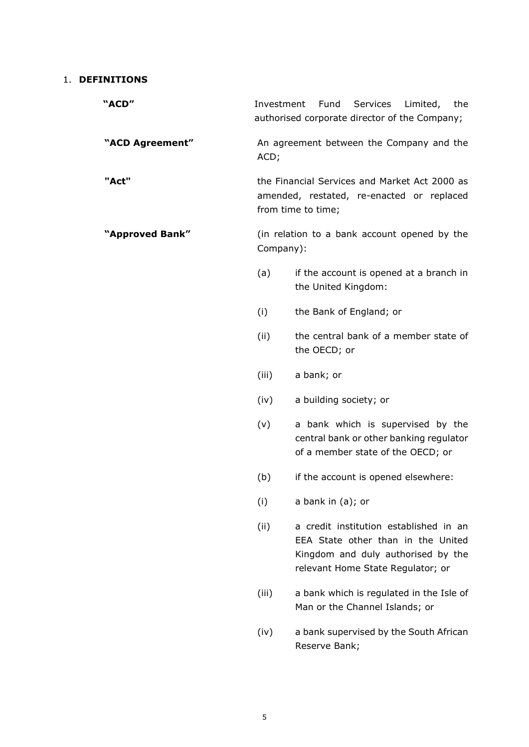## <span id="page-4-0"></span>1. **DEFINITIONS**

| "ACD"           | Investment | Services<br>Fund<br>Limited,<br>the<br>authorised corporate director of the Company;                                                                    |
|-----------------|------------|---------------------------------------------------------------------------------------------------------------------------------------------------------|
| "ACD Agreement" | ACD;       | An agreement between the Company and the                                                                                                                |
| "Act"           |            | the Financial Services and Market Act 2000 as<br>amended, restated, re-enacted or replaced<br>from time to time;                                        |
| "Approved Bank" | Company):  | (in relation to a bank account opened by the                                                                                                            |
|                 | (a)        | if the account is opened at a branch in<br>the United Kingdom:                                                                                          |
|                 | (i)        | the Bank of England; or                                                                                                                                 |
|                 | (ii)       | the central bank of a member state of<br>the OECD; or                                                                                                   |
|                 | (iii)      | a bank; or                                                                                                                                              |
|                 | (iv)       | a building society; or                                                                                                                                  |
|                 | (v)        | a bank which is supervised by the<br>central bank or other banking regulator<br>of a member state of the OECD; or                                       |
|                 | (b)        | if the account is opened elsewhere:                                                                                                                     |
|                 | (i)        | a bank in (a); or                                                                                                                                       |
|                 | (ii)       | a credit institution established in an<br>EEA State other than in the United<br>Kingdom and duly authorised by the<br>relevant Home State Regulator; or |
|                 | (iii)      | a bank which is regulated in the Isle of<br>Man or the Channel Islands; or                                                                              |
|                 | (iv)       | a bank supervised by the South African<br>Reserve Bank;                                                                                                 |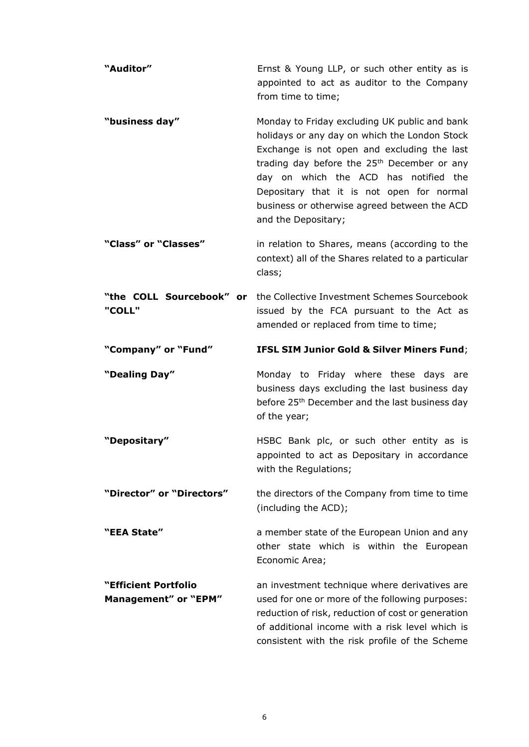| "Auditor"                          | Ernst & Young LLP, or such other entity as is<br>appointed to act as auditor to the Company<br>from time to time;                                                                                                                                                                                                                                                     |
|------------------------------------|-----------------------------------------------------------------------------------------------------------------------------------------------------------------------------------------------------------------------------------------------------------------------------------------------------------------------------------------------------------------------|
| "business day"                     | Monday to Friday excluding UK public and bank<br>holidays or any day on which the London Stock<br>Exchange is not open and excluding the last<br>trading day before the 25 <sup>th</sup> December or any<br>day on which the ACD has notified the<br>Depositary that it is not open for normal<br>business or otherwise agreed between the ACD<br>and the Depositary; |
| "Class" or "Classes"               | in relation to Shares, means (according to the<br>context) all of the Shares related to a particular<br>class;                                                                                                                                                                                                                                                        |
| "the COLL Sourcebook" or<br>"COLL" | the Collective Investment Schemes Sourcebook<br>issued by the FCA pursuant to the Act as<br>amended or replaced from time to time;                                                                                                                                                                                                                                    |
| "Company" or "Fund"                | <b>IFSL SIM Junior Gold &amp; Silver Miners Fund;</b>                                                                                                                                                                                                                                                                                                                 |
|                                    |                                                                                                                                                                                                                                                                                                                                                                       |
| "Dealing Day"                      | Monday to Friday where these days are<br>business days excluding the last business day<br>before 25 <sup>th</sup> December and the last business day<br>of the year;                                                                                                                                                                                                  |
| "Depositary"                       | HSBC Bank plc, or such other entity as is<br>appointed to act as Depositary in accordance<br>with the Regulations;                                                                                                                                                                                                                                                    |
| "Director" or "Directors"          | the directors of the Company from time to time<br>(including the ACD);                                                                                                                                                                                                                                                                                                |
| "EEA State"                        | a member state of the European Union and any<br>other state which is within the European<br>Economic Area;                                                                                                                                                                                                                                                            |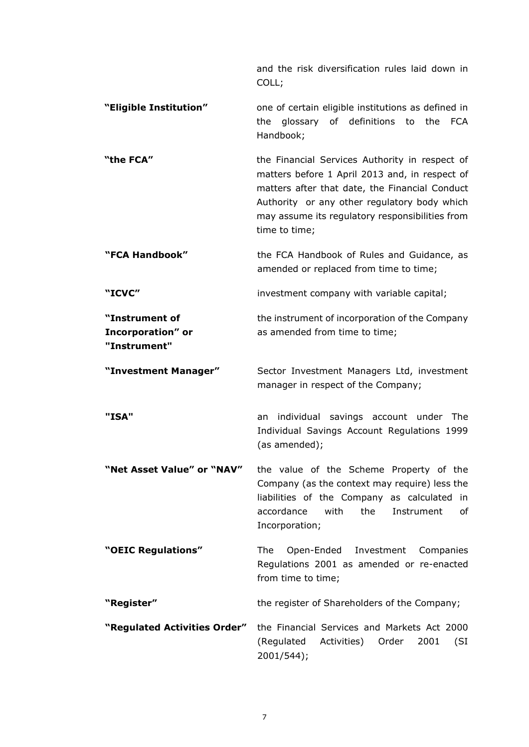and the risk diversification rules laid down in COLL; **"Eligible Institution"** one of certain eligible institutions as defined in the glossary of definitions to the FCA Handbook; **"the FCA"** the Financial Services Authority in respect of matters before 1 April 2013 and, in respect of matters after that date, the Financial Conduct Authority or any other regulatory body which may assume its regulatory responsibilities from time to time; **"FCA Handbook"** the FCA Handbook of Rules and Guidance, as amended or replaced from time to time; **"ICVC"** investment company with variable capital; **"Instrument of Incorporation" or "Instrument"** the instrument of incorporation of the Company as amended from time to time; **"Investment Manager"** Sector Investment Managers Ltd, investment manager in respect of the Company; **"ISA"** an individual savings account under The Individual Savings Account Regulations 1999 (as amended); **"Net Asset Value" or "NAV"** the value of the Scheme Property of the Company (as the context may require) less the liabilities of the Company as calculated in accordance with the Instrument of Incorporation; **"OEIC Regulations"** The Open-Ended Investment Companies Regulations 2001 as amended or re-enacted from time to time; **"Register"** the register of Shareholders of the Company; **"Regulated Activities Order"** the Financial Services and Markets Act 2000 (Regulated Activities) Order 2001 (SI 2001/544);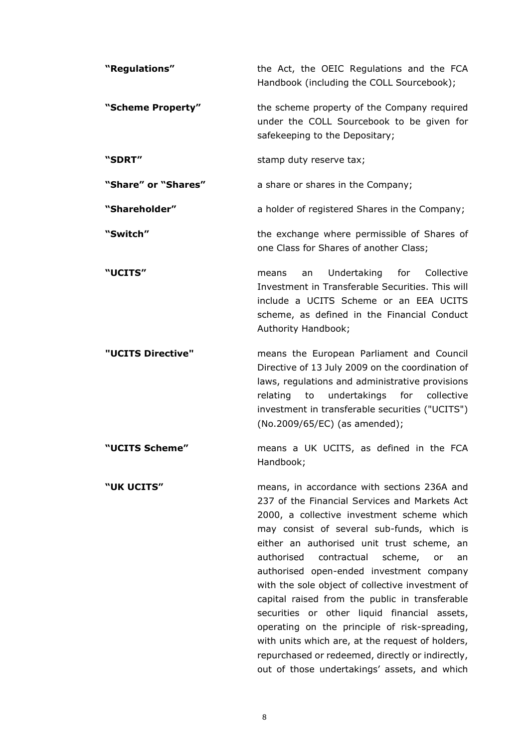| "Regulations"       | the Act, the OEIC Regulations and the FCA<br>Handbook (including the COLL Sourcebook);                                                                                                                                                                                                                                                                                                                                                       |
|---------------------|----------------------------------------------------------------------------------------------------------------------------------------------------------------------------------------------------------------------------------------------------------------------------------------------------------------------------------------------------------------------------------------------------------------------------------------------|
| "Scheme Property"   | the scheme property of the Company required<br>under the COLL Sourcebook to be given for<br>safekeeping to the Depositary;                                                                                                                                                                                                                                                                                                                   |
| "SDRT"              | stamp duty reserve tax;                                                                                                                                                                                                                                                                                                                                                                                                                      |
| "Share" or "Shares" | a share or shares in the Company;                                                                                                                                                                                                                                                                                                                                                                                                            |
| "Shareholder"       | a holder of registered Shares in the Company;                                                                                                                                                                                                                                                                                                                                                                                                |
| "Switch"            | the exchange where permissible of Shares of<br>one Class for Shares of another Class;                                                                                                                                                                                                                                                                                                                                                        |
| <b>"UCITS"</b>      | Undertaking for Collective<br>an<br>means<br>Investment in Transferable Securities. This will<br>include a UCITS Scheme or an EEA UCITS<br>scheme, as defined in the Financial Conduct<br>Authority Handbook;                                                                                                                                                                                                                                |
| "UCITS Directive"   | means the European Parliament and Council<br>Directive of 13 July 2009 on the coordination of<br>laws, regulations and administrative provisions<br>collective<br>relating<br>undertakings<br>for<br>to<br>investment in transferable securities ("UCITS")<br>(No.2009/65/EC) (as amended);                                                                                                                                                  |
| "UCITS Scheme"      | means a UK UCITS, as defined in the FCA<br>Handbook;                                                                                                                                                                                                                                                                                                                                                                                         |
| "UK UCITS"          | means, in accordance with sections 236A and<br>237 of the Financial Services and Markets Act<br>2000, a collective investment scheme which<br>may consist of several sub-funds, which is<br>either an authorised unit trust scheme, an<br>authorised<br>contractual<br>scheme,<br>or<br>an<br>authorised open-ended investment company<br>with the sole object of collective investment of<br>capital raised from the public in transferable |

securities or other liquid financial assets, operating on the principle of risk-spreading, with units which are, at the request of holders, repurchased or redeemed, directly or indirectly, out of those undertakings' assets, and which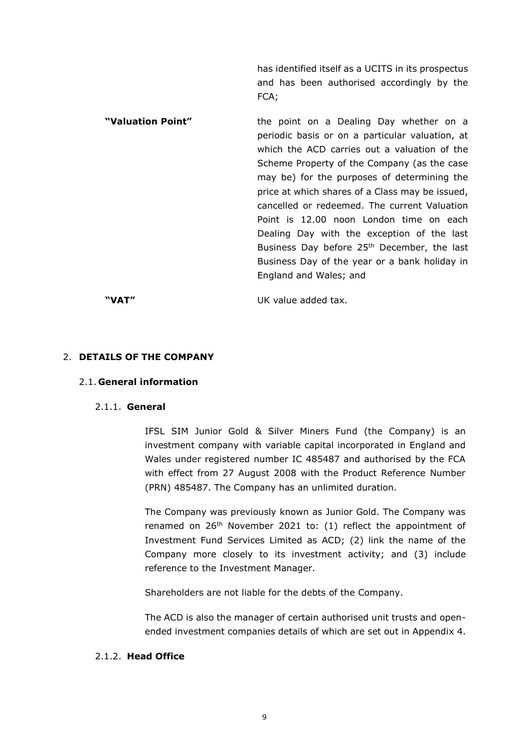has identified itself as a UCITS in its prospectus and has been authorised accordingly by the FCA;

**"Valuation Point"** the point on a Dealing Day whether on a periodic basis or on a particular valuation, at which the ACD carries out a valuation of the Scheme Property of the Company (as the case may be) for the purposes of determining the price at which shares of a Class may be issued, cancelled or redeemed. The current Valuation Point is 12.00 noon London time on each Dealing Day with the exception of the last Business Day before 25<sup>th</sup> December, the last Business Day of the year or a bank holiday in England and Wales; and

**"VAT"** UK value added tax.

#### <span id="page-8-0"></span>2. **DETAILS OF THE COMPANY**

#### 2.1. **General information**

#### 2.1.1. **General**

IFSL SIM Junior Gold & Silver Miners Fund (the Company) is an investment company with variable capital incorporated in England and Wales under registered number IC 485487 and authorised by the FCA with effect from 27 August 2008 with the Product Reference Number (PRN) 485487. The Company has an unlimited duration.

The Company was previously known as Junior Gold. The Company was renamed on  $26<sup>th</sup>$  November 2021 to: (1) reflect the appointment of Investment Fund Services Limited as ACD; (2) link the name of the Company more closely to its investment activity; and (3) include reference to the Investment Manager.

Shareholders are not liable for the debts of the Company.

The ACD is also the manager of certain authorised unit trusts and openended investment companies details of which are set out in Appendix 4.

## 2.1.2. **Head Office**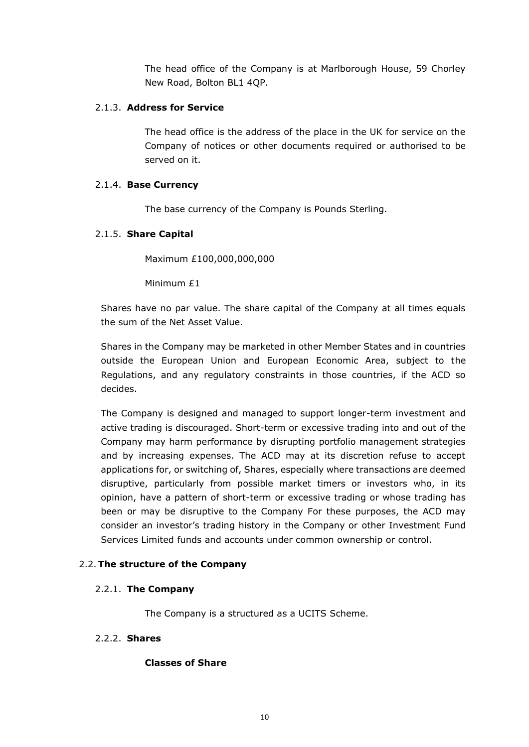The head office of the Company is at Marlborough House, 59 Chorley New Road, Bolton BL1 4QP.

## 2.1.3. **Address for Service**

The head office is the address of the place in the UK for service on the Company of notices or other documents required or authorised to be served on it.

# 2.1.4. **Base Currency**

The base currency of the Company is Pounds Sterling.

# 2.1.5. **Share Capital**

Maximum £100,000,000,000

Minimum £1

Shares have no par value. The share capital of the Company at all times equals the sum of the Net Asset Value.

Shares in the Company may be marketed in other Member States and in countries outside the European Union and European Economic Area, subject to the Regulations, and any regulatory constraints in those countries, if the ACD so decides.

The Company is designed and managed to support longer-term investment and active trading is discouraged. Short-term or excessive trading into and out of the Company may harm performance by disrupting portfolio management strategies and by increasing expenses. The ACD may at its discretion refuse to accept applications for, or switching of, Shares, especially where transactions are deemed disruptive, particularly from possible market timers or investors who, in its opinion, have a pattern of short-term or excessive trading or whose trading has been or may be disruptive to the Company For these purposes, the ACD may consider an investor's trading history in the Company or other Investment Fund Services Limited funds and accounts under common ownership or control.

## 2.2.**The structure of the Company**

## 2.2.1. **The Company**

The Company is a structured as a UCITS Scheme.

## 2.2.2. **Shares**

## **Classes of Share**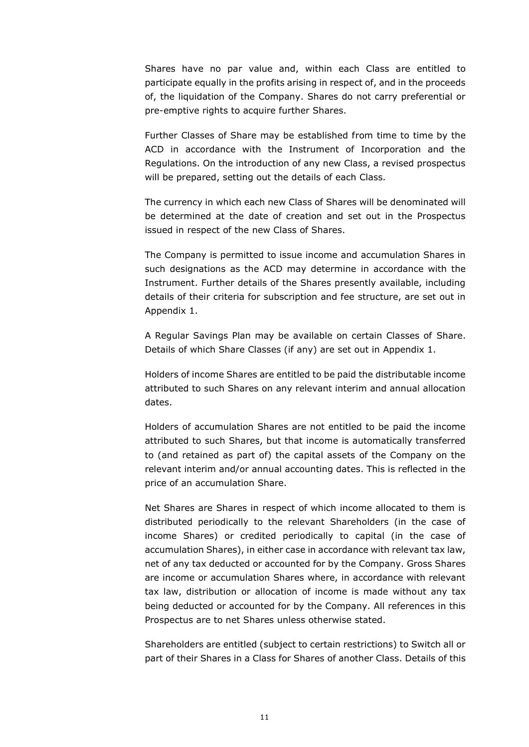Shares have no par value and, within each Class are entitled to participate equally in the profits arising in respect of, and in the proceeds of, the liquidation of the Company. Shares do not carry preferential or pre-emptive rights to acquire further Shares.

Further Classes of Share may be established from time to time by the ACD in accordance with the Instrument of Incorporation and the Regulations. On the introduction of any new Class, a revised prospectus will be prepared, setting out the details of each Class.

The currency in which each new Class of Shares will be denominated will be determined at the date of creation and set out in the Prospectus issued in respect of the new Class of Shares.

The Company is permitted to issue income and accumulation Shares in such designations as the ACD may determine in accordance with the Instrument. Further details of the Shares presently available, including details of their criteria for subscription and fee structure, are set out in Appendix 1.

A Regular Savings Plan may be available on certain Classes of Share. Details of which Share Classes (if any) are set out in Appendix 1.

Holders of income Shares are entitled to be paid the distributable income attributed to such Shares on any relevant interim and annual allocation dates.

Holders of accumulation Shares are not entitled to be paid the income attributed to such Shares, but that income is automatically transferred to (and retained as part of) the capital assets of the Company on the relevant interim and/or annual accounting dates. This is reflected in the price of an accumulation Share.

Net Shares are Shares in respect of which income allocated to them is distributed periodically to the relevant Shareholders (in the case of income Shares) or credited periodically to capital (in the case of accumulation Shares), in either case in accordance with relevant tax law, net of any tax deducted or accounted for by the Company. Gross Shares are income or accumulation Shares where, in accordance with relevant tax law, distribution or allocation of income is made without any tax being deducted or accounted for by the Company. All references in this Prospectus are to net Shares unless otherwise stated.

Shareholders are entitled (subject to certain restrictions) to Switch all or part of their Shares in a Class for Shares of another Class. Details of this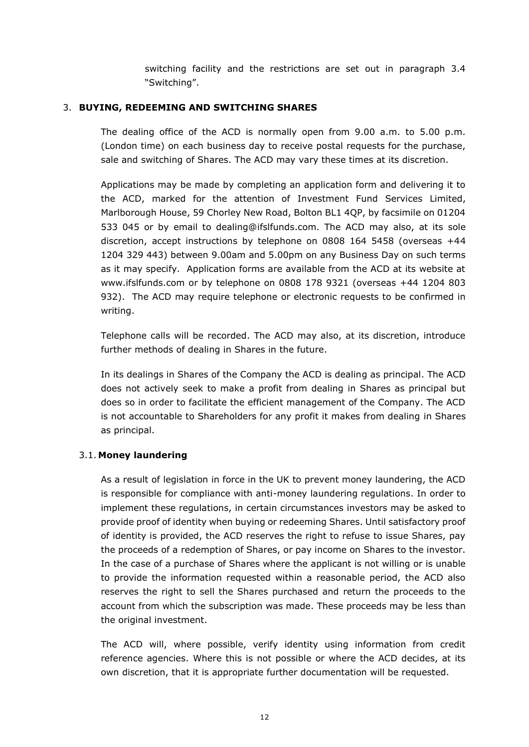switching facility and the restrictions are set out in paragraph 3.4 "Switching".

## <span id="page-11-0"></span>3. **BUYING, REDEEMING AND SWITCHING SHARES**

The dealing office of the ACD is normally open from 9.00 a.m. to 5.00 p.m. (London time) on each business day to receive postal requests for the purchase, sale and switching of Shares. The ACD may vary these times at its discretion.

Applications may be made by completing an application form and delivering it to the ACD, marked for the attention of Investment Fund Services Limited, Marlborough House, 59 Chorley New Road, Bolton BL1 4QP, by facsimile on 01204 533 045 or by email to dealing@ifslfunds.com. The ACD may also, at its sole discretion, accept instructions by telephone on 0808 164 5458 (overseas +44 1204 329 443) between 9.00am and 5.00pm on any Business Day on such terms as it may specify. Application forms are available from the ACD at its website at www.ifslfunds.com or by telephone on 0808 178 9321 (overseas +44 1204 803 932). The ACD may require telephone or electronic requests to be confirmed in writing.

Telephone calls will be recorded. The ACD may also, at its discretion, introduce further methods of dealing in Shares in the future.

In its dealings in Shares of the Company the ACD is dealing as principal. The ACD does not actively seek to make a profit from dealing in Shares as principal but does so in order to facilitate the efficient management of the Company. The ACD is not accountable to Shareholders for any profit it makes from dealing in Shares as principal.

# 3.1. **Money laundering**

As a result of legislation in force in the UK to prevent money laundering, the ACD is responsible for compliance with anti-money laundering regulations. In order to implement these regulations, in certain circumstances investors may be asked to provide proof of identity when buying or redeeming Shares. Until satisfactory proof of identity is provided, the ACD reserves the right to refuse to issue Shares, pay the proceeds of a redemption of Shares, or pay income on Shares to the investor. In the case of a purchase of Shares where the applicant is not willing or is unable to provide the information requested within a reasonable period, the ACD also reserves the right to sell the Shares purchased and return the proceeds to the account from which the subscription was made. These proceeds may be less than the original investment.

The ACD will, where possible, verify identity using information from credit reference agencies. Where this is not possible or where the ACD decides, at its own discretion, that it is appropriate further documentation will be requested.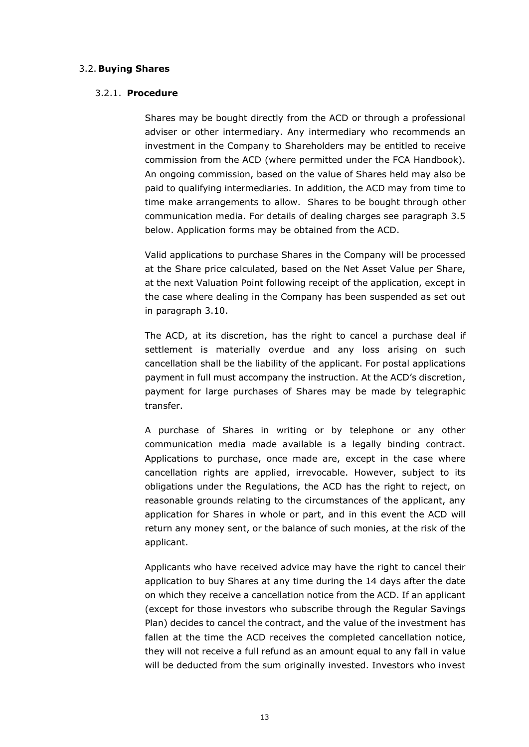#### 3.2. **Buying Shares**

#### 3.2.1. **Procedure**

Shares may be bought directly from the ACD or through a professional adviser or other intermediary. Any intermediary who recommends an investment in the Company to Shareholders may be entitled to receive commission from the ACD (where permitted under the FCA Handbook). An ongoing commission, based on the value of Shares held may also be paid to qualifying intermediaries. In addition, the ACD may from time to time make arrangements to allow. Shares to be bought through other communication media. For details of dealing charges see paragraph 3.5 below. Application forms may be obtained from the ACD.

Valid applications to purchase Shares in the Company will be processed at the Share price calculated, based on the Net Asset Value per Share, at the next Valuation Point following receipt of the application, except in the case where dealing in the Company has been suspended as set out in paragraph 3.10.

The ACD, at its discretion, has the right to cancel a purchase deal if settlement is materially overdue and any loss arising on such cancellation shall be the liability of the applicant. For postal applications payment in full must accompany the instruction. At the ACD's discretion, payment for large purchases of Shares may be made by telegraphic transfer.

A purchase of Shares in writing or by telephone or any other communication media made available is a legally binding contract. Applications to purchase, once made are, except in the case where cancellation rights are applied, irrevocable. However, subject to its obligations under the Regulations, the ACD has the right to reject, on reasonable grounds relating to the circumstances of the applicant, any application for Shares in whole or part, and in this event the ACD will return any money sent, or the balance of such monies, at the risk of the applicant.

Applicants who have received advice may have the right to cancel their application to buy Shares at any time during the 14 days after the date on which they receive a cancellation notice from the ACD. If an applicant (except for those investors who subscribe through the Regular Savings Plan) decides to cancel the contract, and the value of the investment has fallen at the time the ACD receives the completed cancellation notice, they will not receive a full refund as an amount equal to any fall in value will be deducted from the sum originally invested. Investors who invest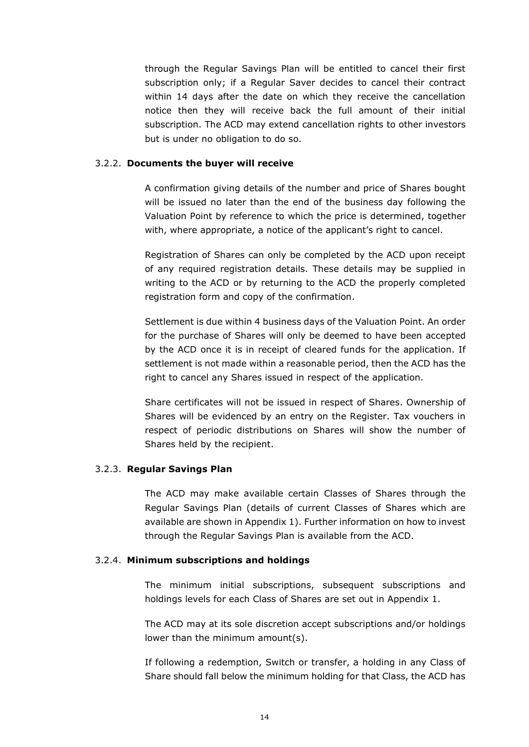through the Regular Savings Plan will be entitled to cancel their first subscription only; if a Regular Saver decides to cancel their contract within 14 days after the date on which they receive the cancellation notice then they will receive back the full amount of their initial subscription. The ACD may extend cancellation rights to other investors but is under no obligation to do so.

#### 3.2.2. **Documents the buyer will receive**

A confirmation giving details of the number and price of Shares bought will be issued no later than the end of the business day following the Valuation Point by reference to which the price is determined, together with, where appropriate, a notice of the applicant's right to cancel.

Registration of Shares can only be completed by the ACD upon receipt of any required registration details. These details may be supplied in writing to the ACD or by returning to the ACD the properly completed registration form and copy of the confirmation.

Settlement is due within 4 business days of the Valuation Point. An order for the purchase of Shares will only be deemed to have been accepted by the ACD once it is in receipt of cleared funds for the application. If settlement is not made within a reasonable period, then the ACD has the right to cancel any Shares issued in respect of the application.

Share certificates will not be issued in respect of Shares. Ownership of Shares will be evidenced by an entry on the Register. Tax vouchers in respect of periodic distributions on Shares will show the number of Shares held by the recipient.

#### 3.2.3. **Regular Savings Plan**

The ACD may make available certain Classes of Shares through the Regular Savings Plan (details of current Classes of Shares which are available are shown in Appendix 1). Further information on how to invest through the Regular Savings Plan is available from the ACD.

#### 3.2.4. **Minimum subscriptions and holdings**

The minimum initial subscriptions, subsequent subscriptions and holdings levels for each Class of Shares are set out in Appendix 1.

The ACD may at its sole discretion accept subscriptions and/or holdings lower than the minimum amount(s).

If following a redemption, Switch or transfer, a holding in any Class of Share should fall below the minimum holding for that Class, the ACD has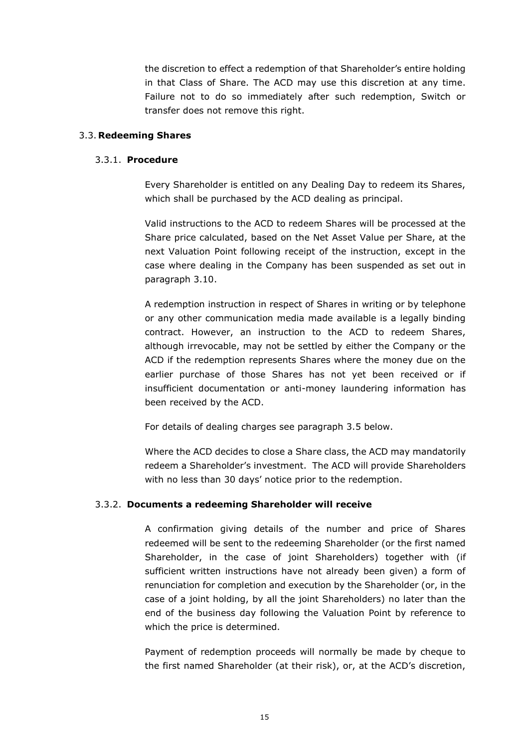the discretion to effect a redemption of that Shareholder's entire holding in that Class of Share. The ACD may use this discretion at any time. Failure not to do so immediately after such redemption, Switch or transfer does not remove this right.

#### 3.3. **Redeeming Shares**

#### 3.3.1. **Procedure**

Every Shareholder is entitled on any Dealing Day to redeem its Shares, which shall be purchased by the ACD dealing as principal.

Valid instructions to the ACD to redeem Shares will be processed at the Share price calculated, based on the Net Asset Value per Share, at the next Valuation Point following receipt of the instruction, except in the case where dealing in the Company has been suspended as set out in paragraph 3.10.

A redemption instruction in respect of Shares in writing or by telephone or any other communication media made available is a legally binding contract. However, an instruction to the ACD to redeem Shares, although irrevocable, may not be settled by either the Company or the ACD if the redemption represents Shares where the money due on the earlier purchase of those Shares has not yet been received or if insufficient documentation or anti-money laundering information has been received by the ACD.

For details of dealing charges see paragraph 3.5 below.

Where the ACD decides to close a Share class, the ACD may mandatorily redeem a Shareholder's investment. The ACD will provide Shareholders with no less than 30 days' notice prior to the redemption.

## 3.3.2. **Documents a redeeming Shareholder will receive**

A confirmation giving details of the number and price of Shares redeemed will be sent to the redeeming Shareholder (or the first named Shareholder, in the case of joint Shareholders) together with (if sufficient written instructions have not already been given) a form of renunciation for completion and execution by the Shareholder (or, in the case of a joint holding, by all the joint Shareholders) no later than the end of the business day following the Valuation Point by reference to which the price is determined.

Payment of redemption proceeds will normally be made by cheque to the first named Shareholder (at their risk), or, at the ACD's discretion,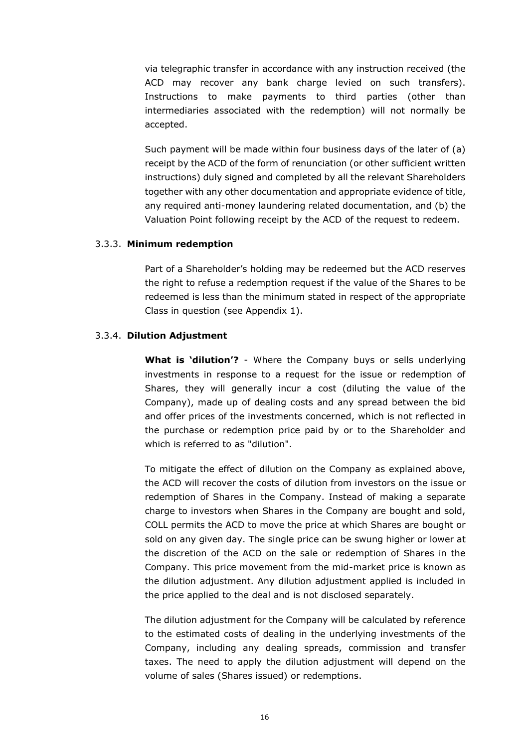via telegraphic transfer in accordance with any instruction received (the ACD may recover any bank charge levied on such transfers). Instructions to make payments to third parties (other than intermediaries associated with the redemption) will not normally be accepted.

Such payment will be made within four business days of the later of (a) receipt by the ACD of the form of renunciation (or other sufficient written instructions) duly signed and completed by all the relevant Shareholders together with any other documentation and appropriate evidence of title, any required anti-money laundering related documentation, and (b) the Valuation Point following receipt by the ACD of the request to redeem.

#### 3.3.3. **Minimum redemption**

Part of a Shareholder's holding may be redeemed but the ACD reserves the right to refuse a redemption request if the value of the Shares to be redeemed is less than the minimum stated in respect of the appropriate Class in question (see Appendix 1).

## 3.3.4. **Dilution Adjustment**

**What is 'dilution'?** - Where the Company buys or sells underlying investments in response to a request for the issue or redemption of Shares, they will generally incur a cost (diluting the value of the Company), made up of dealing costs and any spread between the bid and offer prices of the investments concerned, which is not reflected in the purchase or redemption price paid by or to the Shareholder and which is referred to as "dilution".

To mitigate the effect of dilution on the Company as explained above, the ACD will recover the costs of dilution from investors on the issue or redemption of Shares in the Company. Instead of making a separate charge to investors when Shares in the Company are bought and sold, COLL permits the ACD to move the price at which Shares are bought or sold on any given day. The single price can be swung higher or lower at the discretion of the ACD on the sale or redemption of Shares in the Company. This price movement from the mid-market price is known as the dilution adjustment. Any dilution adjustment applied is included in the price applied to the deal and is not disclosed separately.

The dilution adjustment for the Company will be calculated by reference to the estimated costs of dealing in the underlying investments of the Company, including any dealing spreads, commission and transfer taxes. The need to apply the dilution adjustment will depend on the volume of sales (Shares issued) or redemptions.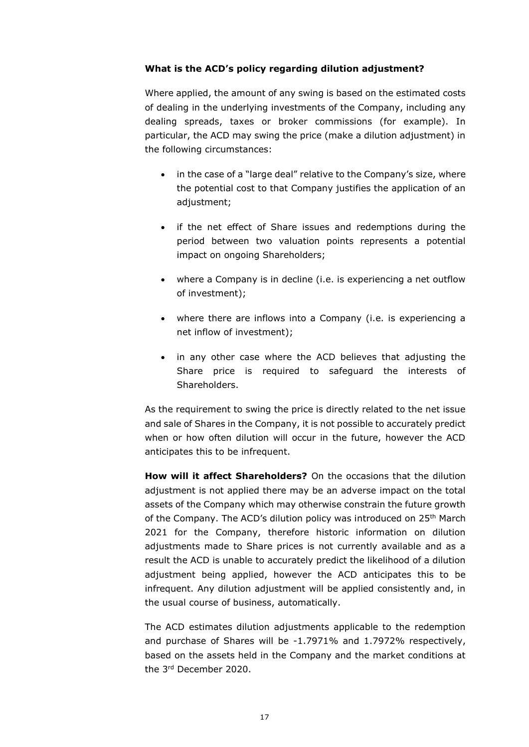## **What is the ACD's policy regarding dilution adjustment?**

Where applied, the amount of any swing is based on the estimated costs of dealing in the underlying investments of the Company, including any dealing spreads, taxes or broker commissions (for example). In particular, the ACD may swing the price (make a dilution adjustment) in the following circumstances:

- in the case of a "large deal" relative to the Company's size, where the potential cost to that Company justifies the application of an adjustment;
- if the net effect of Share issues and redemptions during the period between two valuation points represents a potential impact on ongoing Shareholders;
- where a Company is in decline (i.e. is experiencing a net outflow of investment);
- where there are inflows into a Company (i.e. is experiencing a net inflow of investment);
- in any other case where the ACD believes that adjusting the Share price is required to safeguard the interests of Shareholders.

As the requirement to swing the price is directly related to the net issue and sale of Shares in the Company, it is not possible to accurately predict when or how often dilution will occur in the future, however the ACD anticipates this to be infrequent.

**How will it affect Shareholders?** On the occasions that the dilution adjustment is not applied there may be an adverse impact on the total assets of the Company which may otherwise constrain the future growth of the Company. The ACD's dilution policy was introduced on 25<sup>th</sup> March 2021 for the Company, therefore historic information on dilution adjustments made to Share prices is not currently available and as a result the ACD is unable to accurately predict the likelihood of a dilution adjustment being applied, however the ACD anticipates this to be infrequent. Any dilution adjustment will be applied consistently and, in the usual course of business, automatically.

The ACD estimates dilution adjustments applicable to the redemption and purchase of Shares will be -1.7971% and 1.7972% respectively, based on the assets held in the Company and the market conditions at the 3 rd December 2020.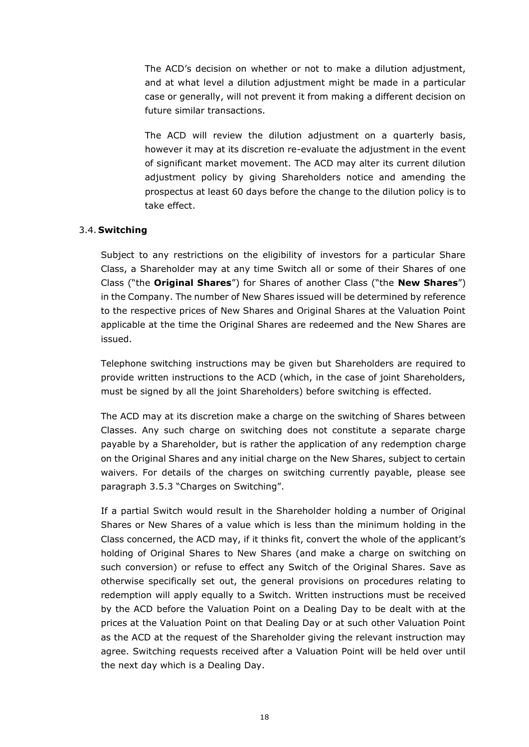The ACD's decision on whether or not to make a dilution adjustment, and at what level a dilution adjustment might be made in a particular case or generally, will not prevent it from making a different decision on future similar transactions.

The ACD will review the dilution adjustment on a quarterly basis, however it may at its discretion re-evaluate the adjustment in the event of significant market movement. The ACD may alter its current dilution adjustment policy by giving Shareholders notice and amending the prospectus at least 60 days before the change to the dilution policy is to take effect.

## 3.4. **Switching**

Subject to any restrictions on the eligibility of investors for a particular Share Class, a Shareholder may at any time Switch all or some of their Shares of one Class ("the **Original Shares**") for Shares of another Class ("the **New Shares**") in the Company. The number of New Shares issued will be determined by reference to the respective prices of New Shares and Original Shares at the Valuation Point applicable at the time the Original Shares are redeemed and the New Shares are issued.

Telephone switching instructions may be given but Shareholders are required to provide written instructions to the ACD (which, in the case of joint Shareholders, must be signed by all the joint Shareholders) before switching is effected.

The ACD may at its discretion make a charge on the switching of Shares between Classes. Any such charge on switching does not constitute a separate charge payable by a Shareholder, but is rather the application of any redemption charge on the Original Shares and any initial charge on the New Shares, subject to certain waivers. For details of the charges on switching currently payable, please see paragraph 3.5.3 "Charges on Switching".

If a partial Switch would result in the Shareholder holding a number of Original Shares or New Shares of a value which is less than the minimum holding in the Class concerned, the ACD may, if it thinks fit, convert the whole of the applicant's holding of Original Shares to New Shares (and make a charge on switching on such conversion) or refuse to effect any Switch of the Original Shares. Save as otherwise specifically set out, the general provisions on procedures relating to redemption will apply equally to a Switch. Written instructions must be received by the ACD before the Valuation Point on a Dealing Day to be dealt with at the prices at the Valuation Point on that Dealing Day or at such other Valuation Point as the ACD at the request of the Shareholder giving the relevant instruction may agree. Switching requests received after a Valuation Point will be held over until the next day which is a Dealing Day.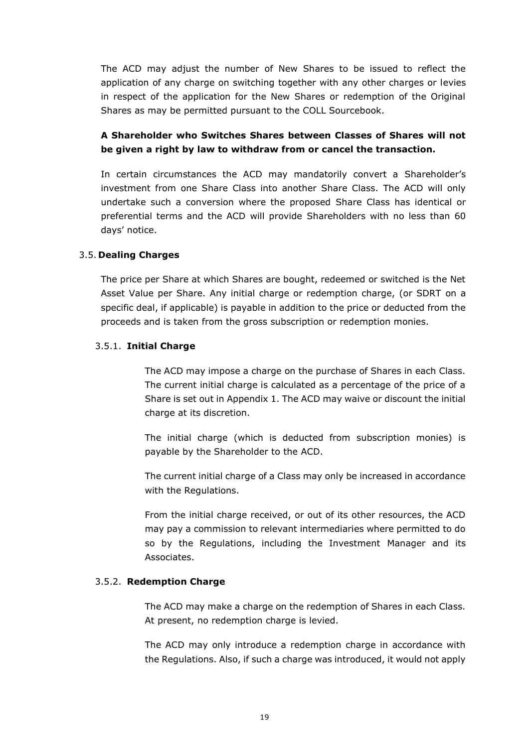The ACD may adjust the number of New Shares to be issued to reflect the application of any charge on switching together with any other charges or levies in respect of the application for the New Shares or redemption of the Original Shares as may be permitted pursuant to the COLL Sourcebook.

# **A Shareholder who Switches Shares between Classes of Shares will not be given a right by law to withdraw from or cancel the transaction.**

In certain circumstances the ACD may mandatorily convert a Shareholder's investment from one Share Class into another Share Class. The ACD will only undertake such a conversion where the proposed Share Class has identical or preferential terms and the ACD will provide Shareholders with no less than 60 days' notice.

# 3.5. **Dealing Charges**

The price per Share at which Shares are bought, redeemed or switched is the Net Asset Value per Share. Any initial charge or redemption charge, (or SDRT on a specific deal, if applicable) is payable in addition to the price or deducted from the proceeds and is taken from the gross subscription or redemption monies.

# 3.5.1. **Initial Charge**

The ACD may impose a charge on the purchase of Shares in each Class. The current initial charge is calculated as a percentage of the price of a Share is set out in Appendix 1. The ACD may waive or discount the initial charge at its discretion.

The initial charge (which is deducted from subscription monies) is payable by the Shareholder to the ACD.

The current initial charge of a Class may only be increased in accordance with the Regulations.

From the initial charge received, or out of its other resources, the ACD may pay a commission to relevant intermediaries where permitted to do so by the Regulations, including the Investment Manager and its Associates.

## 3.5.2. **Redemption Charge**

The ACD may make a charge on the redemption of Shares in each Class. At present, no redemption charge is levied.

The ACD may only introduce a redemption charge in accordance with the Regulations. Also, if such a charge was introduced, it would not apply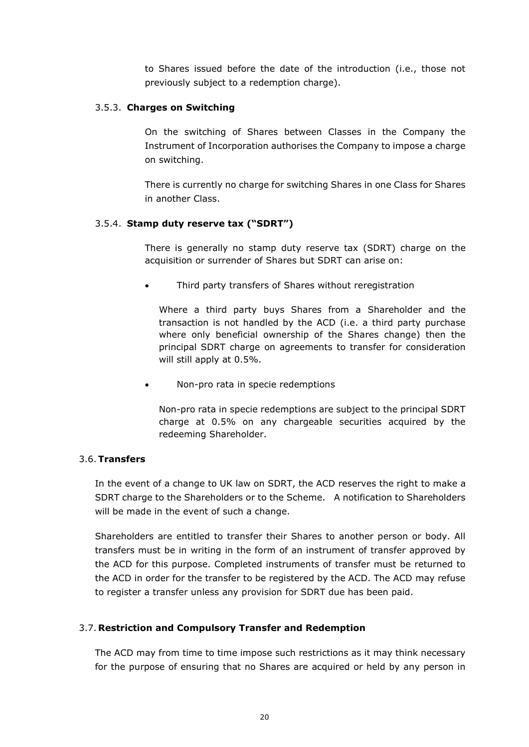to Shares issued before the date of the introduction (i.e., those not previously subject to a redemption charge).

## 3.5.3. **Charges on Switching**

On the switching of Shares between Classes in the Company the Instrument of Incorporation authorises the Company to impose a charge on switching.

There is currently no charge for switching Shares in one Class for Shares in another Class.

## 3.5.4. **Stamp duty reserve tax ("SDRT")**

There is generally no stamp duty reserve tax (SDRT) charge on the acquisition or surrender of Shares but SDRT can arise on:

• Third party transfers of Shares without reregistration

Where a third party buys Shares from a Shareholder and the transaction is not handled by the ACD (i.e. a third party purchase where only beneficial ownership of the Shares change) then the principal SDRT charge on agreements to transfer for consideration will still apply at 0.5%.

• Non-pro rata in specie redemptions

Non-pro rata in specie redemptions are subject to the principal SDRT charge at 0.5% on any chargeable securities acquired by the redeeming Shareholder.

## 3.6.**Transfers**

In the event of a change to UK law on SDRT, the ACD reserves the right to make a SDRT charge to the Shareholders or to the Scheme. A notification to Shareholders will be made in the event of such a change.

Shareholders are entitled to transfer their Shares to another person or body. All transfers must be in writing in the form of an instrument of transfer approved by the ACD for this purpose. Completed instruments of transfer must be returned to the ACD in order for the transfer to be registered by the ACD. The ACD may refuse to register a transfer unless any provision for SDRT due has been paid.

## 3.7. **Restriction and Compulsory Transfer and Redemption**

The ACD may from time to time impose such restrictions as it may think necessary for the purpose of ensuring that no Shares are acquired or held by any person in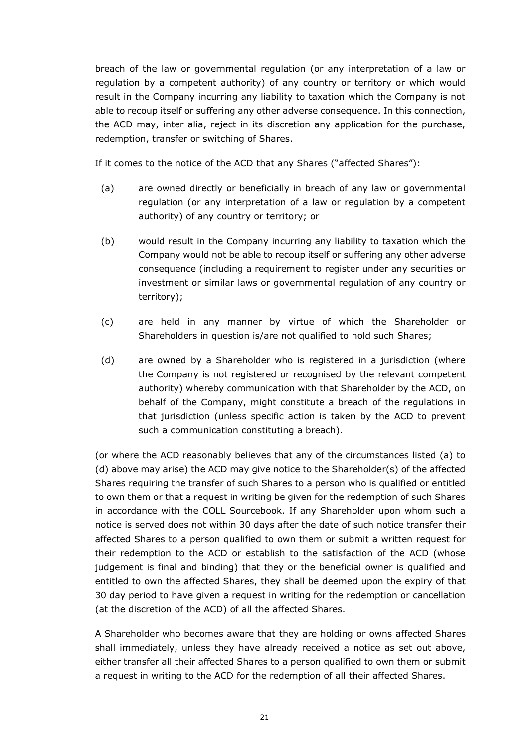breach of the law or governmental regulation (or any interpretation of a law or regulation by a competent authority) of any country or territory or which would result in the Company incurring any liability to taxation which the Company is not able to recoup itself or suffering any other adverse consequence. In this connection, the ACD may, inter alia, reject in its discretion any application for the purchase, redemption, transfer or switching of Shares.

If it comes to the notice of the ACD that any Shares ("affected Shares"):

- (a) are owned directly or beneficially in breach of any law or governmental regulation (or any interpretation of a law or regulation by a competent authority) of any country or territory; or
- (b) would result in the Company incurring any liability to taxation which the Company would not be able to recoup itself or suffering any other adverse consequence (including a requirement to register under any securities or investment or similar laws or governmental regulation of any country or territory);
- (c) are held in any manner by virtue of which the Shareholder or Shareholders in question is/are not qualified to hold such Shares;
- (d) are owned by a Shareholder who is registered in a jurisdiction (where the Company is not registered or recognised by the relevant competent authority) whereby communication with that Shareholder by the ACD, on behalf of the Company, might constitute a breach of the regulations in that jurisdiction (unless specific action is taken by the ACD to prevent such a communication constituting a breach).

(or where the ACD reasonably believes that any of the circumstances listed (a) to (d) above may arise) the ACD may give notice to the Shareholder(s) of the affected Shares requiring the transfer of such Shares to a person who is qualified or entitled to own them or that a request in writing be given for the redemption of such Shares in accordance with the COLL Sourcebook. If any Shareholder upon whom such a notice is served does not within 30 days after the date of such notice transfer their affected Shares to a person qualified to own them or submit a written request for their redemption to the ACD or establish to the satisfaction of the ACD (whose judgement is final and binding) that they or the beneficial owner is qualified and entitled to own the affected Shares, they shall be deemed upon the expiry of that 30 day period to have given a request in writing for the redemption or cancellation (at the discretion of the ACD) of all the affected Shares.

A Shareholder who becomes aware that they are holding or owns affected Shares shall immediately, unless they have already received a notice as set out above, either transfer all their affected Shares to a person qualified to own them or submit a request in writing to the ACD for the redemption of all their affected Shares.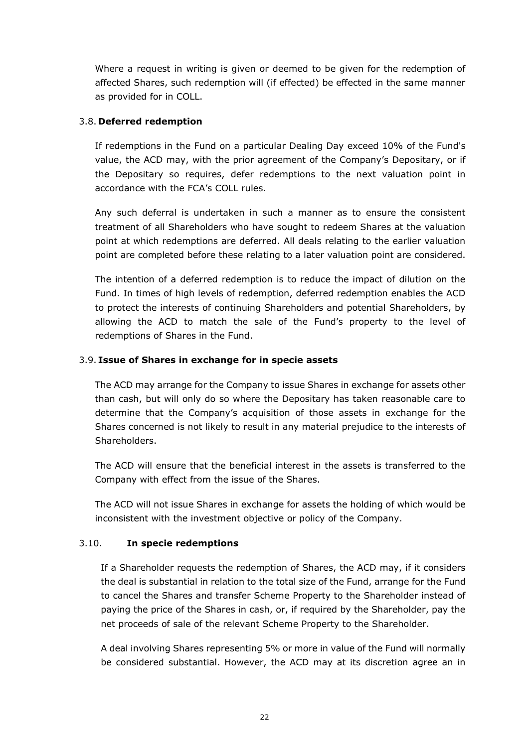Where a request in writing is given or deemed to be given for the redemption of affected Shares, such redemption will (if effected) be effected in the same manner as provided for in COLL.

# 3.8. **Deferred redemption**

If redemptions in the Fund on a particular Dealing Day exceed 10% of the Fund's value, the ACD may, with the prior agreement of the Company's Depositary, or if the Depositary so requires, defer redemptions to the next valuation point in accordance with the FCA's COLL rules.

Any such deferral is undertaken in such a manner as to ensure the consistent treatment of all Shareholders who have sought to redeem Shares at the valuation point at which redemptions are deferred. All deals relating to the earlier valuation point are completed before these relating to a later valuation point are considered.

The intention of a deferred redemption is to reduce the impact of dilution on the Fund. In times of high levels of redemption, deferred redemption enables the ACD to protect the interests of continuing Shareholders and potential Shareholders, by allowing the ACD to match the sale of the Fund's property to the level of redemptions of Shares in the Fund.

# 3.9. **Issue of Shares in exchange for in specie assets**

The ACD may arrange for the Company to issue Shares in exchange for assets other than cash, but will only do so where the Depositary has taken reasonable care to determine that the Company's acquisition of those assets in exchange for the Shares concerned is not likely to result in any material prejudice to the interests of Shareholders.

The ACD will ensure that the beneficial interest in the assets is transferred to the Company with effect from the issue of the Shares.

The ACD will not issue Shares in exchange for assets the holding of which would be inconsistent with the investment objective or policy of the Company.

## 3.10. **In specie redemptions**

If a Shareholder requests the redemption of Shares, the ACD may, if it considers the deal is substantial in relation to the total size of the Fund, arrange for the Fund to cancel the Shares and transfer Scheme Property to the Shareholder instead of paying the price of the Shares in cash, or, if required by the Shareholder, pay the net proceeds of sale of the relevant Scheme Property to the Shareholder.

A deal involving Shares representing 5% or more in value of the Fund will normally be considered substantial. However, the ACD may at its discretion agree an in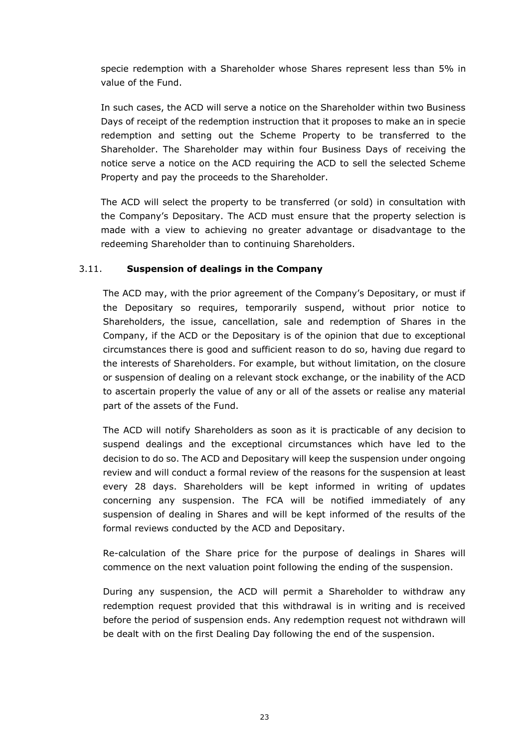specie redemption with a Shareholder whose Shares represent less than 5% in value of the Fund.

In such cases, the ACD will serve a notice on the Shareholder within two Business Days of receipt of the redemption instruction that it proposes to make an in specie redemption and setting out the Scheme Property to be transferred to the Shareholder. The Shareholder may within four Business Days of receiving the notice serve a notice on the ACD requiring the ACD to sell the selected Scheme Property and pay the proceeds to the Shareholder.

The ACD will select the property to be transferred (or sold) in consultation with the Company's Depositary. The ACD must ensure that the property selection is made with a view to achieving no greater advantage or disadvantage to the redeeming Shareholder than to continuing Shareholders.

# 3.11. **Suspension of dealings in the Company**

The ACD may, with the prior agreement of the Company's Depositary, or must if the Depositary so requires, temporarily suspend, without prior notice to Shareholders, the issue, cancellation, sale and redemption of Shares in the Company, if the ACD or the Depositary is of the opinion that due to exceptional circumstances there is good and sufficient reason to do so, having due regard to the interests of Shareholders. For example, but without limitation, on the closure or suspension of dealing on a relevant stock exchange, or the inability of the ACD to ascertain properly the value of any or all of the assets or realise any material part of the assets of the Fund.

The ACD will notify Shareholders as soon as it is practicable of any decision to suspend dealings and the exceptional circumstances which have led to the decision to do so. The ACD and Depositary will keep the suspension under ongoing review and will conduct a formal review of the reasons for the suspension at least every 28 days. Shareholders will be kept informed in writing of updates concerning any suspension. The FCA will be notified immediately of any suspension of dealing in Shares and will be kept informed of the results of the formal reviews conducted by the ACD and Depositary.

Re-calculation of the Share price for the purpose of dealings in Shares will commence on the next valuation point following the ending of the suspension.

During any suspension, the ACD will permit a Shareholder to withdraw any redemption request provided that this withdrawal is in writing and is received before the period of suspension ends. Any redemption request not withdrawn will be dealt with on the first Dealing Day following the end of the suspension.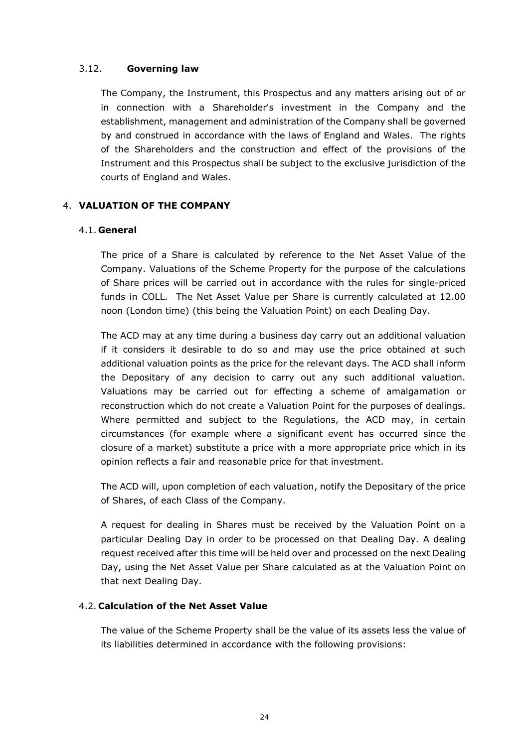## 3.12. **Governing law**

The Company, the Instrument, this Prospectus and any matters arising out of or in connection with a Shareholder's investment in the Company and the establishment, management and administration of the Company shall be governed by and construed in accordance with the laws of England and Wales. The rights of the Shareholders and the construction and effect of the provisions of the Instrument and this Prospectus shall be subject to the exclusive jurisdiction of the courts of England and Wales.

## <span id="page-23-0"></span>4. **VALUATION OF THE COMPANY**

#### 4.1. **General**

The price of a Share is calculated by reference to the Net Asset Value of the Company. Valuations of the Scheme Property for the purpose of the calculations of Share prices will be carried out in accordance with the rules for single-priced funds in COLL. The Net Asset Value per Share is currently calculated at 12.00 noon (London time) (this being the Valuation Point) on each Dealing Day.

The ACD may at any time during a business day carry out an additional valuation if it considers it desirable to do so and may use the price obtained at such additional valuation points as the price for the relevant days. The ACD shall inform the Depositary of any decision to carry out any such additional valuation. Valuations may be carried out for effecting a scheme of amalgamation or reconstruction which do not create a Valuation Point for the purposes of dealings. Where permitted and subject to the Regulations, the ACD may, in certain circumstances (for example where a significant event has occurred since the closure of a market) substitute a price with a more appropriate price which in its opinion reflects a fair and reasonable price for that investment.

The ACD will, upon completion of each valuation, notify the Depositary of the price of Shares, of each Class of the Company.

A request for dealing in Shares must be received by the Valuation Point on a particular Dealing Day in order to be processed on that Dealing Day. A dealing request received after this time will be held over and processed on the next Dealing Day, using the Net Asset Value per Share calculated as at the Valuation Point on that next Dealing Day.

## 4.2. **Calculation of the Net Asset Value**

The value of the Scheme Property shall be the value of its assets less the value of its liabilities determined in accordance with the following provisions: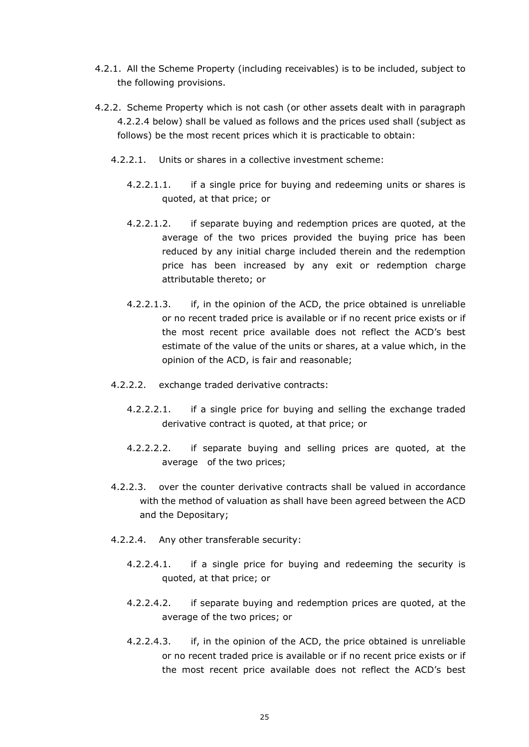- 4.2.1. All the Scheme Property (including receivables) is to be included, subject to the following provisions.
- 4.2.2. Scheme Property which is not cash (or other assets dealt with in paragraph 4.2.2.4 below) shall be valued as follows and the prices used shall (subject as follows) be the most recent prices which it is practicable to obtain:
	- 4.2.2.1. Units or shares in a collective investment scheme:
		- 4.2.2.1.1. if a single price for buying and redeeming units or shares is quoted, at that price; or
		- 4.2.2.1.2. if separate buying and redemption prices are quoted, at the average of the two prices provided the buying price has been reduced by any initial charge included therein and the redemption price has been increased by any exit or redemption charge attributable thereto; or
		- 4.2.2.1.3. if, in the opinion of the ACD, the price obtained is unreliable or no recent traded price is available or if no recent price exists or if the most recent price available does not reflect the ACD's best estimate of the value of the units or shares, at a value which, in the opinion of the ACD, is fair and reasonable;
	- 4.2.2.2. exchange traded derivative contracts:
		- 4.2.2.2.1. if a single price for buying and selling the exchange traded derivative contract is quoted, at that price; or
		- 4.2.2.2.2. if separate buying and selling prices are quoted, at the average of the two prices;
	- 4.2.2.3. over the counter derivative contracts shall be valued in accordance with the method of valuation as shall have been agreed between the ACD and the Depositary;
	- 4.2.2.4. Any other transferable security:
		- 4.2.2.4.1. if a single price for buying and redeeming the security is quoted, at that price; or
		- 4.2.2.4.2. if separate buying and redemption prices are quoted, at the average of the two prices; or
		- 4.2.2.4.3. if, in the opinion of the ACD, the price obtained is unreliable or no recent traded price is available or if no recent price exists or if the most recent price available does not reflect the ACD's best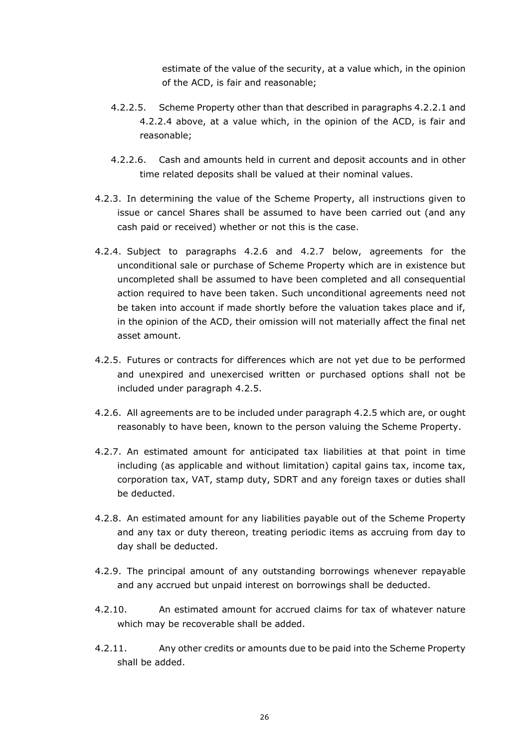estimate of the value of the security, at a value which, in the opinion of the ACD, is fair and reasonable;

- 4.2.2.5. Scheme Property other than that described in paragraphs 4.2.2.1 and 4.2.2.4 above, at a value which, in the opinion of the ACD, is fair and reasonable;
- 4.2.2.6. Cash and amounts held in current and deposit accounts and in other time related deposits shall be valued at their nominal values.
- 4.2.3. In determining the value of the Scheme Property, all instructions given to issue or cancel Shares shall be assumed to have been carried out (and any cash paid or received) whether or not this is the case.
- 4.2.4. Subject to paragraphs 4.2.6 and 4.2.7 below, agreements for the unconditional sale or purchase of Scheme Property which are in existence but uncompleted shall be assumed to have been completed and all consequential action required to have been taken. Such unconditional agreements need not be taken into account if made shortly before the valuation takes place and if, in the opinion of the ACD, their omission will not materially affect the final net asset amount.
- 4.2.5. Futures or contracts for differences which are not yet due to be performed and unexpired and unexercised written or purchased options shall not be included under paragraph 4.2.5.
- 4.2.6. All agreements are to be included under paragraph 4.2.5 which are, or ought reasonably to have been, known to the person valuing the Scheme Property.
- 4.2.7. An estimated amount for anticipated tax liabilities at that point in time including (as applicable and without limitation) capital gains tax, income tax, corporation tax, VAT, stamp duty, SDRT and any foreign taxes or duties shall be deducted.
- 4.2.8. An estimated amount for any liabilities payable out of the Scheme Property and any tax or duty thereon, treating periodic items as accruing from day to day shall be deducted.
- 4.2.9. The principal amount of any outstanding borrowings whenever repayable and any accrued but unpaid interest on borrowings shall be deducted.
- 4.2.10. An estimated amount for accrued claims for tax of whatever nature which may be recoverable shall be added.
- 4.2.11. Any other credits or amounts due to be paid into the Scheme Property shall be added.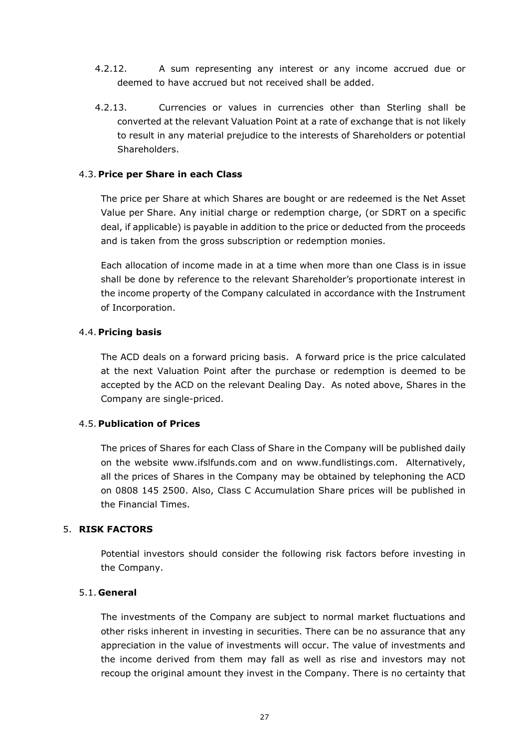- 4.2.12. A sum representing any interest or any income accrued due or deemed to have accrued but not received shall be added.
- 4.2.13. Currencies or values in currencies other than Sterling shall be converted at the relevant Valuation Point at a rate of exchange that is not likely to result in any material prejudice to the interests of Shareholders or potential Shareholders.

## 4.3. **Price per Share in each Class**

The price per Share at which Shares are bought or are redeemed is the Net Asset Value per Share. Any initial charge or redemption charge, (or SDRT on a specific deal, if applicable) is payable in addition to the price or deducted from the proceeds and is taken from the gross subscription or redemption monies.

Each allocation of income made in at a time when more than one Class is in issue shall be done by reference to the relevant Shareholder's proportionate interest in the income property of the Company calculated in accordance with the Instrument of Incorporation.

#### 4.4. **Pricing basis**

The ACD deals on a forward pricing basis. A forward price is the price calculated at the next Valuation Point after the purchase or redemption is deemed to be accepted by the ACD on the relevant Dealing Day. As noted above, Shares in the Company are single-priced.

#### 4.5. **Publication of Prices**

The prices of Shares for each Class of Share in the Company will be published daily on the website www.ifslfunds.com and on www.fundlistings.com. Alternatively, all the prices of Shares in the Company may be obtained by telephoning the ACD on 0808 145 2500. Also, Class C Accumulation Share prices will be published in the Financial Times.

#### <span id="page-26-0"></span>5. **RISK FACTORS**

Potential investors should consider the following risk factors before investing in the Company.

#### 5.1. **General**

The investments of the Company are subject to normal market fluctuations and other risks inherent in investing in securities. There can be no assurance that any appreciation in the value of investments will occur. The value of investments and the income derived from them may fall as well as rise and investors may not recoup the original amount they invest in the Company. There is no certainty that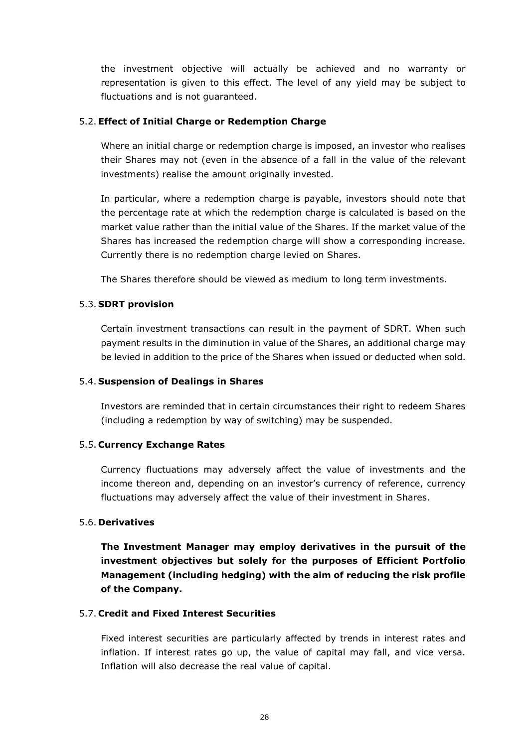the investment objective will actually be achieved and no warranty or representation is given to this effect. The level of any yield may be subject to fluctuations and is not guaranteed.

# 5.2.**Effect of Initial Charge or Redemption Charge**

Where an initial charge or redemption charge is imposed, an investor who realises their Shares may not (even in the absence of a fall in the value of the relevant investments) realise the amount originally invested.

In particular, where a redemption charge is payable, investors should note that the percentage rate at which the redemption charge is calculated is based on the market value rather than the initial value of the Shares. If the market value of the Shares has increased the redemption charge will show a corresponding increase. Currently there is no redemption charge levied on Shares.

The Shares therefore should be viewed as medium to long term investments.

# 5.3. **SDRT provision**

Certain investment transactions can result in the payment of SDRT. When such payment results in the diminution in value of the Shares, an additional charge may be levied in addition to the price of the Shares when issued or deducted when sold.

## 5.4. **Suspension of Dealings in Shares**

Investors are reminded that in certain circumstances their right to redeem Shares (including a redemption by way of switching) may be suspended.

## 5.5. **Currency Exchange Rates**

Currency fluctuations may adversely affect the value of investments and the income thereon and, depending on an investor's currency of reference, currency fluctuations may adversely affect the value of their investment in Shares.

## 5.6. **Derivatives**

**The Investment Manager may employ derivatives in the pursuit of the investment objectives but solely for the purposes of Efficient Portfolio Management (including hedging) with the aim of reducing the risk profile of the Company.**

## 5.7. **Credit and Fixed Interest Securities**

Fixed interest securities are particularly affected by trends in interest rates and inflation. If interest rates go up, the value of capital may fall, and vice versa. Inflation will also decrease the real value of capital.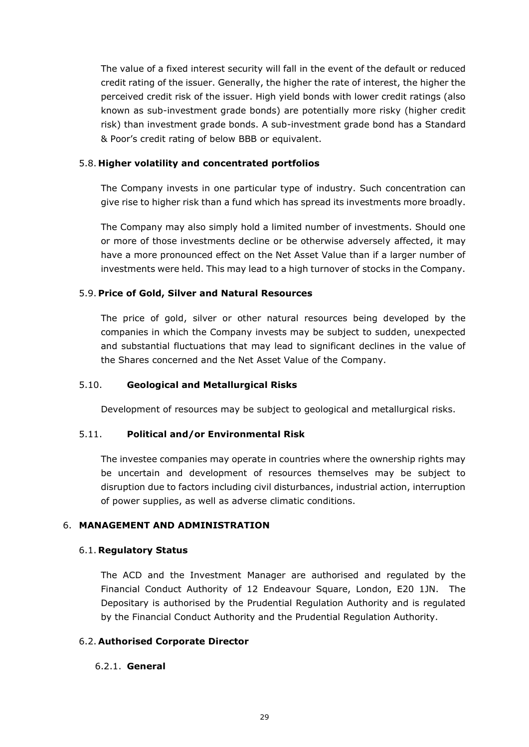The value of a fixed interest security will fall in the event of the default or reduced credit rating of the issuer. Generally, the higher the rate of interest, the higher the perceived credit risk of the issuer. High yield bonds with lower credit ratings (also known as sub-investment grade bonds) are potentially more risky (higher credit risk) than investment grade bonds. A sub-investment grade bond has a Standard & Poor's credit rating of below BBB or equivalent.

#### 5.8. **Higher volatility and concentrated portfolios**

The Company invests in one particular type of industry. Such concentration can give rise to higher risk than a fund which has spread its investments more broadly.

The Company may also simply hold a limited number of investments. Should one or more of those investments decline or be otherwise adversely affected, it may have a more pronounced effect on the Net Asset Value than if a larger number of investments were held. This may lead to a high turnover of stocks in the Company.

#### 5.9. **Price of Gold, Silver and Natural Resources**

The price of gold, silver or other natural resources being developed by the companies in which the Company invests may be subject to sudden, unexpected and substantial fluctuations that may lead to significant declines in the value of the Shares concerned and the Net Asset Value of the Company.

#### 5.10. **Geological and Metallurgical Risks**

Development of resources may be subject to geological and metallurgical risks.

#### 5.11. **Political and/or Environmental Risk**

The investee companies may operate in countries where the ownership rights may be uncertain and development of resources themselves may be subject to disruption due to factors including civil disturbances, industrial action, interruption of power supplies, as well as adverse climatic conditions.

## <span id="page-28-0"></span>6. **MANAGEMENT AND ADMINISTRATION**

#### <span id="page-28-1"></span>6.1. **Regulatory Status**

The ACD and the Investment Manager are authorised and regulated by the Financial Conduct Authority of 12 Endeavour Square, London, E20 1JN. The Depositary is authorised by the Prudential Regulation Authority and is regulated by the Financial Conduct Authority and the Prudential Regulation Authority.

#### <span id="page-28-2"></span>6.2. **Authorised Corporate Director**

#### 6.2.1. **General**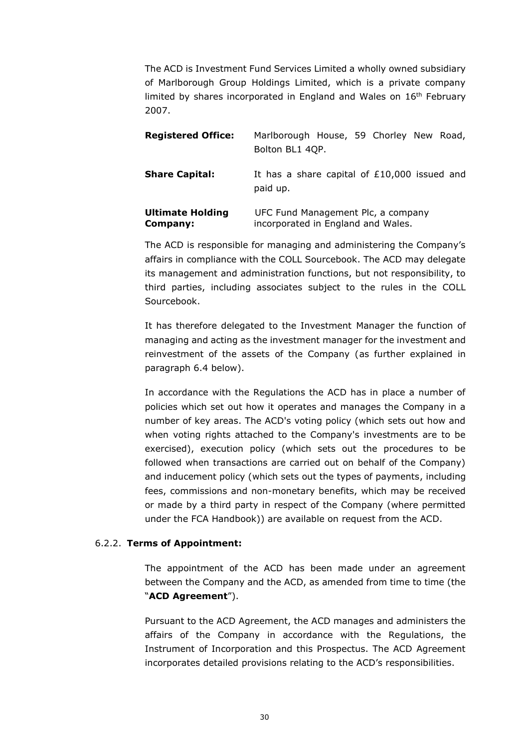The ACD is Investment Fund Services Limited a wholly owned subsidiary of Marlborough Group Holdings Limited, which is a private company limited by shares incorporated in England and Wales on  $16<sup>th</sup>$  February 2007.

| <b>Registered Office:</b>           | Marlborough House, 59 Chorley New Road,<br>Bolton BL1 4QP.               |
|-------------------------------------|--------------------------------------------------------------------------|
| <b>Share Capital:</b>               | It has a share capital of £10,000 issued and<br>paid up.                 |
| <b>Ultimate Holding</b><br>Company: | UFC Fund Management Plc, a company<br>incorporated in England and Wales. |

The ACD is responsible for managing and administering the Company's affairs in compliance with the COLL Sourcebook. The ACD may delegate its management and administration functions, but not responsibility, to third parties, including associates subject to the rules in the COLL Sourcebook.

It has therefore delegated to the Investment Manager the function of managing and acting as the investment manager for the investment and reinvestment of the assets of the Company (as further explained in paragraph 6.4 below).

In accordance with the Regulations the ACD has in place a number of policies which set out how it operates and manages the Company in a number of key areas. The ACD's voting policy (which sets out how and when voting rights attached to the Company's investments are to be exercised), execution policy (which sets out the procedures to be followed when transactions are carried out on behalf of the Company) and inducement policy (which sets out the types of payments, including fees, commissions and non-monetary benefits, which may be received or made by a third party in respect of the Company (where permitted under the FCA Handbook)) are available on request from the ACD.

## 6.2.2. **Terms of Appointment:**

The appointment of the ACD has been made under an agreement between the Company and the ACD, as amended from time to time (the "**ACD Agreement**").

Pursuant to the ACD Agreement, the ACD manages and administers the affairs of the Company in accordance with the Regulations, the Instrument of Incorporation and this Prospectus. The ACD Agreement incorporates detailed provisions relating to the ACD's responsibilities.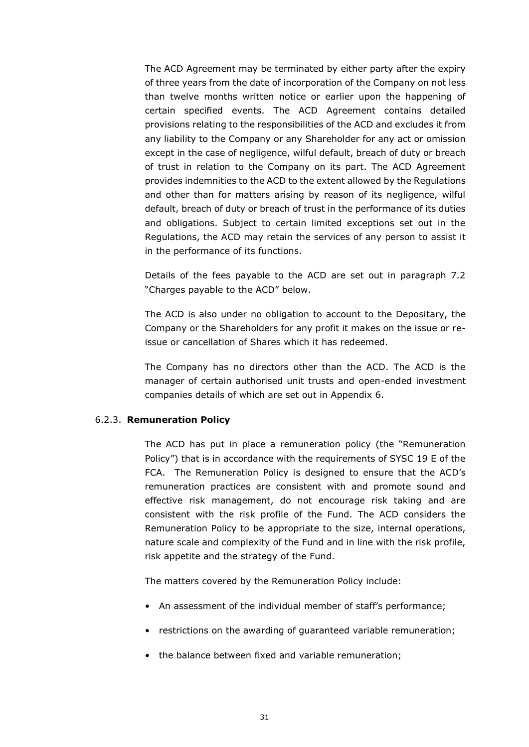The ACD Agreement may be terminated by either party after the expiry of three years from the date of incorporation of the Company on not less than twelve months written notice or earlier upon the happening of certain specified events. The ACD Agreement contains detailed provisions relating to the responsibilities of the ACD and excludes it from any liability to the Company or any Shareholder for any act or omission except in the case of negligence, wilful default, breach of duty or breach of trust in relation to the Company on its part. The ACD Agreement provides indemnities to the ACD to the extent allowed by the Regulations and other than for matters arising by reason of its negligence, wilful default, breach of duty or breach of trust in the performance of its duties and obligations. Subject to certain limited exceptions set out in the Regulations, the ACD may retain the services of any person to assist it in the performance of its functions.

Details of the fees payable to the ACD are set out in paragraph 7.2 "Charges payable to the ACD" below.

The ACD is also under no obligation to account to the Depositary, the Company or the Shareholders for any profit it makes on the issue or reissue or cancellation of Shares which it has redeemed.

The Company has no directors other than the ACD. The ACD is the manager of certain authorised unit trusts and open-ended investment companies details of which are set out in Appendix 6.

#### 6.2.3. **Remuneration Policy**

The ACD has put in place a remuneration policy (the "Remuneration Policy") that is in accordance with the requirements of SYSC 19 E of the FCA. The Remuneration Policy is designed to ensure that the ACD's remuneration practices are consistent with and promote sound and effective risk management, do not encourage risk taking and are consistent with the risk profile of the Fund. The ACD considers the Remuneration Policy to be appropriate to the size, internal operations, nature scale and complexity of the Fund and in line with the risk profile, risk appetite and the strategy of the Fund.

The matters covered by the Remuneration Policy include:

- An assessment of the individual member of staff's performance;
- restrictions on the awarding of guaranteed variable remuneration;
- the balance between fixed and variable remuneration;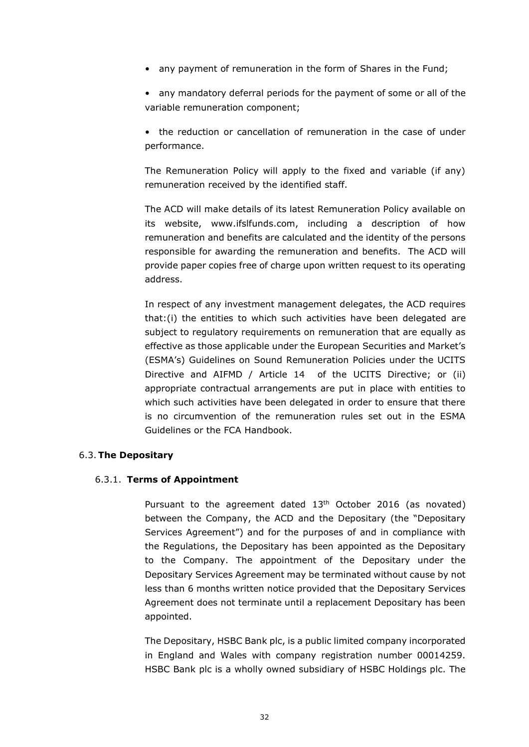• any payment of remuneration in the form of Shares in the Fund;

• any mandatory deferral periods for the payment of some or all of the variable remuneration component;

• the reduction or cancellation of remuneration in the case of under performance.

The Remuneration Policy will apply to the fixed and variable (if any) remuneration received by the identified staff.

The ACD will make details of its latest Remuneration Policy available on its website, www.ifslfunds.com, including a description of how remuneration and benefits are calculated and the identity of the persons responsible for awarding the remuneration and benefits. The ACD will provide paper copies free of charge upon written request to its operating address.

In respect of any investment management delegates, the ACD requires that:(i) the entities to which such activities have been delegated are subject to regulatory requirements on remuneration that are equally as effective as those applicable under the European Securities and Market's (ESMA's) Guidelines on Sound Remuneration Policies under the UCITS Directive and AIFMD / Article 14 of the UCITS Directive; or (ii) appropriate contractual arrangements are put in place with entities to which such activities have been delegated in order to ensure that there is no circumvention of the remuneration rules set out in the ESMA Guidelines or the FCA Handbook.

## <span id="page-31-0"></span>6.3.**The Depositary**

## 6.3.1. **Terms of Appointment**

Pursuant to the agreement dated 13<sup>th</sup> October 2016 (as novated) between the Company, the ACD and the Depositary (the "Depositary Services Agreement") and for the purposes of and in compliance with the Regulations, the Depositary has been appointed as the Depositary to the Company. The appointment of the Depositary under the Depositary Services Agreement may be terminated without cause by not less than 6 months written notice provided that the Depositary Services Agreement does not terminate until a replacement Depositary has been appointed.

The Depositary, HSBC Bank plc, is a public limited company incorporated in England and Wales with company registration number 00014259. HSBC Bank plc is a wholly owned subsidiary of HSBC Holdings plc. The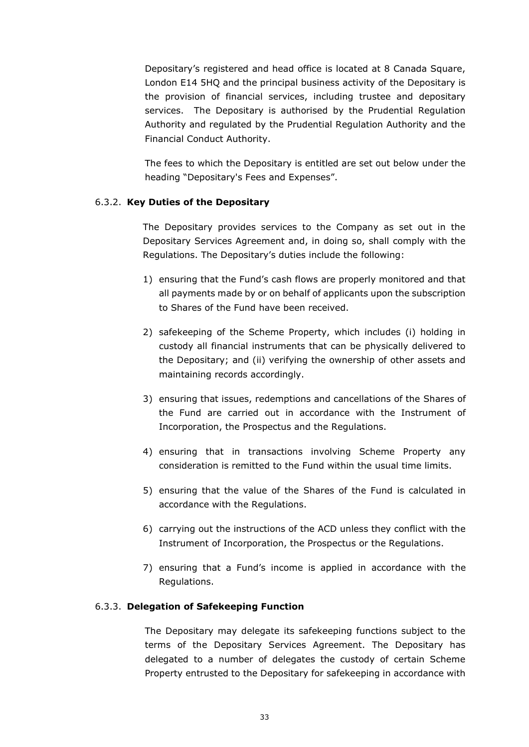Depositary's registered and head office is located at 8 Canada Square, London E14 5HQ and the principal business activity of the Depositary is the provision of financial services, including trustee and depositary services. The Depositary is authorised by the Prudential Regulation Authority and regulated by the Prudential Regulation Authority and the Financial Conduct Authority.

The fees to which the Depositary is entitled are set out below under the heading "Depositary's Fees and Expenses".

## 6.3.2. **Key Duties of the Depositary**

The Depositary provides services to the Company as set out in the Depositary Services Agreement and, in doing so, shall comply with the Regulations. The Depositary's duties include the following:

- 1) ensuring that the Fund's cash flows are properly monitored and that all payments made by or on behalf of applicants upon the subscription to Shares of the Fund have been received.
- 2) safekeeping of the Scheme Property, which includes (i) holding in custody all financial instruments that can be physically delivered to the Depositary; and (ii) verifying the ownership of other assets and maintaining records accordingly.
- 3) ensuring that issues, redemptions and cancellations of the Shares of the Fund are carried out in accordance with the Instrument of Incorporation, the Prospectus and the Regulations.
- 4) ensuring that in transactions involving Scheme Property any consideration is remitted to the Fund within the usual time limits.
- 5) ensuring that the value of the Shares of the Fund is calculated in accordance with the Regulations.
- 6) carrying out the instructions of the ACD unless they conflict with the Instrument of Incorporation, the Prospectus or the Regulations.
- 7) ensuring that a Fund's income is applied in accordance with the Regulations.

#### 6.3.3. **Delegation of Safekeeping Function**

The Depositary may delegate its safekeeping functions subject to the terms of the Depositary Services Agreement. The Depositary has delegated to a number of delegates the custody of certain Scheme Property entrusted to the Depositary for safekeeping in accordance with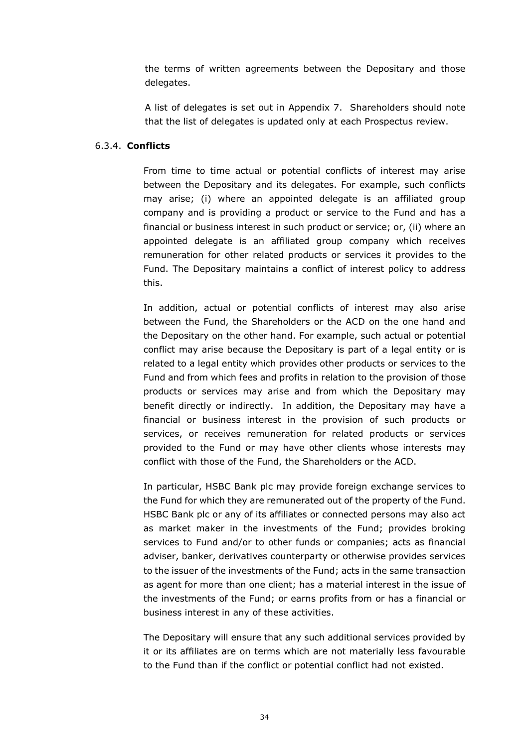the terms of written agreements between the Depositary and those delegates.

A list of delegates is set out in Appendix 7. Shareholders should note that the list of delegates is updated only at each Prospectus review.

#### 6.3.4. **Conflicts**

From time to time actual or potential conflicts of interest may arise between the Depositary and its delegates. For example, such conflicts may arise; (i) where an appointed delegate is an affiliated group company and is providing a product or service to the Fund and has a financial or business interest in such product or service; or, (ii) where an appointed delegate is an affiliated group company which receives remuneration for other related products or services it provides to the Fund. The Depositary maintains a conflict of interest policy to address this.

In addition, actual or potential conflicts of interest may also arise between the Fund, the Shareholders or the ACD on the one hand and the Depositary on the other hand. For example, such actual or potential conflict may arise because the Depositary is part of a legal entity or is related to a legal entity which provides other products or services to the Fund and from which fees and profits in relation to the provision of those products or services may arise and from which the Depositary may benefit directly or indirectly. In addition, the Depositary may have a financial or business interest in the provision of such products or services, or receives remuneration for related products or services provided to the Fund or may have other clients whose interests may conflict with those of the Fund, the Shareholders or the ACD.

In particular, HSBC Bank plc may provide foreign exchange services to the Fund for which they are remunerated out of the property of the Fund. HSBC Bank plc or any of its affiliates or connected persons may also act as market maker in the investments of the Fund; provides broking services to Fund and/or to other funds or companies; acts as financial adviser, banker, derivatives counterparty or otherwise provides services to the issuer of the investments of the Fund; acts in the same transaction as agent for more than one client; has a material interest in the issue of the investments of the Fund; or earns profits from or has a financial or business interest in any of these activities.

The Depositary will ensure that any such additional services provided by it or its affiliates are on terms which are not materially less favourable to the Fund than if the conflict or potential conflict had not existed.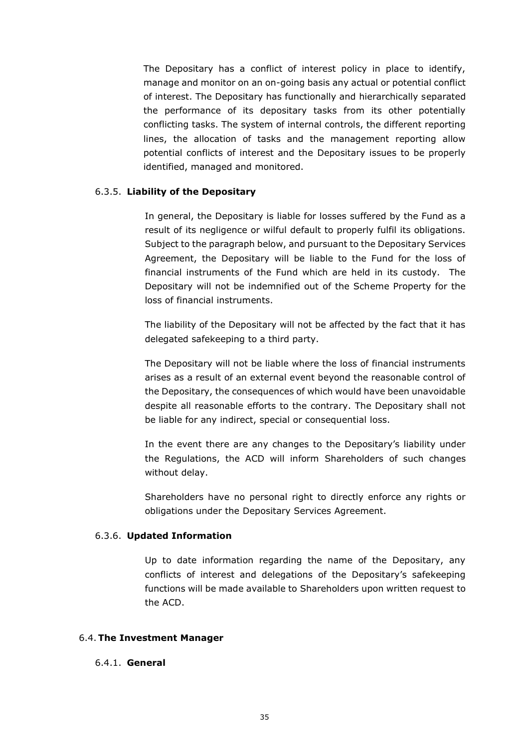The Depositary has a conflict of interest policy in place to identify, manage and monitor on an on-going basis any actual or potential conflict of interest. The Depositary has functionally and hierarchically separated the performance of its depositary tasks from its other potentially conflicting tasks. The system of internal controls, the different reporting lines, the allocation of tasks and the management reporting allow potential conflicts of interest and the Depositary issues to be properly identified, managed and monitored.

#### 6.3.5. **Liability of the Depositary**

In general, the Depositary is liable for losses suffered by the Fund as a result of its negligence or wilful default to properly fulfil its obligations. Subject to the paragraph below, and pursuant to the Depositary Services Agreement, the Depositary will be liable to the Fund for the loss of financial instruments of the Fund which are held in its custody. The Depositary will not be indemnified out of the Scheme Property for the loss of financial instruments.

The liability of the Depositary will not be affected by the fact that it has delegated safekeeping to a third party.

The Depositary will not be liable where the loss of financial instruments arises as a result of an external event beyond the reasonable control of the Depositary, the consequences of which would have been unavoidable despite all reasonable efforts to the contrary. The Depositary shall not be liable for any indirect, special or consequential loss.

In the event there are any changes to the Depositary's liability under the Regulations, the ACD will inform Shareholders of such changes without delay.

Shareholders have no personal right to directly enforce any rights or obligations under the Depositary Services Agreement.

#### 6.3.6. **Updated Information**

Up to date information regarding the name of the Depositary, any conflicts of interest and delegations of the Depositary's safekeeping functions will be made available to Shareholders upon written request to the ACD.

#### <span id="page-34-0"></span>6.4.**The Investment Manager**

#### 6.4.1. **General**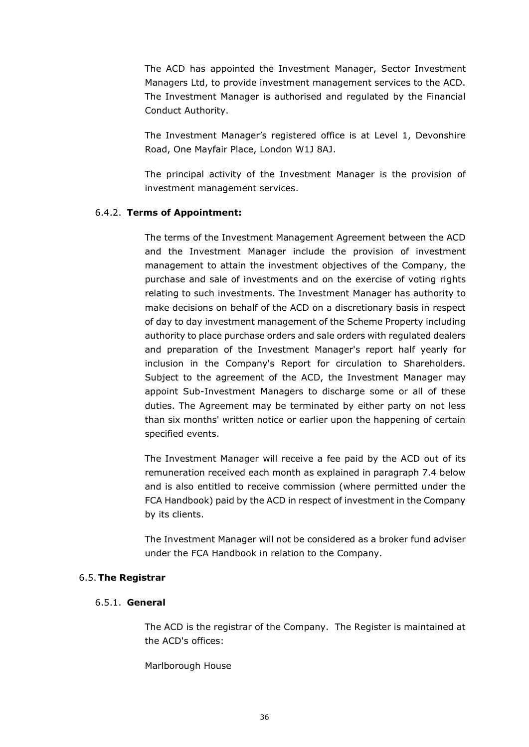The ACD has appointed the Investment Manager, Sector Investment Managers Ltd, to provide investment management services to the ACD. The Investment Manager is authorised and regulated by the Financial Conduct Authority.

The Investment Manager's registered office is at Level 1, Devonshire Road, One Mayfair Place, London W1J 8AJ.

The principal activity of the Investment Manager is the provision of investment management services.

# 6.4.2. **Terms of Appointment:**

The terms of the Investment Management Agreement between the ACD and the Investment Manager include the provision of investment management to attain the investment objectives of the Company, the purchase and sale of investments and on the exercise of voting rights relating to such investments. The Investment Manager has authority to make decisions on behalf of the ACD on a discretionary basis in respect of day to day investment management of the Scheme Property including authority to place purchase orders and sale orders with regulated dealers and preparation of the Investment Manager's report half yearly for inclusion in the Company's Report for circulation to Shareholders. Subject to the agreement of the ACD, the Investment Manager may appoint Sub-Investment Managers to discharge some or all of these duties. The Agreement may be terminated by either party on not less than six months' written notice or earlier upon the happening of certain specified events.

The Investment Manager will receive a fee paid by the ACD out of its remuneration received each month as explained in paragraph 7.4 below and is also entitled to receive commission (where permitted under the FCA Handbook) paid by the ACD in respect of investment in the Company by its clients.

The Investment Manager will not be considered as a broker fund adviser under the FCA Handbook in relation to the Company.

## <span id="page-35-0"></span>6.5.**The Registrar**

## 6.5.1. **General**

The ACD is the registrar of the Company. The Register is maintained at the ACD's offices:

Marlborough House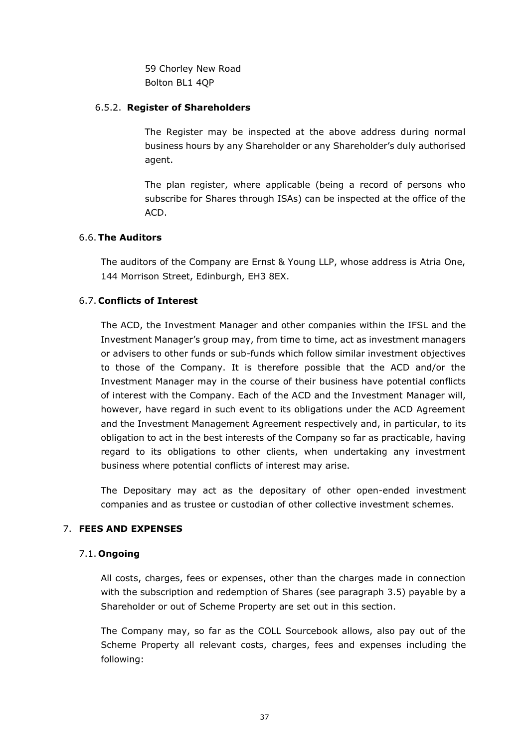59 Chorley New Road Bolton BL1 4QP

#### 6.5.2. **Register of Shareholders**

The Register may be inspected at the above address during normal business hours by any Shareholder or any Shareholder's duly authorised agent.

The plan register, where applicable (being a record of persons who subscribe for Shares through ISAs) can be inspected at the office of the ACD.

## 6.6.**The Auditors**

The auditors of the Company are Ernst & Young LLP, whose address is Atria One, 144 Morrison Street, Edinburgh, EH3 8EX.

## 6.7. **Conflicts of Interest**

The ACD, the Investment Manager and other companies within the IFSL and the Investment Manager's group may, from time to time, act as investment managers or advisers to other funds or sub-funds which follow similar investment objectives to those of the Company. It is therefore possible that the ACD and/or the Investment Manager may in the course of their business have potential conflicts of interest with the Company. Each of the ACD and the Investment Manager will, however, have regard in such event to its obligations under the ACD Agreement and the Investment Management Agreement respectively and, in particular, to its obligation to act in the best interests of the Company so far as practicable, having regard to its obligations to other clients, when undertaking any investment business where potential conflicts of interest may arise.

The Depositary may act as the depositary of other open-ended investment companies and as trustee or custodian of other collective investment schemes.

## 7. **FEES AND EXPENSES**

## 7.1. **Ongoing**

All costs, charges, fees or expenses, other than the charges made in connection with the subscription and redemption of Shares (see paragraph 3.5) payable by a Shareholder or out of Scheme Property are set out in this section.

The Company may, so far as the COLL Sourcebook allows, also pay out of the Scheme Property all relevant costs, charges, fees and expenses including the following: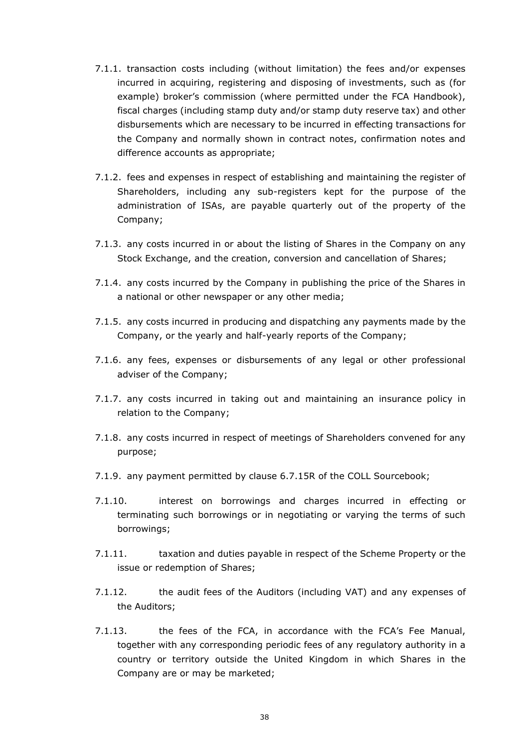- 7.1.1. transaction costs including (without limitation) the fees and/or expenses incurred in acquiring, registering and disposing of investments, such as (for example) broker's commission (where permitted under the FCA Handbook), fiscal charges (including stamp duty and/or stamp duty reserve tax) and other disbursements which are necessary to be incurred in effecting transactions for the Company and normally shown in contract notes, confirmation notes and difference accounts as appropriate;
- 7.1.2. fees and expenses in respect of establishing and maintaining the register of Shareholders, including any sub-registers kept for the purpose of the administration of ISAs, are payable quarterly out of the property of the Company;
- 7.1.3. any costs incurred in or about the listing of Shares in the Company on any Stock Exchange, and the creation, conversion and cancellation of Shares;
- 7.1.4. any costs incurred by the Company in publishing the price of the Shares in a national or other newspaper or any other media;
- 7.1.5. any costs incurred in producing and dispatching any payments made by the Company, or the yearly and half-yearly reports of the Company;
- 7.1.6. any fees, expenses or disbursements of any legal or other professional adviser of the Company;
- 7.1.7. any costs incurred in taking out and maintaining an insurance policy in relation to the Company;
- 7.1.8. any costs incurred in respect of meetings of Shareholders convened for any purpose;
- 7.1.9. any payment permitted by clause 6.7.15R of the COLL Sourcebook;
- 7.1.10. interest on borrowings and charges incurred in effecting or terminating such borrowings or in negotiating or varying the terms of such borrowings;
- 7.1.11. taxation and duties payable in respect of the Scheme Property or the issue or redemption of Shares;
- 7.1.12. the audit fees of the Auditors (including VAT) and any expenses of the Auditors;
- 7.1.13. the fees of the FCA, in accordance with the FCA's Fee Manual, together with any corresponding periodic fees of any regulatory authority in a country or territory outside the United Kingdom in which Shares in the Company are or may be marketed;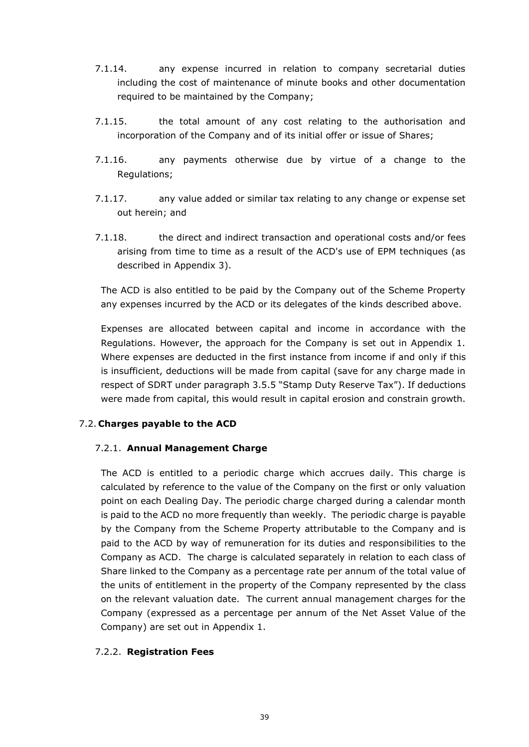- 7.1.14. any expense incurred in relation to company secretarial duties including the cost of maintenance of minute books and other documentation required to be maintained by the Company;
- 7.1.15. the total amount of any cost relating to the authorisation and incorporation of the Company and of its initial offer or issue of Shares;
- 7.1.16. any payments otherwise due by virtue of a change to the Regulations;
- 7.1.17. any value added or similar tax relating to any change or expense set out herein; and
- 7.1.18. the direct and indirect transaction and operational costs and/or fees arising from time to time as a result of the ACD's use of EPM techniques (as described in Appendix 3).

The ACD is also entitled to be paid by the Company out of the Scheme Property any expenses incurred by the ACD or its delegates of the kinds described above.

Expenses are allocated between capital and income in accordance with the Regulations. However, the approach for the Company is set out in Appendix 1. Where expenses are deducted in the first instance from income if and only if this is insufficient, deductions will be made from capital (save for any charge made in respect of SDRT under paragraph 3.5.5 "Stamp Duty Reserve Tax"). If deductions were made from capital, this would result in capital erosion and constrain growth.

## 7.2. **Charges payable to the ACD**

## 7.2.1. **Annual Management Charge**

The ACD is entitled to a periodic charge which accrues daily. This charge is calculated by reference to the value of the Company on the first or only valuation point on each Dealing Day. The periodic charge charged during a calendar month is paid to the ACD no more frequently than weekly. The periodic charge is payable by the Company from the Scheme Property attributable to the Company and is paid to the ACD by way of remuneration for its duties and responsibilities to the Company as ACD. The charge is calculated separately in relation to each class of Share linked to the Company as a percentage rate per annum of the total value of the units of entitlement in the property of the Company represented by the class on the relevant valuation date. The current annual management charges for the Company (expressed as a percentage per annum of the Net Asset Value of the Company) are set out in Appendix 1.

## 7.2.2. **Registration Fees**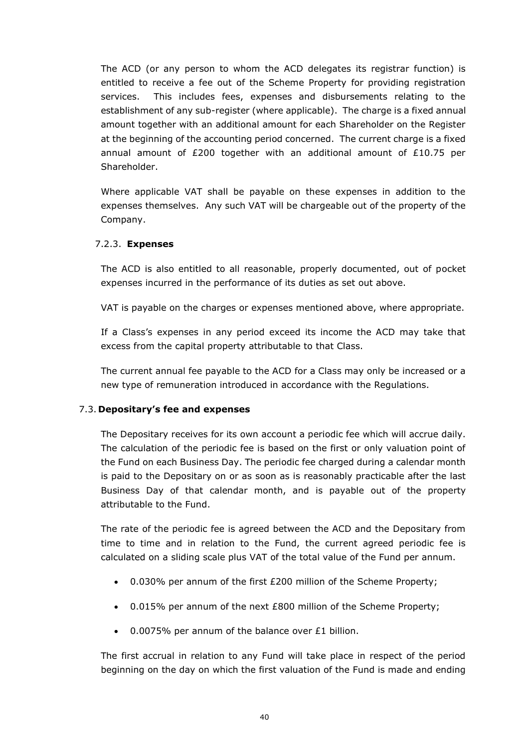The ACD (or any person to whom the ACD delegates its registrar function) is entitled to receive a fee out of the Scheme Property for providing registration services. This includes fees, expenses and disbursements relating to the establishment of any sub-register (where applicable). The charge is a fixed annual amount together with an additional amount for each Shareholder on the Register at the beginning of the accounting period concerned. The current charge is a fixed annual amount of  $E200$  together with an additional amount of  $E10.75$  per Shareholder.

Where applicable VAT shall be payable on these expenses in addition to the expenses themselves. Any such VAT will be chargeable out of the property of the Company.

## 7.2.3. **Expenses**

The ACD is also entitled to all reasonable, properly documented, out of pocket expenses incurred in the performance of its duties as set out above.

VAT is payable on the charges or expenses mentioned above, where appropriate.

If a Class's expenses in any period exceed its income the ACD may take that excess from the capital property attributable to that Class.

The current annual fee payable to the ACD for a Class may only be increased or a new type of remuneration introduced in accordance with the Regulations.

## 7.3. **Depositary's fee and expenses**

The Depositary receives for its own account a periodic fee which will accrue daily. The calculation of the periodic fee is based on the first or only valuation point of the Fund on each Business Day. The periodic fee charged during a calendar month is paid to the Depositary on or as soon as is reasonably practicable after the last Business Day of that calendar month, and is payable out of the property attributable to the Fund.

The rate of the periodic fee is agreed between the ACD and the Depositary from time to time and in relation to the Fund, the current agreed periodic fee is calculated on a sliding scale plus VAT of the total value of the Fund per annum.

- 0.030% per annum of the first £200 million of the Scheme Property;
- 0.015% per annum of the next £800 million of the Scheme Property;
- 0.0075% per annum of the balance over £1 billion.

The first accrual in relation to any Fund will take place in respect of the period beginning on the day on which the first valuation of the Fund is made and ending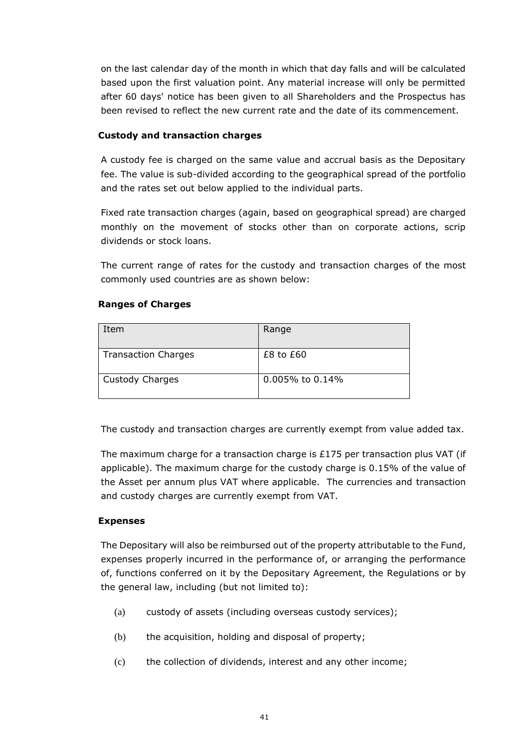on the last calendar day of the month in which that day falls and will be calculated based upon the first valuation point. Any material increase will only be permitted after 60 days' notice has been given to all Shareholders and the Prospectus has been revised to reflect the new current rate and the date of its commencement.

## **Custody and transaction charges**

A custody fee is charged on the same value and accrual basis as the Depositary fee. The value is sub-divided according to the geographical spread of the portfolio and the rates set out below applied to the individual parts.

Fixed rate transaction charges (again, based on geographical spread) are charged monthly on the movement of stocks other than on corporate actions, scrip dividends or stock loans.

The current range of rates for the custody and transaction charges of the most commonly used countries are as shown below:

## **Ranges of Charges**

| Item                       | Range                 |
|----------------------------|-----------------------|
| <b>Transaction Charges</b> | $£8$ to $£60$         |
| <b>Custody Charges</b>     | $0.005\%$ to $0.14\%$ |

The custody and transaction charges are currently exempt from value added tax.

The maximum charge for a transaction charge is £175 per transaction plus VAT (if applicable). The maximum charge for the custody charge is 0.15% of the value of the Asset per annum plus VAT where applicable. The currencies and transaction and custody charges are currently exempt from VAT.

## **Expenses**

The Depositary will also be reimbursed out of the property attributable to the Fund, expenses properly incurred in the performance of, or arranging the performance of, functions conferred on it by the Depositary Agreement, the Regulations or by the general law, including (but not limited to):

- (a) custody of assets (including overseas custody services);
- (b) the acquisition, holding and disposal of property;
- (c) the collection of dividends, interest and any other income;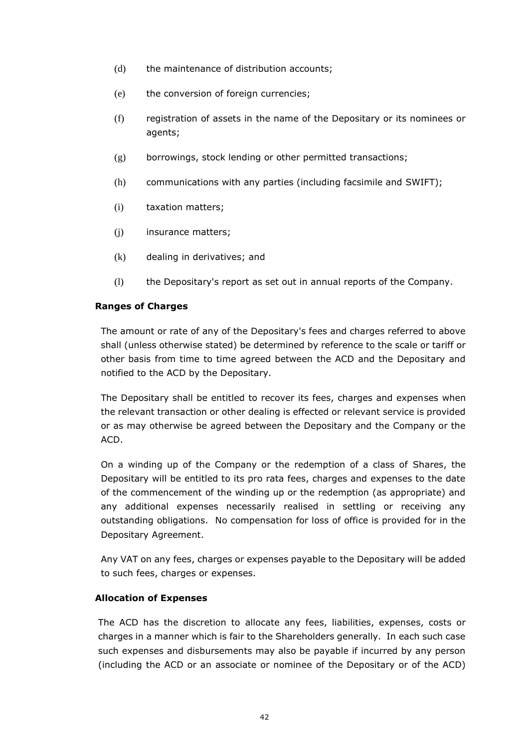- (d) the maintenance of distribution accounts;
- (e) the conversion of foreign currencies;
- (f) registration of assets in the name of the Depositary or its nominees or agents;
- (g) borrowings, stock lending or other permitted transactions;
- (h) communications with any parties (including facsimile and SWIFT);
- (i) taxation matters;
- (j) insurance matters;
- (k) dealing in derivatives; and
- (l) the Depositary's report as set out in annual reports of the Company.

#### **Ranges of Charges**

The amount or rate of any of the Depositary's fees and charges referred to above shall (unless otherwise stated) be determined by reference to the scale or tariff or other basis from time to time agreed between the ACD and the Depositary and notified to the ACD by the Depositary.

The Depositary shall be entitled to recover its fees, charges and expenses when the relevant transaction or other dealing is effected or relevant service is provided or as may otherwise be agreed between the Depositary and the Company or the ACD.

On a winding up of the Company or the redemption of a class of Shares, the Depositary will be entitled to its pro rata fees, charges and expenses to the date of the commencement of the winding up or the redemption (as appropriate) and any additional expenses necessarily realised in settling or receiving any outstanding obligations. No compensation for loss of office is provided for in the Depositary Agreement.

Any VAT on any fees, charges or expenses payable to the Depositary will be added to such fees, charges or expenses.

#### **Allocation of Expenses**

The ACD has the discretion to allocate any fees, liabilities, expenses, costs or charges in a manner which is fair to the Shareholders generally. In each such case such expenses and disbursements may also be payable if incurred by any person (including the ACD or an associate or nominee of the Depositary or of the ACD)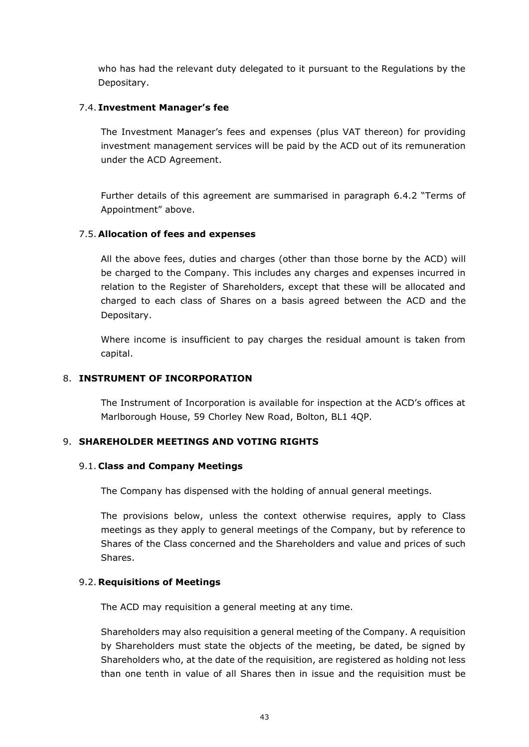who has had the relevant duty delegated to it pursuant to the Regulations by the Depositary.

## 7.4. **Investment Manager's fee**

The Investment Manager's fees and expenses (plus VAT thereon) for providing investment management services will be paid by the ACD out of its remuneration under the ACD Agreement.

Further details of this agreement are summarised in paragraph 6.4.2 "Terms of Appointment" above.

#### 7.5. **Allocation of fees and expenses**

All the above fees, duties and charges (other than those borne by the ACD) will be charged to the Company. This includes any charges and expenses incurred in relation to the Register of Shareholders, except that these will be allocated and charged to each class of Shares on a basis agreed between the ACD and the Depositary.

Where income is insufficient to pay charges the residual amount is taken from capital.

## 8. **INSTRUMENT OF INCORPORATION**

The Instrument of Incorporation is available for inspection at the ACD's offices at Marlborough House, 59 Chorley New Road, Bolton, BL1 4QP.

## 9. **SHAREHOLDER MEETINGS AND VOTING RIGHTS**

#### 9.1. **Class and Company Meetings**

The Company has dispensed with the holding of annual general meetings.

The provisions below, unless the context otherwise requires, apply to Class meetings as they apply to general meetings of the Company, but by reference to Shares of the Class concerned and the Shareholders and value and prices of such Shares.

## 9.2. **Requisitions of Meetings**

The ACD may requisition a general meeting at any time.

Shareholders may also requisition a general meeting of the Company. A requisition by Shareholders must state the objects of the meeting, be dated, be signed by Shareholders who, at the date of the requisition, are registered as holding not less than one tenth in value of all Shares then in issue and the requisition must be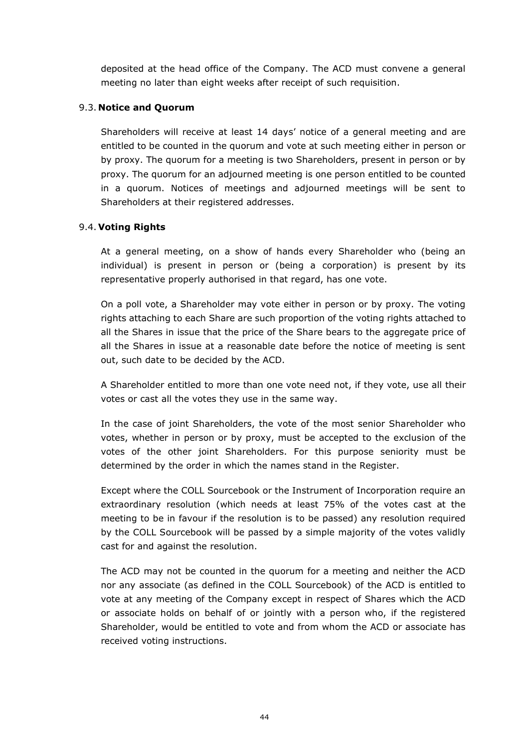deposited at the head office of the Company. The ACD must convene a general meeting no later than eight weeks after receipt of such requisition.

## 9.3. **Notice and Quorum**

Shareholders will receive at least 14 days' notice of a general meeting and are entitled to be counted in the quorum and vote at such meeting either in person or by proxy. The quorum for a meeting is two Shareholders, present in person or by proxy. The quorum for an adjourned meeting is one person entitled to be counted in a quorum. Notices of meetings and adjourned meetings will be sent to Shareholders at their registered addresses.

## 9.4. **Voting Rights**

At a general meeting, on a show of hands every Shareholder who (being an individual) is present in person or (being a corporation) is present by its representative properly authorised in that regard, has one vote.

On a poll vote, a Shareholder may vote either in person or by proxy. The voting rights attaching to each Share are such proportion of the voting rights attached to all the Shares in issue that the price of the Share bears to the aggregate price of all the Shares in issue at a reasonable date before the notice of meeting is sent out, such date to be decided by the ACD.

A Shareholder entitled to more than one vote need not, if they vote, use all their votes or cast all the votes they use in the same way.

In the case of joint Shareholders, the vote of the most senior Shareholder who votes, whether in person or by proxy, must be accepted to the exclusion of the votes of the other joint Shareholders. For this purpose seniority must be determined by the order in which the names stand in the Register.

Except where the COLL Sourcebook or the Instrument of Incorporation require an extraordinary resolution (which needs at least 75% of the votes cast at the meeting to be in favour if the resolution is to be passed) any resolution required by the COLL Sourcebook will be passed by a simple majority of the votes validly cast for and against the resolution.

The ACD may not be counted in the quorum for a meeting and neither the ACD nor any associate (as defined in the COLL Sourcebook) of the ACD is entitled to vote at any meeting of the Company except in respect of Shares which the ACD or associate holds on behalf of or jointly with a person who, if the registered Shareholder, would be entitled to vote and from whom the ACD or associate has received voting instructions.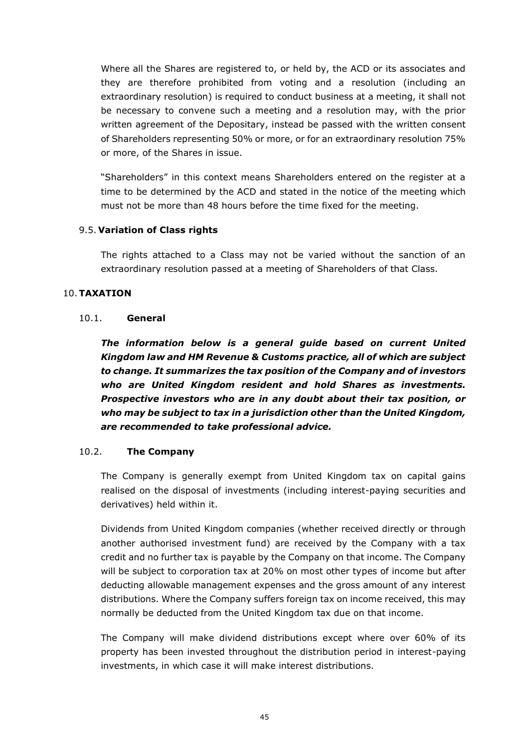Where all the Shares are registered to, or held by, the ACD or its associates and they are therefore prohibited from voting and a resolution (including an extraordinary resolution) is required to conduct business at a meeting, it shall not be necessary to convene such a meeting and a resolution may, with the prior written agreement of the Depositary, instead be passed with the written consent of Shareholders representing 50% or more, or for an extraordinary resolution 75% or more, of the Shares in issue.

"Shareholders" in this context means Shareholders entered on the register at a time to be determined by the ACD and stated in the notice of the meeting which must not be more than 48 hours before the time fixed for the meeting.

## 9.5. **Variation of Class rights**

The rights attached to a Class may not be varied without the sanction of an extraordinary resolution passed at a meeting of Shareholders of that Class.

#### 10.**TAXATION**

#### 10.1. **General**

*The information below is a general guide based on current United Kingdom law and HM Revenue & Customs practice, all of which are subject to change. It summarizes the tax position of the Company and of investors who are United Kingdom resident and hold Shares as investments. Prospective investors who are in any doubt about their tax position, or who may be subject to tax in a jurisdiction other than the United Kingdom, are recommended to take professional advice.*

#### 10.2. **The Company**

The Company is generally exempt from United Kingdom tax on capital gains realised on the disposal of investments (including interest-paying securities and derivatives) held within it.

Dividends from United Kingdom companies (whether received directly or through another authorised investment fund) are received by the Company with a tax credit and no further tax is payable by the Company on that income. The Company will be subject to corporation tax at 20% on most other types of income but after deducting allowable management expenses and the gross amount of any interest distributions. Where the Company suffers foreign tax on income received, this may normally be deducted from the United Kingdom tax due on that income.

The Company will make dividend distributions except where over 60% of its property has been invested throughout the distribution period in interest-paying investments, in which case it will make interest distributions.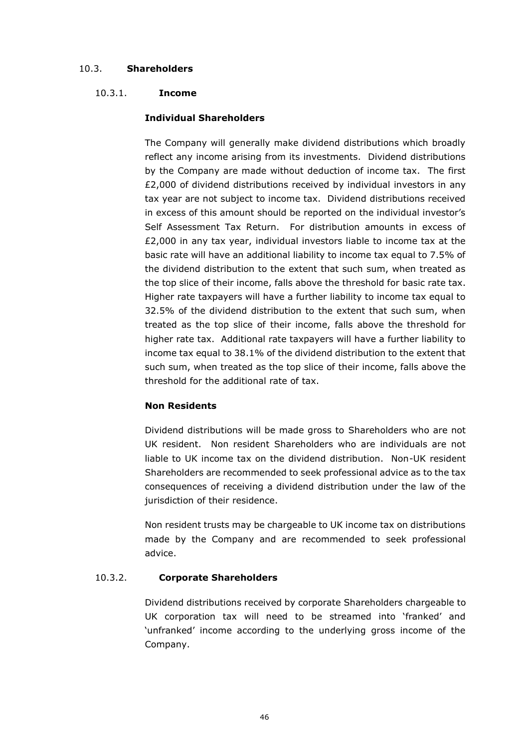## 10.3. **Shareholders**

## 10.3.1. **Income**

## **Individual Shareholders**

The Company will generally make dividend distributions which broadly reflect any income arising from its investments. Dividend distributions by the Company are made without deduction of income tax. The first £2,000 of dividend distributions received by individual investors in any tax year are not subject to income tax. Dividend distributions received in excess of this amount should be reported on the individual investor's Self Assessment Tax Return. For distribution amounts in excess of £2,000 in any tax year, individual investors liable to income tax at the basic rate will have an additional liability to income tax equal to 7.5% of the dividend distribution to the extent that such sum, when treated as the top slice of their income, falls above the threshold for basic rate tax. Higher rate taxpayers will have a further liability to income tax equal to 32.5% of the dividend distribution to the extent that such sum, when treated as the top slice of their income, falls above the threshold for higher rate tax. Additional rate taxpayers will have a further liability to income tax equal to 38.1% of the dividend distribution to the extent that such sum, when treated as the top slice of their income, falls above the threshold for the additional rate of tax.

## **Non Residents**

Dividend distributions will be made gross to Shareholders who are not UK resident. Non resident Shareholders who are individuals are not liable to UK income tax on the dividend distribution. Non-UK resident Shareholders are recommended to seek professional advice as to the tax consequences of receiving a dividend distribution under the law of the jurisdiction of their residence.

Non resident trusts may be chargeable to UK income tax on distributions made by the Company and are recommended to seek professional advice.

## 10.3.2. **Corporate Shareholders**

Dividend distributions received by corporate Shareholders chargeable to UK corporation tax will need to be streamed into 'franked' and 'unfranked' income according to the underlying gross income of the Company.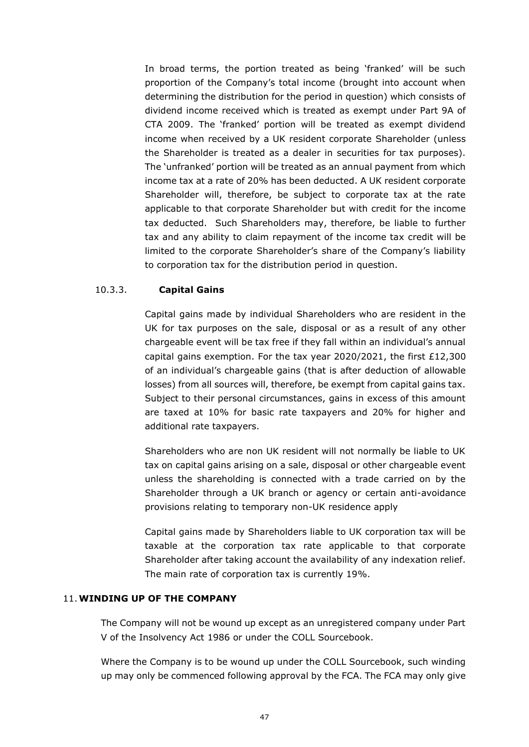In broad terms, the portion treated as being 'franked' will be such proportion of the Company's total income (brought into account when determining the distribution for the period in question) which consists of dividend income received which is treated as exempt under Part 9A of CTA 2009. The 'franked' portion will be treated as exempt dividend income when received by a UK resident corporate Shareholder (unless the Shareholder is treated as a dealer in securities for tax purposes). The 'unfranked' portion will be treated as an annual payment from which income tax at a rate of 20% has been deducted. A UK resident corporate Shareholder will, therefore, be subject to corporate tax at the rate applicable to that corporate Shareholder but with credit for the income tax deducted. Such Shareholders may, therefore, be liable to further tax and any ability to claim repayment of the income tax credit will be limited to the corporate Shareholder's share of the Company's liability to corporation tax for the distribution period in question.

## 10.3.3. **Capital Gains**

Capital gains made by individual Shareholders who are resident in the UK for tax purposes on the sale, disposal or as a result of any other chargeable event will be tax free if they fall within an individual's annual capital gains exemption. For the tax year 2020/2021, the first £12,300 of an individual's chargeable gains (that is after deduction of allowable losses) from all sources will, therefore, be exempt from capital gains tax. Subject to their personal circumstances, gains in excess of this amount are taxed at 10% for basic rate taxpayers and 20% for higher and additional rate taxpayers.

Shareholders who are non UK resident will not normally be liable to UK tax on capital gains arising on a sale, disposal or other chargeable event unless the shareholding is connected with a trade carried on by the Shareholder through a UK branch or agency or certain anti-avoidance provisions relating to temporary non-UK residence apply

Capital gains made by Shareholders liable to UK corporation tax will be taxable at the corporation tax rate applicable to that corporate Shareholder after taking account the availability of any indexation relief. The main rate of corporation tax is currently 19%.

## 11.**WINDING UP OF THE COMPANY**

The Company will not be wound up except as an unregistered company under Part V of the Insolvency Act 1986 or under the COLL Sourcebook.

Where the Company is to be wound up under the COLL Sourcebook, such winding up may only be commenced following approval by the FCA. The FCA may only give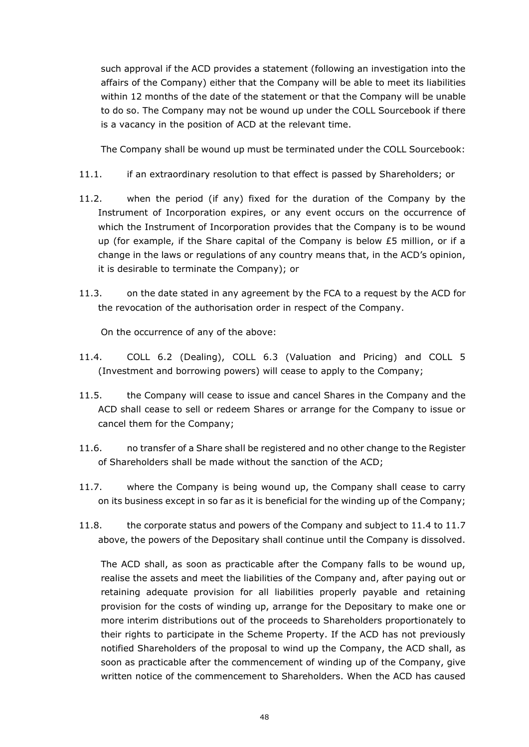such approval if the ACD provides a statement (following an investigation into the affairs of the Company) either that the Company will be able to meet its liabilities within 12 months of the date of the statement or that the Company will be unable to do so. The Company may not be wound up under the COLL Sourcebook if there is a vacancy in the position of ACD at the relevant time.

The Company shall be wound up must be terminated under the COLL Sourcebook:

- 11.1. if an extraordinary resolution to that effect is passed by Shareholders; or
- 11.2. when the period (if any) fixed for the duration of the Company by the Instrument of Incorporation expires, or any event occurs on the occurrence of which the Instrument of Incorporation provides that the Company is to be wound up (for example, if the Share capital of the Company is below £5 million, or if a change in the laws or regulations of any country means that, in the ACD's opinion, it is desirable to terminate the Company); or
- 11.3. on the date stated in any agreement by the FCA to a request by the ACD for the revocation of the authorisation order in respect of the Company.

On the occurrence of any of the above:

- 11.4. COLL 6.2 (Dealing), COLL 6.3 (Valuation and Pricing) and COLL 5 (Investment and borrowing powers) will cease to apply to the Company;
- 11.5. the Company will cease to issue and cancel Shares in the Company and the ACD shall cease to sell or redeem Shares or arrange for the Company to issue or cancel them for the Company;
- 11.6. no transfer of a Share shall be registered and no other change to the Register of Shareholders shall be made without the sanction of the ACD;
- 11.7. where the Company is being wound up, the Company shall cease to carry on its business except in so far as it is beneficial for the winding up of the Company;
- 11.8. the corporate status and powers of the Company and subject to 11.4 to 11.7 above, the powers of the Depositary shall continue until the Company is dissolved.

The ACD shall, as soon as practicable after the Company falls to be wound up, realise the assets and meet the liabilities of the Company and, after paying out or retaining adequate provision for all liabilities properly payable and retaining provision for the costs of winding up, arrange for the Depositary to make one or more interim distributions out of the proceeds to Shareholders proportionately to their rights to participate in the Scheme Property. If the ACD has not previously notified Shareholders of the proposal to wind up the Company, the ACD shall, as soon as practicable after the commencement of winding up of the Company, give written notice of the commencement to Shareholders. When the ACD has caused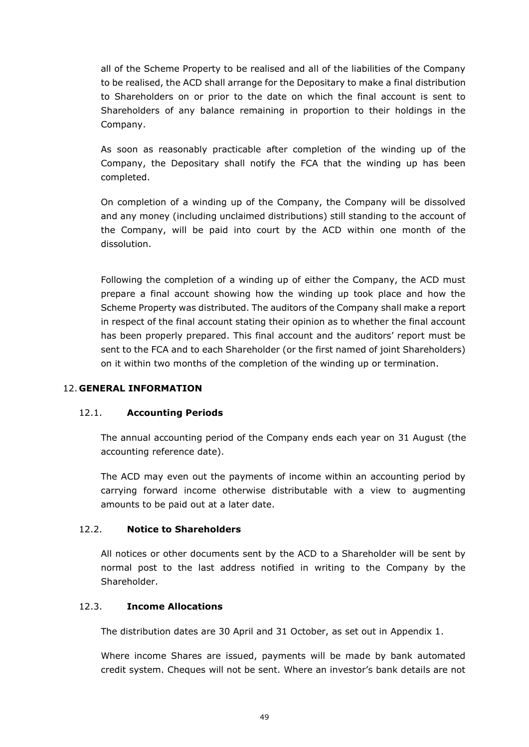all of the Scheme Property to be realised and all of the liabilities of the Company to be realised, the ACD shall arrange for the Depositary to make a final distribution to Shareholders on or prior to the date on which the final account is sent to Shareholders of any balance remaining in proportion to their holdings in the Company.

As soon as reasonably practicable after completion of the winding up of the Company, the Depositary shall notify the FCA that the winding up has been completed.

On completion of a winding up of the Company, the Company will be dissolved and any money (including unclaimed distributions) still standing to the account of the Company, will be paid into court by the ACD within one month of the dissolution.

Following the completion of a winding up of either the Company, the ACD must prepare a final account showing how the winding up took place and how the Scheme Property was distributed. The auditors of the Company shall make a report in respect of the final account stating their opinion as to whether the final account has been properly prepared. This final account and the auditors' report must be sent to the FCA and to each Shareholder (or the first named of joint Shareholders) on it within two months of the completion of the winding up or termination.

## 12. **GENERAL INFORMATION**

## 12.1. **Accounting Periods**

The annual accounting period of the Company ends each year on 31 August (the accounting reference date).

The ACD may even out the payments of income within an accounting period by carrying forward income otherwise distributable with a view to augmenting amounts to be paid out at a later date.

#### 12.2. **Notice to Shareholders**

All notices or other documents sent by the ACD to a Shareholder will be sent by normal post to the last address notified in writing to the Company by the Shareholder.

## 12.3. **Income Allocations**

The distribution dates are 30 April and 31 October, as set out in Appendix 1.

Where income Shares are issued, payments will be made by bank automated credit system. Cheques will not be sent. Where an investor's bank details are not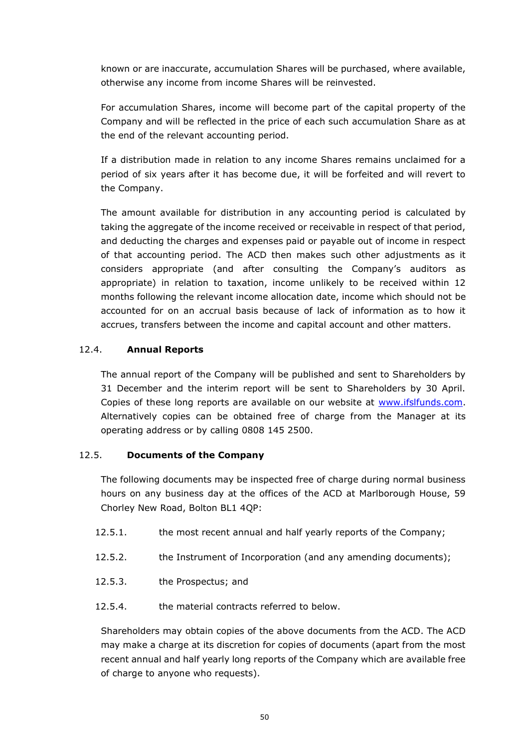known or are inaccurate, accumulation Shares will be purchased, where available, otherwise any income from income Shares will be reinvested.

For accumulation Shares, income will become part of the capital property of the Company and will be reflected in the price of each such accumulation Share as at the end of the relevant accounting period.

If a distribution made in relation to any income Shares remains unclaimed for a period of six years after it has become due, it will be forfeited and will revert to the Company.

The amount available for distribution in any accounting period is calculated by taking the aggregate of the income received or receivable in respect of that period, and deducting the charges and expenses paid or payable out of income in respect of that accounting period. The ACD then makes such other adjustments as it considers appropriate (and after consulting the Company's auditors as appropriate) in relation to taxation, income unlikely to be received within 12 months following the relevant income allocation date, income which should not be accounted for on an accrual basis because of lack of information as to how it accrues, transfers between the income and capital account and other matters.

## 12.4. **Annual Reports**

The annual report of the Company will be published and sent to Shareholders by 31 December and the interim report will be sent to Shareholders by 30 April. Copies of these long reports are available on our website at [www.ifslfunds.com.](http://www.marlboroughfunds.com/) Alternatively copies can be obtained free of charge from the Manager at its operating address or by calling 0808 145 2500.

## 12.5. **Documents of the Company**

The following documents may be inspected free of charge during normal business hours on any business day at the offices of the ACD at Marlborough House, 59 Chorley New Road, Bolton BL1 4QP:

- 12.5.1. the most recent annual and half yearly reports of the Company;
- 12.5.2. the Instrument of Incorporation (and any amending documents);
- 12.5.3. the Prospectus; and
- 12.5.4. the material contracts referred to below.

Shareholders may obtain copies of the above documents from the ACD. The ACD may make a charge at its discretion for copies of documents (apart from the most recent annual and half yearly long reports of the Company which are available free of charge to anyone who requests).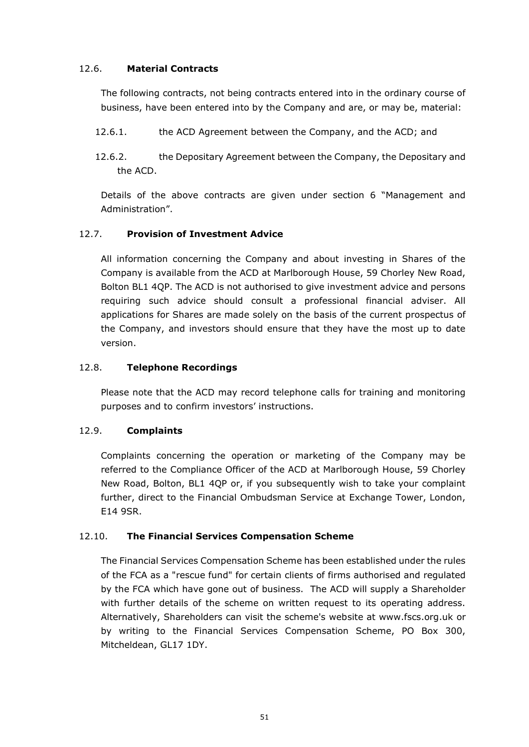## 12.6. **Material Contracts**

The following contracts, not being contracts entered into in the ordinary course of business, have been entered into by the Company and are, or may be, material:

- 12.6.1. the ACD Agreement between the Company, and the ACD; and
- 12.6.2. the Depositary Agreement between the Company, the Depositary and the ACD.

Details of the above contracts are given under section 6 "Management and Administration".

## 12.7. **Provision of Investment Advice**

All information concerning the Company and about investing in Shares of the Company is available from the ACD at Marlborough House, 59 Chorley New Road, Bolton BL1 4QP. The ACD is not authorised to give investment advice and persons requiring such advice should consult a professional financial adviser. All applications for Shares are made solely on the basis of the current prospectus of the Company, and investors should ensure that they have the most up to date version.

## 12.8. **Telephone Recordings**

Please note that the ACD may record telephone calls for training and monitoring purposes and to confirm investors' instructions.

## 12.9. **Complaints**

Complaints concerning the operation or marketing of the Company may be referred to the Compliance Officer of the ACD at Marlborough House, 59 Chorley New Road, Bolton, BL1 4QP or, if you subsequently wish to take your complaint further, direct to the Financial Ombudsman Service at Exchange Tower, London, E14 9SR.

## 12.10. **The Financial Services Compensation Scheme**

The Financial Services Compensation Scheme has been established under the rules of the FCA as a "rescue fund" for certain clients of firms authorised and regulated by the FCA which have gone out of business. The ACD will supply a Shareholder with further details of the scheme on written request to its operating address. Alternatively, Shareholders can visit the scheme's website at www.fscs.org.uk or by writing to the Financial Services Compensation Scheme, PO Box 300, Mitcheldean, GL17 1DY.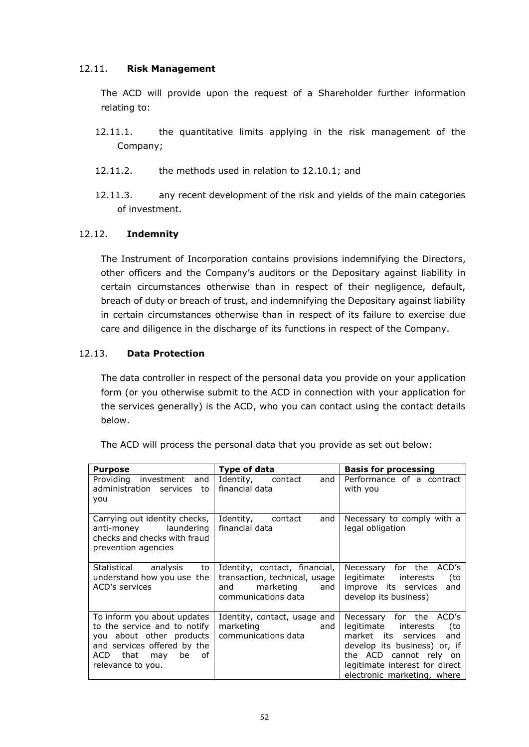## 12.11. **Risk Management**

The ACD will provide upon the request of a Shareholder further information relating to:

- 12.11.1. the quantitative limits applying in the risk management of the Company;
- 12.11.2. the methods used in relation to 12.10.1; and
- 12.11.3. any recent development of the risk and yields of the main categories of investment.

## 12.12. **Indemnity**

The Instrument of Incorporation contains provisions indemnifying the Directors, other officers and the Company's auditors or the Depositary against liability in certain circumstances otherwise than in respect of their negligence, default, breach of duty or breach of trust, and indemnifying the Depositary against liability in certain circumstances otherwise than in respect of its failure to exercise due care and diligence in the discharge of its functions in respect of the Company.

## 12.13. **Data Protection**

The data controller in respect of the personal data you provide on your application form (or you otherwise submit to the ACD in connection with your application for the services generally) is the ACD, who you can contact using the contact details below.

| <b>Purpose</b>                                                                                                                                                    | Type of data                                                                                                  | <b>Basis for processing</b>                                                                                                                                                                                  |
|-------------------------------------------------------------------------------------------------------------------------------------------------------------------|---------------------------------------------------------------------------------------------------------------|--------------------------------------------------------------------------------------------------------------------------------------------------------------------------------------------------------------|
| Providing investment and<br>administration services to<br>you                                                                                                     | and<br>Identity,<br>contact<br>financial data                                                                 | Performance of a contract<br>with you                                                                                                                                                                        |
| Carrying out identity checks,<br>anti-money laundering<br>checks and checks with fraud<br>prevention agencies                                                     | Identity, contact<br>and<br>financial data                                                                    | Necessary to comply with a<br>legal obligation                                                                                                                                                               |
| Statistical analysis<br>to<br>understand how you use the<br>ACD's services                                                                                        | Identity, contact, financial,<br>transaction, technical, usage<br>marketing and<br>and<br>communications data | Necessary for the ACD's<br>(to<br>legitimate interests<br>improve its services<br>and<br>develop its business)                                                                                               |
| To inform you about updates<br>to the service and to notify<br>you about other products<br>and services offered by the<br>ACD that may be of<br>relevance to you. | Identity, contact, usage and<br>marketing and the marketing<br>and<br>communications data                     | Necessary for the ACD's<br>legitimate interests<br>to)<br>market its services and<br>develop its business) or, if<br>the ACD cannot rely on<br>legitimate interest for direct<br>electronic marketing, where |

The ACD will process the personal data that you provide as set out below: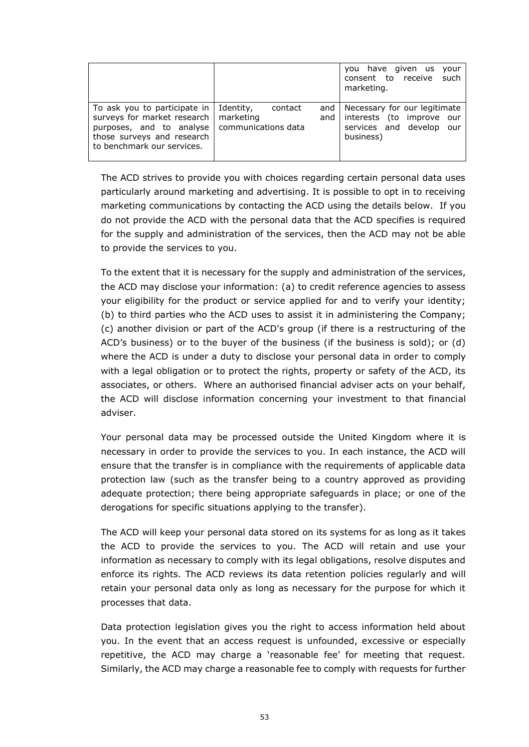|                                                                                                                                                       |                                                                        | you have given us your<br>consent to receive such<br>marketing.                                       |
|-------------------------------------------------------------------------------------------------------------------------------------------------------|------------------------------------------------------------------------|-------------------------------------------------------------------------------------------------------|
| To ask you to participate in<br>surveys for market research  <br>purposes, and to analyse<br>those surveys and research<br>to benchmark our services. | Identity,<br>and<br>contact<br>marketing<br>and<br>communications data | Necessary for our legitimate<br>interests (to improve our<br>services and develop<br>our<br>business) |

The ACD strives to provide you with choices regarding certain personal data uses particularly around marketing and advertising. It is possible to opt in to receiving marketing communications by contacting the ACD using the details below. If you do not provide the ACD with the personal data that the ACD specifies is required for the supply and administration of the services, then the ACD may not be able to provide the services to you.

To the extent that it is necessary for the supply and administration of the services, the ACD may disclose your information: (a) to credit reference agencies to assess your eligibility for the product or service applied for and to verify your identity; (b) to third parties who the ACD uses to assist it in administering the Company; (c) another division or part of the ACD's group (if there is a restructuring of the ACD's business) or to the buyer of the business (if the business is sold); or (d) where the ACD is under a duty to disclose your personal data in order to comply with a legal obligation or to protect the rights, property or safety of the ACD, its associates, or others. Where an authorised financial adviser acts on your behalf, the ACD will disclose information concerning your investment to that financial adviser.

Your personal data may be processed outside the United Kingdom where it is necessary in order to provide the services to you. In each instance, the ACD will ensure that the transfer is in compliance with the requirements of applicable data protection law (such as the transfer being to a country approved as providing adequate protection; there being appropriate safeguards in place; or one of the derogations for specific situations applying to the transfer).

The ACD will keep your personal data stored on its systems for as long as it takes the ACD to provide the services to you. The ACD will retain and use your information as necessary to comply with its legal obligations, resolve disputes and enforce its rights. The ACD reviews its data retention policies regularly and will retain your personal data only as long as necessary for the purpose for which it processes that data.

Data protection legislation gives you the right to access information held about you. In the event that an access request is unfounded, excessive or especially repetitive, the ACD may charge a 'reasonable fee' for meeting that request. Similarly, the ACD may charge a reasonable fee to comply with requests for further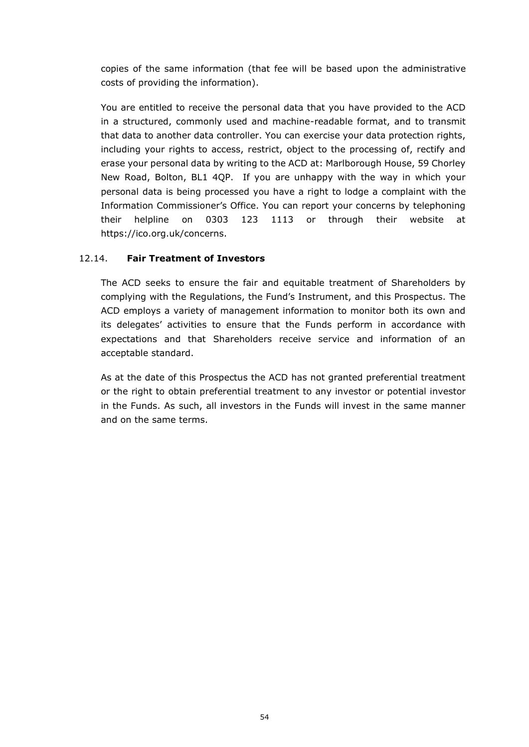copies of the same information (that fee will be based upon the administrative costs of providing the information).

You are entitled to receive the personal data that you have provided to the ACD in a structured, commonly used and machine-readable format, and to transmit that data to another data controller. You can exercise your data protection rights, including your rights to access, restrict, object to the processing of, rectify and erase your personal data by writing to the ACD at: Marlborough House, 59 Chorley New Road, Bolton, BL1 4QP. If you are unhappy with the way in which your personal data is being processed you have a right to lodge a complaint with the Information Commissioner's Office. You can report your concerns by telephoning their helpline on 0303 123 1113 or through their website at https://ico.org.uk/concerns.

## 12.14. **Fair Treatment of Investors**

The ACD seeks to ensure the fair and equitable treatment of Shareholders by complying with the Regulations, the Fund's Instrument, and this Prospectus. The ACD employs a variety of management information to monitor both its own and its delegates' activities to ensure that the Funds perform in accordance with expectations and that Shareholders receive service and information of an acceptable standard.

As at the date of this Prospectus the ACD has not granted preferential treatment or the right to obtain preferential treatment to any investor or potential investor in the Funds. As such, all investors in the Funds will invest in the same manner and on the same terms.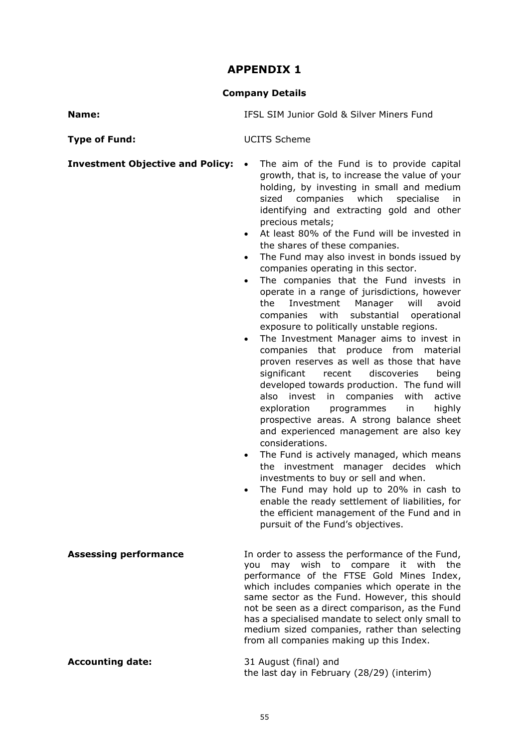# **APPENDIX 1**

## **Company Details**

**Name:** IFSL SIM Junior Gold & Silver Miners Fund

| <b>Type of Fund:</b>                    | <b>UCITS Scheme</b>                                                                                                                                                                                                                                                                                                                                                                                                                                                                                                                                                                                                                                                                                                                                                                                                                                                                                                                                                                                                                                                                                                                                                                                                                                                                                                                                                                                                                                                                                                           |
|-----------------------------------------|-------------------------------------------------------------------------------------------------------------------------------------------------------------------------------------------------------------------------------------------------------------------------------------------------------------------------------------------------------------------------------------------------------------------------------------------------------------------------------------------------------------------------------------------------------------------------------------------------------------------------------------------------------------------------------------------------------------------------------------------------------------------------------------------------------------------------------------------------------------------------------------------------------------------------------------------------------------------------------------------------------------------------------------------------------------------------------------------------------------------------------------------------------------------------------------------------------------------------------------------------------------------------------------------------------------------------------------------------------------------------------------------------------------------------------------------------------------------------------------------------------------------------------|
| <b>Investment Objective and Policy:</b> | The aim of the Fund is to provide capital<br>$\bullet$<br>growth, that is, to increase the value of your<br>holding, by investing in small and medium<br>sized companies<br>which<br>specialise<br>in.<br>identifying and extracting gold and other<br>precious metals;<br>At least 80% of the Fund will be invested in<br>$\bullet$<br>the shares of these companies.<br>The Fund may also invest in bonds issued by<br>$\bullet$<br>companies operating in this sector.<br>The companies that the Fund invests in<br>$\bullet$<br>operate in a range of jurisdictions, however<br>the<br>Investment<br>Manager<br>will<br>avoid<br>with<br>substantial<br>companies<br>operational<br>exposure to politically unstable regions.<br>The Investment Manager aims to invest in<br>companies that produce from<br>material<br>proven reserves as well as those that have<br>significant<br>discoveries<br>recent<br>being<br>developed towards production. The fund will<br>with<br>also<br>invest<br>in<br>companies<br>active<br>exploration<br>programmes<br>in<br>highly<br>prospective areas. A strong balance sheet<br>and experienced management are also key<br>considerations.<br>The Fund is actively managed, which means<br>$\bullet$<br>the investment manager decides which<br>investments to buy or sell and when.<br>The Fund may hold up to 20% in cash to<br>$\bullet$<br>enable the ready settlement of liabilities, for<br>the efficient management of the Fund and in<br>pursuit of the Fund's objectives. |
| <b>Assessing performance</b>            | In order to assess the performance of the Fund,<br>may wish to compare<br>it with<br>the<br>you<br>performance of the FTSE Gold Mines Index,<br>which includes companies which operate in the<br>same sector as the Fund. However, this should<br>not be seen as a direct comparison, as the Fund<br>has a specialised mandate to select only small to<br>medium sized companies, rather than selecting<br>from all companies making up this Index.                                                                                                                                                                                                                                                                                                                                                                                                                                                                                                                                                                                                                                                                                                                                                                                                                                                                                                                                                                                                                                                                           |
| <b>Accounting date:</b>                 | 31 August (final) and<br>the last day in February (28/29) (interim)                                                                                                                                                                                                                                                                                                                                                                                                                                                                                                                                                                                                                                                                                                                                                                                                                                                                                                                                                                                                                                                                                                                                                                                                                                                                                                                                                                                                                                                           |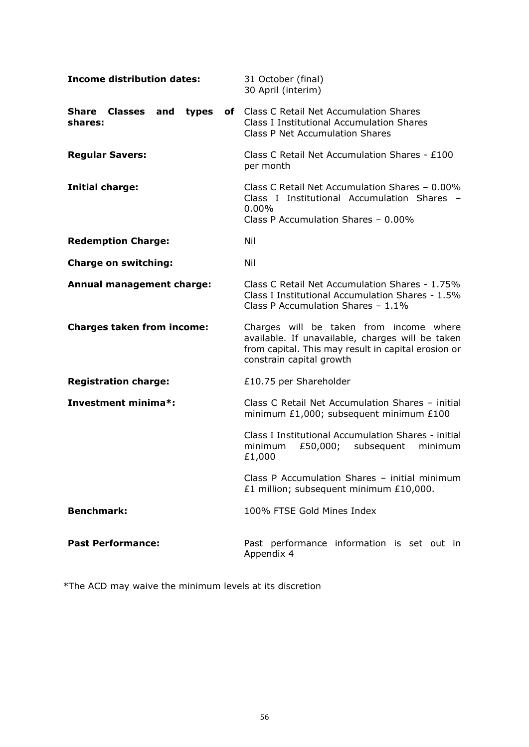| <b>Income distribution dates:</b>               | 31 October (final)<br>30 April (interim)                                                                                                                                       |
|-------------------------------------------------|--------------------------------------------------------------------------------------------------------------------------------------------------------------------------------|
| <b>Share Classes</b><br>and<br>types<br>shares: | of Class C Retail Net Accumulation Shares<br><b>Class I Institutional Accumulation Shares</b><br><b>Class P Net Accumulation Shares</b>                                        |
| <b>Regular Savers:</b>                          | Class C Retail Net Accumulation Shares - £100<br>per month                                                                                                                     |
| <b>Initial charge:</b>                          | Class C Retail Net Accumulation Shares - 0.00%<br>Class I Institutional Accumulation Shares<br>$0.00\%$<br>Class P Accumulation Shares - 0.00%                                 |
| <b>Redemption Charge:</b>                       | Nil                                                                                                                                                                            |
| <b>Charge on switching:</b>                     | Nil                                                                                                                                                                            |
| Annual management charge:                       | Class C Retail Net Accumulation Shares - 1.75%<br>Class I Institutional Accumulation Shares - 1.5%<br>Class P Accumulation Shares - 1.1%                                       |
| <b>Charges taken from income:</b>               | Charges will be taken from income where<br>available. If unavailable, charges will be taken<br>from capital. This may result in capital erosion or<br>constrain capital growth |
| <b>Registration charge:</b>                     | £10.75 per Shareholder                                                                                                                                                         |
| Investment minima*:                             | Class C Retail Net Accumulation Shares - initial<br>minimum £1,000; subsequent minimum £100                                                                                    |
|                                                 | Class I Institutional Accumulation Shares - initial<br>minimum<br>£50,000;<br>subsequent<br>minimum<br>£1,000                                                                  |
|                                                 | Class P Accumulation Shares - initial minimum<br>£1 million; subsequent minimum £10,000.                                                                                       |
| <b>Benchmark:</b>                               | 100% FTSE Gold Mines Index                                                                                                                                                     |
| <b>Past Performance:</b>                        | Past performance information is set out in<br>Appendix 4                                                                                                                       |

\*The ACD may waive the minimum levels at its discretion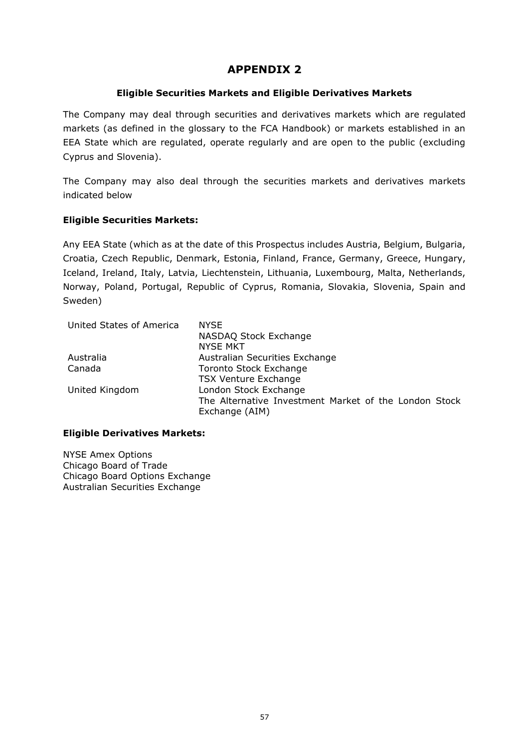## **APPENDIX 2**

#### **Eligible Securities Markets and Eligible Derivatives Markets**

The Company may deal through securities and derivatives markets which are regulated markets (as defined in the glossary to the FCA Handbook) or markets established in an EEA State which are regulated, operate regularly and are open to the public (excluding Cyprus and Slovenia).

The Company may also deal through the securities markets and derivatives markets indicated below

#### **Eligible Securities Markets:**

Any EEA State (which as at the date of this Prospectus includes Austria, Belgium, Bulgaria, Croatia, Czech Republic, Denmark, Estonia, Finland, France, Germany, Greece, Hungary, Iceland, Ireland, Italy, Latvia, Liechtenstein, Lithuania, Luxembourg, Malta, Netherlands, Norway, Poland, Portugal, Republic of Cyprus, Romania, Slovakia, Slovenia, Spain and Sweden)

| <b>NYSE</b>                                                             |
|-------------------------------------------------------------------------|
| NASDAQ Stock Exchange                                                   |
| <b>NYSE MKT</b>                                                         |
| Australian Securities Exchange                                          |
| Toronto Stock Exchange                                                  |
| <b>TSX Venture Exchange</b>                                             |
| London Stock Exchange                                                   |
| The Alternative Investment Market of the London Stock<br>Exchange (AIM) |
|                                                                         |

#### **Eligible Derivatives Markets:**

NYSE Amex Options Chicago Board of Trade Chicago Board Options Exchange Australian Securities Exchange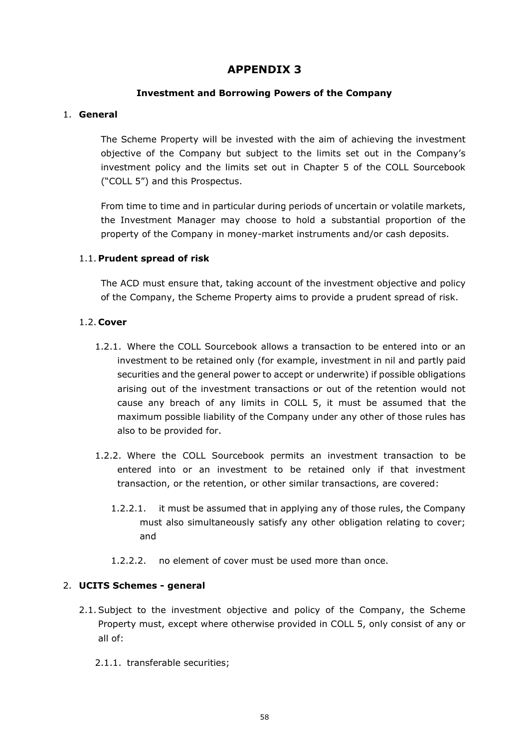## **APPENDIX 3**

#### **Investment and Borrowing Powers of the Company**

#### 1. **General**

The Scheme Property will be invested with the aim of achieving the investment objective of the Company but subject to the limits set out in the Company's investment policy and the limits set out in Chapter 5 of the COLL Sourcebook ("COLL 5") and this Prospectus.

From time to time and in particular during periods of uncertain or volatile markets, the Investment Manager may choose to hold a substantial proportion of the property of the Company in money-market instruments and/or cash deposits.

#### 1.1. **Prudent spread of risk**

The ACD must ensure that, taking account of the investment objective and policy of the Company, the Scheme Property aims to provide a prudent spread of risk.

#### 1.2. **Cover**

- 1.2.1. Where the COLL Sourcebook allows a transaction to be entered into or an investment to be retained only (for example, investment in nil and partly paid securities and the general power to accept or underwrite) if possible obligations arising out of the investment transactions or out of the retention would not cause any breach of any limits in COLL 5, it must be assumed that the maximum possible liability of the Company under any other of those rules has also to be provided for.
- 1.2.2. Where the COLL Sourcebook permits an investment transaction to be entered into or an investment to be retained only if that investment transaction, or the retention, or other similar transactions, are covered:
	- 1.2.2.1. it must be assumed that in applying any of those rules, the Company must also simultaneously satisfy any other obligation relating to cover; and
	- 1.2.2.2. no element of cover must be used more than once.

#### 2. **UCITS Schemes - general**

- 2.1.Subject to the investment objective and policy of the Company, the Scheme Property must, except where otherwise provided in COLL 5, only consist of any or all of:
	- 2.1.1. transferable securities;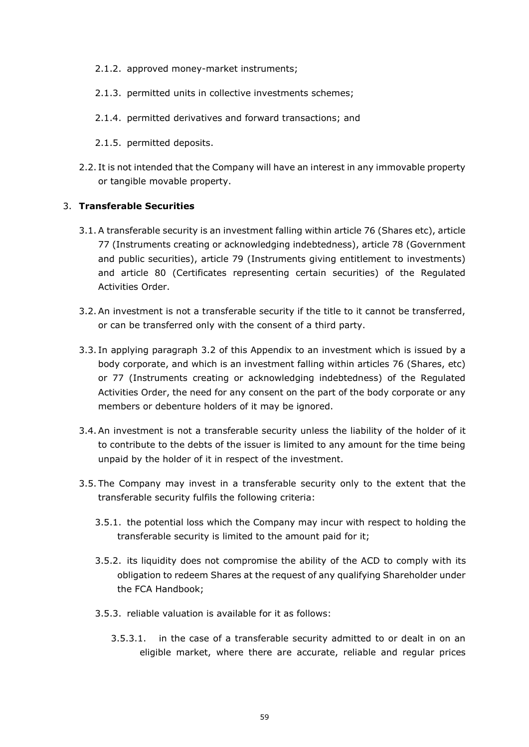- 2.1.2. approved money-market instruments;
- 2.1.3. permitted units in collective investments schemes;
- 2.1.4. permitted derivatives and forward transactions; and
- 2.1.5. permitted deposits.
- 2.2. It is not intended that the Company will have an interest in any immovable property or tangible movable property.

#### 3. **Transferable Securities**

- 3.1.A transferable security is an investment falling within article 76 (Shares etc), article 77 (Instruments creating or acknowledging indebtedness), article 78 (Government and public securities), article 79 (Instruments giving entitlement to investments) and article 80 (Certificates representing certain securities) of the Regulated Activities Order.
- <span id="page-58-0"></span>3.2.An investment is not a transferable security if the title to it cannot be transferred, or can be transferred only with the consent of a third party.
- 3.3. In applying paragraph [3.2](#page-58-0) of this Appendix to an investment which is issued by a body corporate, and which is an investment falling within articles 76 (Shares, etc) or 77 (Instruments creating or acknowledging indebtedness) of the Regulated Activities Order, the need for any consent on the part of the body corporate or any members or debenture holders of it may be ignored.
- 3.4.An investment is not a transferable security unless the liability of the holder of it to contribute to the debts of the issuer is limited to any amount for the time being unpaid by the holder of it in respect of the investment.
- <span id="page-58-1"></span>3.5. The Company may invest in a transferable security only to the extent that the transferable security fulfils the following criteria:
	- 3.5.1. the potential loss which the Company may incur with respect to holding the transferable security is limited to the amount paid for it;
	- 3.5.2. its liquidity does not compromise the ability of the ACD to comply with its obligation to redeem Shares at the request of any qualifying Shareholder under the FCA Handbook;
	- 3.5.3. reliable valuation is available for it as follows:
		- 3.5.3.1. in the case of a transferable security admitted to or dealt in on an eligible market, where there are accurate, reliable and regular prices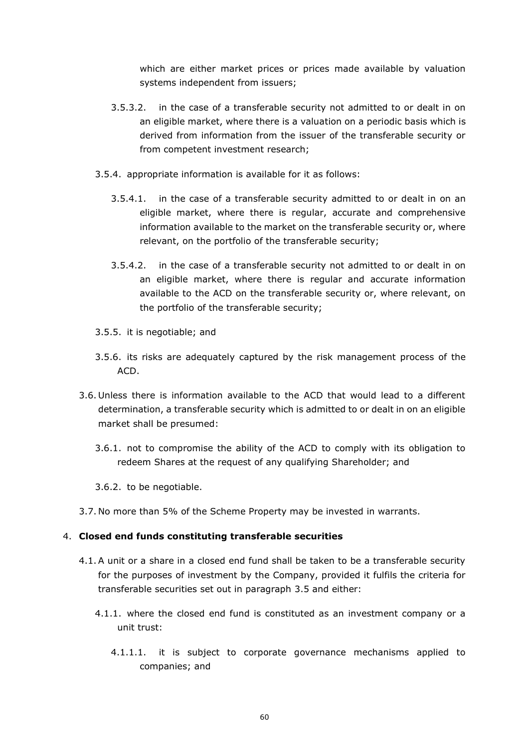which are either market prices or prices made available by valuation systems independent from issuers;

- 3.5.3.2. in the case of a transferable security not admitted to or dealt in on an eligible market, where there is a valuation on a periodic basis which is derived from information from the issuer of the transferable security or from competent investment research;
- 3.5.4. appropriate information is available for it as follows:
	- 3.5.4.1. in the case of a transferable security admitted to or dealt in on an eligible market, where there is regular, accurate and comprehensive information available to the market on the transferable security or, where relevant, on the portfolio of the transferable security;
	- 3.5.4.2. in the case of a transferable security not admitted to or dealt in on an eligible market, where there is regular and accurate information available to the ACD on the transferable security or, where relevant, on the portfolio of the transferable security;
- 3.5.5. it is negotiable; and
- 3.5.6. its risks are adequately captured by the risk management process of the ACD.
- 3.6. Unless there is information available to the ACD that would lead to a different determination, a transferable security which is admitted to or dealt in on an eligible market shall be presumed:
	- 3.6.1. not to compromise the ability of the ACD to comply with its obligation to redeem Shares at the request of any qualifying Shareholder; and
	- 3.6.2. to be negotiable.
- 3.7. No more than 5% of the Scheme Property may be invested in warrants.

#### 4. **Closed end funds constituting transferable securities**

- 4.1.A unit or a share in a closed end fund shall be taken to be a transferable security for the purposes of investment by the Company, provided it fulfils the criteria for transferable securities set out in paragraph [3.5](#page-58-1) and either:
	- 4.1.1. where the closed end fund is constituted as an investment company or a unit trust:
		- 4.1.1.1. it is subject to corporate governance mechanisms applied to companies; and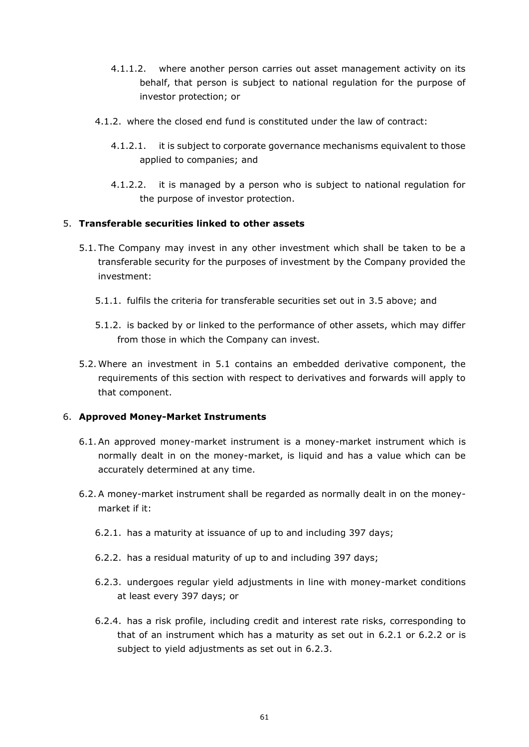- 4.1.1.2. where another person carries out asset management activity on its behalf, that person is subject to national regulation for the purpose of investor protection; or
- 4.1.2. where the closed end fund is constituted under the law of contract:
	- 4.1.2.1. it is subject to corporate governance mechanisms equivalent to those applied to companies; and
	- 4.1.2.2. it is managed by a person who is subject to national regulation for the purpose of investor protection.

#### 5. **Transferable securities linked to other assets**

- <span id="page-60-0"></span>5.1. The Company may invest in any other investment which shall be taken to be a transferable security for the purposes of investment by the Company provided the investment:
	- 5.1.1. fulfils the criteria for transferable securities set out in [3.5](#page-58-1) above; and
	- 5.1.2. is backed by or linked to the performance of other assets, which may differ from those in which the Company can invest.
- 5.2. Where an investment in [5.1](#page-60-0) contains an embedded derivative component, the requirements of this section with respect to derivatives and forwards will apply to that component.

## 6. **Approved Money-Market Instruments**

- 6.1.An approved money-market instrument is a money-market instrument which is normally dealt in on the money-market, is liquid and has a value which can be accurately determined at any time.
- <span id="page-60-3"></span><span id="page-60-2"></span><span id="page-60-1"></span>6.2.A money-market instrument shall be regarded as normally dealt in on the moneymarket if it:
	- 6.2.1. has a maturity at issuance of up to and including 397 days;
	- 6.2.2. has a residual maturity of up to and including 397 days;
	- 6.2.3. undergoes regular yield adjustments in line with money-market conditions at least every 397 days; or
	- 6.2.4. has a risk profile, including credit and interest rate risks, corresponding to that of an instrument which has a maturity as set out in [6.2.1](#page-60-1) or [6.2.2](#page-60-2) or is subject to yield adjustments as set out in [6.2.3.](#page-60-3)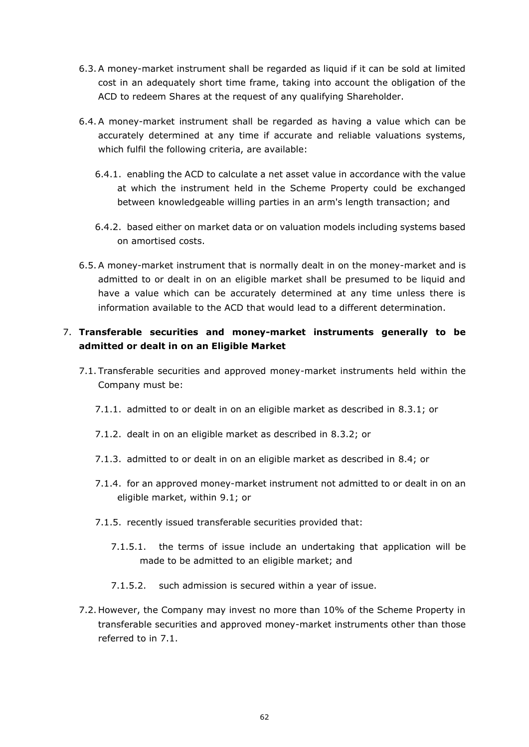- 6.3.A money-market instrument shall be regarded as liquid if it can be sold at limited cost in an adequately short time frame, taking into account the obligation of the ACD to redeem Shares at the request of any qualifying Shareholder.
- 6.4.A money-market instrument shall be regarded as having a value which can be accurately determined at any time if accurate and reliable valuations systems, which fulfil the following criteria, are available:
	- 6.4.1. enabling the ACD to calculate a net asset value in accordance with the value at which the instrument held in the Scheme Property could be exchanged between knowledgeable willing parties in an arm's length transaction; and
	- 6.4.2. based either on market data or on valuation models including systems based on amortised costs.
- 6.5.A money-market instrument that is normally dealt in on the money-market and is admitted to or dealt in on an eligible market shall be presumed to be liquid and have a value which can be accurately determined at any time unless there is information available to the ACD that would lead to a different determination.

## 7. **Transferable securities and money-market instruments generally to be admitted or dealt in on an Eligible Market**

- <span id="page-61-3"></span><span id="page-61-2"></span><span id="page-61-0"></span>7.1. Transferable securities and approved money-market instruments held within the Company must be:
	- 7.1.1. admitted to or dealt in on an eligible market as described in [8.3.1;](#page-62-0) or
	- 7.1.2. dealt in on an eligible market as described in [8.3.2;](#page-62-1) or
	- 7.1.3. admitted to or dealt in on an eligible market as described in [8.4;](#page-62-2) or
	- 7.1.4. for an approved money-market instrument not admitted to or dealt in on an eligible market, within [9.1;](#page-62-3) or
	- 7.1.5. recently issued transferable securities provided that:
		- 7.1.5.1. the terms of issue include an undertaking that application will be made to be admitted to an eligible market; and
		- 7.1.5.2. such admission is secured within a year of issue.
- <span id="page-61-1"></span>7.2. However, the Company may invest no more than 10% of the Scheme Property in transferable securities and approved money-market instruments other than those referred to in [7.1.](#page-61-0)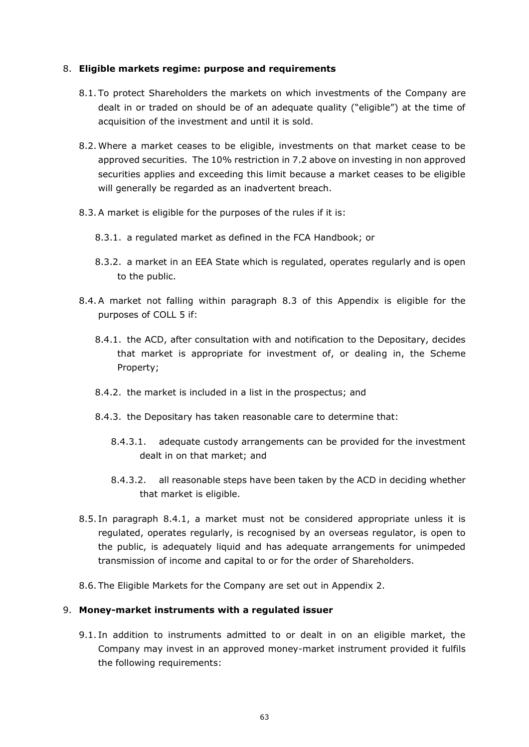#### 8. **Eligible markets regime: purpose and requirements**

- 8.1. To protect Shareholders the markets on which investments of the Company are dealt in or traded on should be of an adequate quality ("eligible") at the time of acquisition of the investment and until it is sold.
- 8.2. Where a market ceases to be eligible, investments on that market cease to be approved securities. The 10% restriction in [7.2](#page-61-1) above on investing in non approved securities applies and exceeding this limit because a market ceases to be eligible will generally be regarded as an inadvertent breach.
- <span id="page-62-4"></span><span id="page-62-0"></span>8.3.A market is eligible for the purposes of the rules if it is:
	- 8.3.1. a regulated market as defined in the FCA Handbook; or
	- 8.3.2. a market in an EEA State which is regulated, operates regularly and is open to the public.
- <span id="page-62-5"></span><span id="page-62-2"></span><span id="page-62-1"></span>8.4.A market not falling within paragraph [8.3](#page-62-4) of this Appendix is eligible for the purposes of COLL 5 if:
	- 8.4.1. the ACD, after consultation with and notification to the Depositary, decides that market is appropriate for investment of, or dealing in, the Scheme Property;
	- 8.4.2. the market is included in a list in the prospectus; and
	- 8.4.3. the Depositary has taken reasonable care to determine that:
		- 8.4.3.1. adequate custody arrangements can be provided for the investment dealt in on that market; and
		- 8.4.3.2. all reasonable steps have been taken by the ACD in deciding whether that market is eligible.
- 8.5. In paragraph [8.4.1,](#page-62-5) a market must not be considered appropriate unless it is regulated, operates regularly, is recognised by an overseas regulator, is open to the public, is adequately liquid and has adequate arrangements for unimpeded transmission of income and capital to or for the order of Shareholders.
- 8.6. The Eligible Markets for the Company are set out in Appendix 2.

#### 9. **Money-market instruments with a regulated issuer**

<span id="page-62-3"></span>9.1. In addition to instruments admitted to or dealt in on an eligible market, the Company may invest in an approved money-market instrument provided it fulfils the following requirements: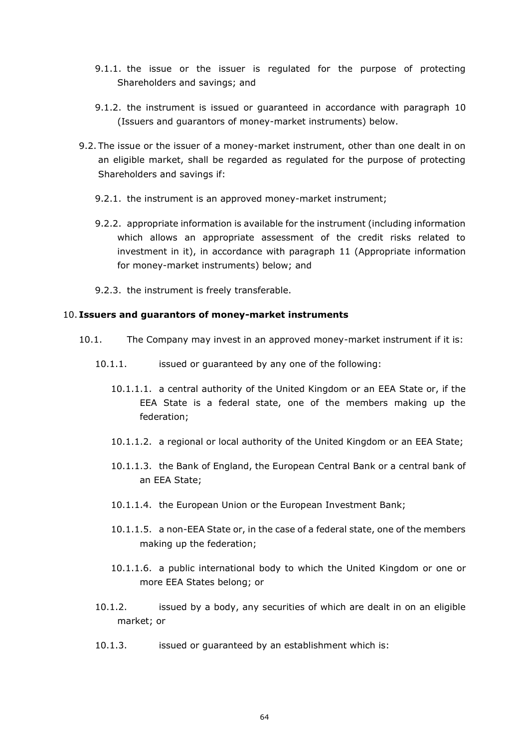- 9.1.1. the issue or the issuer is regulated for the purpose of protecting Shareholders and savings; and
- 9.1.2. the instrument is issued or guaranteed in accordance with paragraph [10](#page-63-0) (Issuers and guarantors of money-market instruments) below.
- 9.2. The issue or the issuer of a money-market instrument, other than one dealt in on an eligible market, shall be regarded as regulated for the purpose of protecting Shareholders and savings if:
	- 9.2.1. the instrument is an approved money-market instrument;
	- 9.2.2. appropriate information is available for the instrument (including information which allows an appropriate assessment of the credit risks related to investment in it), in accordance with paragraph [11](#page-64-0) (Appropriate information for money-market instruments) below; and
	- 9.2.3. the instrument is freely transferable.

#### <span id="page-63-0"></span>10. **Issuers and guarantors of money-market instruments**

- <span id="page-63-7"></span><span id="page-63-6"></span><span id="page-63-5"></span><span id="page-63-4"></span><span id="page-63-3"></span><span id="page-63-2"></span><span id="page-63-1"></span>10.1. The Company may invest in an approved money-market instrument if it is:
	- 10.1.1. issued or guaranteed by any one of the following:
		- 10.1.1.1. a central authority of the United Kingdom or an EEA State or, if the EEA State is a federal state, one of the members making up the federation;
		- 10.1.1.2. a regional or local authority of the United Kingdom or an EEA State;
		- 10.1.1.3. the Bank of England, the European Central Bank or a central bank of an EEA State;
		- 10.1.1.4. the European Union or the European Investment Bank;
		- 10.1.1.5. a non-EEA State or, in the case of a federal state, one of the members making up the federation;
		- 10.1.1.6. a public international body to which the United Kingdom or one or more EEA States belong; or
	- 10.1.2. issued by a body, any securities of which are dealt in on an eligible market; or
	- 10.1.3. issued or guaranteed by an establishment which is: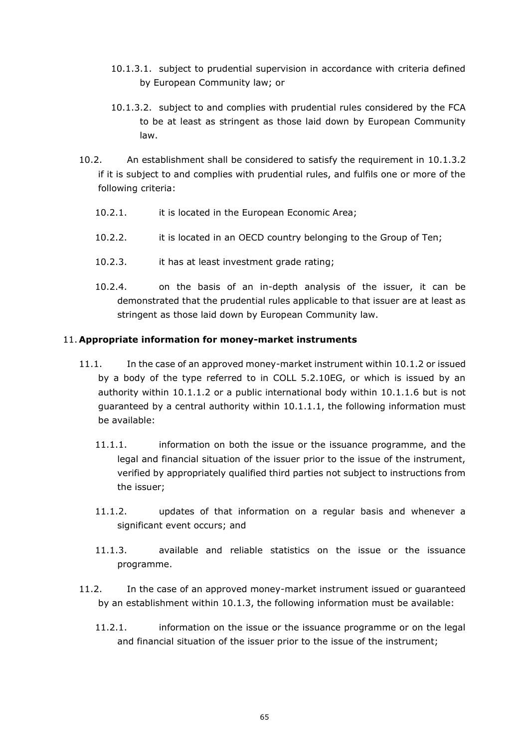- 10.1.3.1. subject to prudential supervision in accordance with criteria defined by European Community law; or
- <span id="page-64-1"></span>10.1.3.2. subject to and complies with prudential rules considered by the FCA to be at least as stringent as those laid down by European Community law.
- 10.2. An establishment shall be considered to satisfy the requirement in [10.1.3.2](#page-64-1) if it is subject to and complies with prudential rules, and fulfils one or more of the following criteria:
	- 10.2.1. it is located in the European Economic Area;
	- 10.2.2. it is located in an OECD country belonging to the Group of Ten;
	- 10.2.3. it has at least investment grade rating;
	- 10.2.4. on the basis of an in-depth analysis of the issuer, it can be demonstrated that the prudential rules applicable to that issuer are at least as stringent as those laid down by European Community law.

## <span id="page-64-0"></span>11. **Appropriate information for money-market instruments**

- 11.1. In the case of an approved money-market instrument within [10.1.2](#page-63-1) or issued by a body of the type referred to in COLL 5.2.10EG, or which is issued by an authority within [10.1.1.2](#page-63-2) or a public international body within [10.1.1.6](#page-63-3) but is not guaranteed by a central authority within [10.1.1.1,](#page-63-4) the following information must be available:
	- 11.1.1. information on both the issue or the issuance programme, and the legal and financial situation of the issuer prior to the issue of the instrument, verified by appropriately qualified third parties not subject to instructions from the issuer;
	- 11.1.2. updates of that information on a regular basis and whenever a significant event occurs; and
	- 11.1.3. available and reliable statistics on the issue or the issuance programme.
- 11.2. In the case of an approved money-market instrument issued or guaranteed by an establishment within [10.1.3,](#page-63-5) the following information must be available:
	- 11.2.1. information on the issue or the issuance programme or on the legal and financial situation of the issuer prior to the issue of the instrument;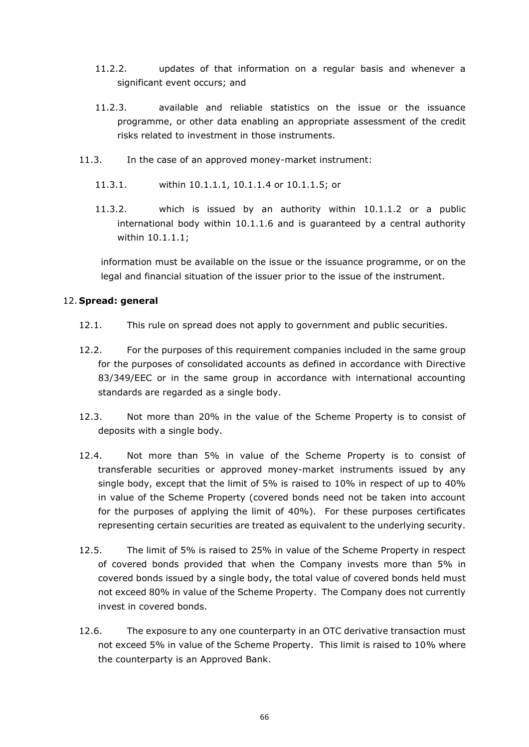- 11.2.2. updates of that information on a regular basis and whenever a significant event occurs; and
- 11.2.3. available and reliable statistics on the issue or the issuance programme, or other data enabling an appropriate assessment of the credit risks related to investment in those instruments.
- 11.3. In the case of an approved money-market instrument:
	- 11.3.1. within [10.1.1.1,](#page-63-4) [10.1.1.4](#page-63-6) or [10.1.1.5;](#page-63-7) or
	- 11.3.2. which is issued by an authority within [10.1.1.2](#page-63-2) or a public international body within [10.1.1.6](#page-63-3) and is guaranteed by a central authority within [10.1.1.1;](#page-63-4)

information must be available on the issue or the issuance programme, or on the legal and financial situation of the issuer prior to the issue of the instrument.

## 12. **Spread: general**

- 12.1. This rule on spread does not apply to government and public securities.
- 12.2. For the purposes of this requirement companies included in the same group for the purposes of consolidated accounts as defined in accordance with Directive 83/349/EEC or in the same group in accordance with international accounting standards are regarded as a single body.
- <span id="page-65-0"></span>12.3. Not more than 20% in the value of the Scheme Property is to consist of deposits with a single body.
- <span id="page-65-1"></span>12.4. Not more than 5% in value of the Scheme Property is to consist of transferable securities or approved money-market instruments issued by any single body, except that the limit of 5% is raised to 10% in respect of up to 40% in value of the Scheme Property (covered bonds need not be taken into account for the purposes of applying the limit of 40%). For these purposes certificates representing certain securities are treated as equivalent to the underlying security.
- <span id="page-65-3"></span>12.5. The limit of 5% is raised to 25% in value of the Scheme Property in respect of covered bonds provided that when the Company invests more than 5% in covered bonds issued by a single body, the total value of covered bonds held must not exceed 80% in value of the Scheme Property. The Company does not currently invest in covered bonds.
- <span id="page-65-2"></span>12.6. The exposure to any one counterparty in an OTC derivative transaction must not exceed 5% in value of the Scheme Property. This limit is raised to 10% where the counterparty is an Approved Bank.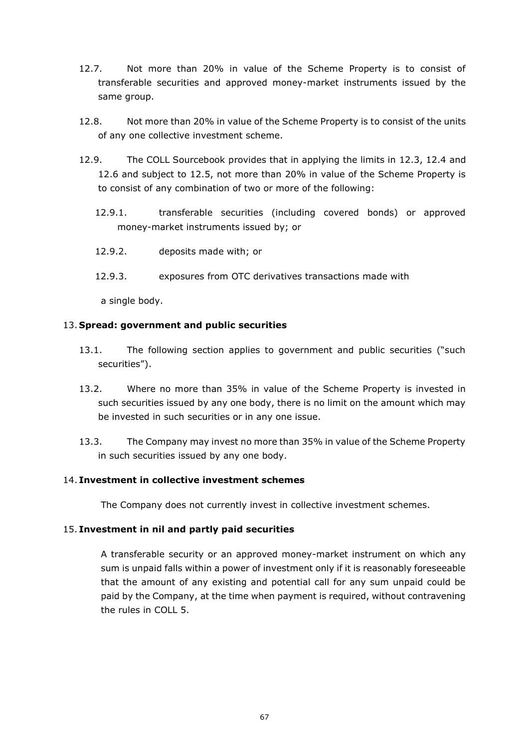- 12.7. Not more than 20% in value of the Scheme Property is to consist of transferable securities and approved money-market instruments issued by the same group.
- 12.8. Not more than 20% in value of the Scheme Property is to consist of the units of any one collective investment scheme.
- 12.9. The COLL Sourcebook provides that in applying the limits in [12.3,](#page-65-0) [12.4](#page-65-1) and [12.6](#page-65-2) and subject to [12.5,](#page-65-3) not more than 20% in value of the Scheme Property is to consist of any combination of two or more of the following:
	- 12.9.1. transferable securities (including covered bonds) or approved money-market instruments issued by; or
	- 12.9.2. deposits made with; or
	- 12.9.3. exposures from OTC derivatives transactions made with

a single body.

#### 13. **Spread: government and public securities**

- <span id="page-66-0"></span>13.1. The following section applies to government and public securities ("such securities").
- 13.2. Where no more than 35% in value of the Scheme Property is invested in such securities issued by any one body, there is no limit on the amount which may be invested in such securities or in any one issue.
- 13.3. The Company may invest no more than 35% in value of the Scheme Property in such securities issued by any one body.

## 14. **Investment in collective investment schemes**

The Company does not currently invest in collective investment schemes.

#### 15. **Investment in nil and partly paid securities**

A transferable security or an approved money-market instrument on which any sum is unpaid falls within a power of investment only if it is reasonably foreseeable that the amount of any existing and potential call for any sum unpaid could be paid by the Company, at the time when payment is required, without contravening the rules in COLL 5.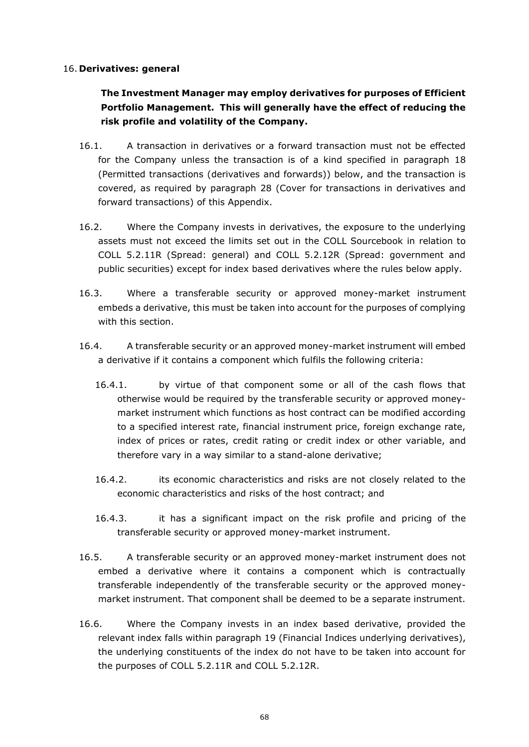#### 16. **Derivatives: general**

## **The Investment Manager may employ derivatives for purposes of Efficient Portfolio Management. This will generally have the effect of reducing the risk profile and volatility of the Company.**

- 16.1. A transaction in derivatives or a forward transaction must not be effected for the Company unless the transaction is of a kind specified in paragraph [18](#page-69-0) (Permitted transactions (derivatives and forwards)) below, and the transaction is covered, as required by paragraph [28](#page-75-0) (Cover for transactions in derivatives and forward transactions) of this Appendix.
- 16.2. Where the Company invests in derivatives, the exposure to the underlying assets must not exceed the limits set out in the COLL Sourcebook in relation to COLL 5.2.11R (Spread: general) and COLL 5.2.12R (Spread: government and public securities) except for index based derivatives where the rules below apply.
- 16.3. Where a transferable security or approved money-market instrument embeds a derivative, this must be taken into account for the purposes of complying with this section.
- 16.4. A transferable security or an approved money-market instrument will embed a derivative if it contains a component which fulfils the following criteria:
	- 16.4.1. by virtue of that component some or all of the cash flows that otherwise would be required by the transferable security or approved moneymarket instrument which functions as host contract can be modified according to a specified interest rate, financial instrument price, foreign exchange rate, index of prices or rates, credit rating or credit index or other variable, and therefore vary in a way similar to a stand-alone derivative;
	- 16.4.2. its economic characteristics and risks are not closely related to the economic characteristics and risks of the host contract; and
	- 16.4.3. it has a significant impact on the risk profile and pricing of the transferable security or approved money-market instrument.
- 16.5. A transferable security or an approved money-market instrument does not embed a derivative where it contains a component which is contractually transferable independently of the transferable security or the approved moneymarket instrument. That component shall be deemed to be a separate instrument.
- 16.6. Where the Company invests in an index based derivative, provided the relevant index falls within paragraph [19](#page-70-0) (Financial Indices underlying derivatives), the underlying constituents of the index do not have to be taken into account for the purposes of COLL 5.2.11R and COLL 5.2.12R.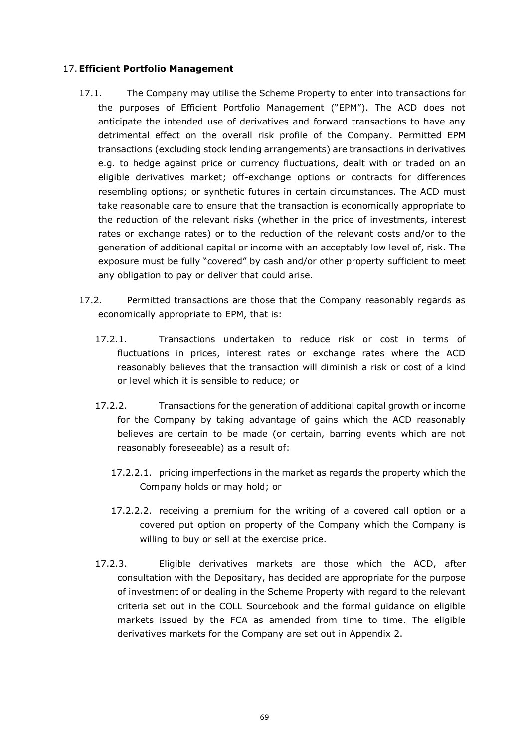## 17.**Efficient Portfolio Management**

- 17.1. The Company may utilise the Scheme Property to enter into transactions for the purposes of Efficient Portfolio Management ("EPM"). The ACD does not anticipate the intended use of derivatives and forward transactions to have any detrimental effect on the overall risk profile of the Company. Permitted EPM transactions (excluding stock lending arrangements) are transactions in derivatives e.g. to hedge against price or currency fluctuations, dealt with or traded on an eligible derivatives market; off-exchange options or contracts for differences resembling options; or synthetic futures in certain circumstances. The ACD must take reasonable care to ensure that the transaction is economically appropriate to the reduction of the relevant risks (whether in the price of investments, interest rates or exchange rates) or to the reduction of the relevant costs and/or to the generation of additional capital or income with an acceptably low level of, risk. The exposure must be fully "covered" by cash and/or other property sufficient to meet any obligation to pay or deliver that could arise.
- 17.2. Permitted transactions are those that the Company reasonably regards as economically appropriate to EPM, that is:
	- 17.2.1. Transactions undertaken to reduce risk or cost in terms of fluctuations in prices, interest rates or exchange rates where the ACD reasonably believes that the transaction will diminish a risk or cost of a kind or level which it is sensible to reduce; or
	- 17.2.2. Transactions for the generation of additional capital growth or income for the Company by taking advantage of gains which the ACD reasonably believes are certain to be made (or certain, barring events which are not reasonably foreseeable) as a result of:
		- 17.2.2.1. pricing imperfections in the market as regards the property which the Company holds or may hold; or
		- 17.2.2.2. receiving a premium for the writing of a covered call option or a covered put option on property of the Company which the Company is willing to buy or sell at the exercise price.
	- 17.2.3. Eligible derivatives markets are those which the ACD, after consultation with the Depositary, has decided are appropriate for the purpose of investment of or dealing in the Scheme Property with regard to the relevant criteria set out in the COLL Sourcebook and the formal guidance on eligible markets issued by the FCA as amended from time to time. The eligible derivatives markets for the Company are set out in Appendix 2.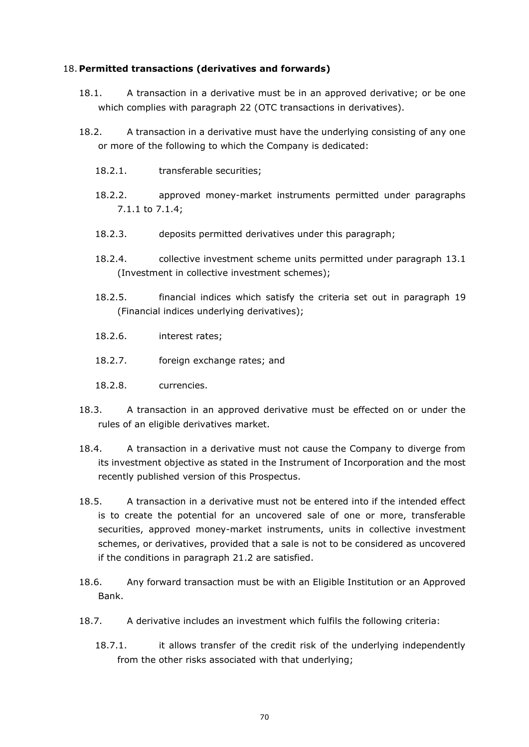## <span id="page-69-0"></span>18. **Permitted transactions (derivatives and forwards)**

- 18.1. A transaction in a derivative must be in an approved derivative; or be one which complies with paragraph [22](#page-72-0) (OTC transactions in derivatives).
- <span id="page-69-1"></span>18.2. A transaction in a derivative must have the underlying consisting of any one or more of the following to which the Company is dedicated:
	- 18.2.1. transferable securities;
	- 18.2.2. approved money-market instruments permitted under paragraphs [7.1.1](#page-61-2) to [7.1.4;](#page-61-3)
	- 18.2.3. deposits permitted derivatives under this paragraph;
	- 18.2.4. collective investment scheme units permitted under paragraph [13.1](#page-66-0) (Investment in collective investment schemes);
	- 18.2.5. financial indices which satisfy the criteria set out in paragraph [19](#page-70-0) (Financial indices underlying derivatives);
	- 18.2.6. interest rates;
	- 18.2.7. foreign exchange rates; and
	- 18.2.8. currencies.
- 18.3. A transaction in an approved derivative must be effected on or under the rules of an eligible derivatives market.
- 18.4. A transaction in a derivative must not cause the Company to diverge from its investment objective as stated in the Instrument of Incorporation and the most recently published version of this Prospectus.
- 18.5. A transaction in a derivative must not be entered into if the intended effect is to create the potential for an uncovered sale of one or more, transferable securities, approved money-market instruments, units in collective investment schemes, or derivatives, provided that a sale is not to be considered as uncovered if the conditions in paragraph [21.2](#page-71-0) are satisfied.
- 18.6. Any forward transaction must be with an Eligible Institution or an Approved Bank.
- 18.7. A derivative includes an investment which fulfils the following criteria:
	- 18.7.1. it allows transfer of the credit risk of the underlying independently from the other risks associated with that underlying;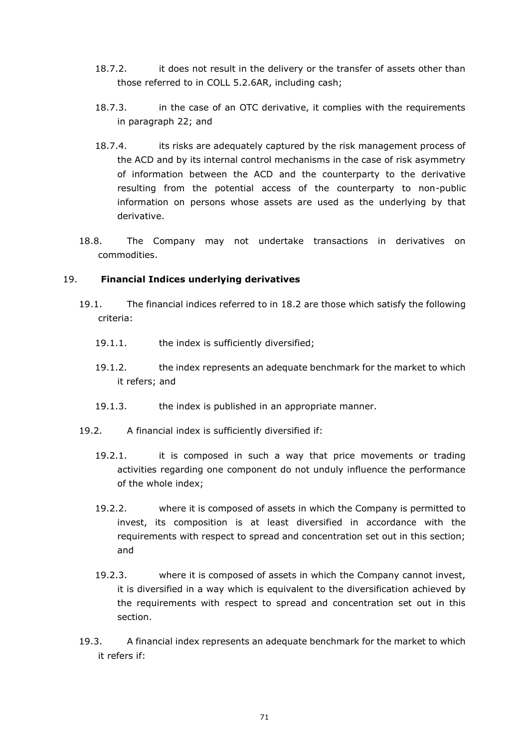- 18.7.2. it does not result in the delivery or the transfer of assets other than those referred to in COLL 5.2.6AR, including cash;
- 18.7.3. in the case of an OTC derivative, it complies with the requirements in paragraph [22;](#page-72-0) and
- 18.7.4. its risks are adequately captured by the risk management process of the ACD and by its internal control mechanisms in the case of risk asymmetry of information between the ACD and the counterparty to the derivative resulting from the potential access of the counterparty to non-public information on persons whose assets are used as the underlying by that derivative.
- 18.8. The Company may not undertake transactions in derivatives on commodities.

## <span id="page-70-0"></span>19. **Financial Indices underlying derivatives**

- 19.1. The financial indices referred to in [18.2](#page-69-1) are those which satisfy the following criteria:
	- 19.1.1. the index is sufficiently diversified;
	- 19.1.2. the index represents an adequate benchmark for the market to which it refers; and
	- 19.1.3. the index is published in an appropriate manner.
- 19.2. A financial index is sufficiently diversified if:
	- 19.2.1. it is composed in such a way that price movements or trading activities regarding one component do not unduly influence the performance of the whole index;
	- 19.2.2. where it is composed of assets in which the Company is permitted to invest, its composition is at least diversified in accordance with the requirements with respect to spread and concentration set out in this section; and
	- 19.2.3. where it is composed of assets in which the Company cannot invest, it is diversified in a way which is equivalent to the diversification achieved by the requirements with respect to spread and concentration set out in this section.
- 19.3. A financial index represents an adequate benchmark for the market to which it refers if: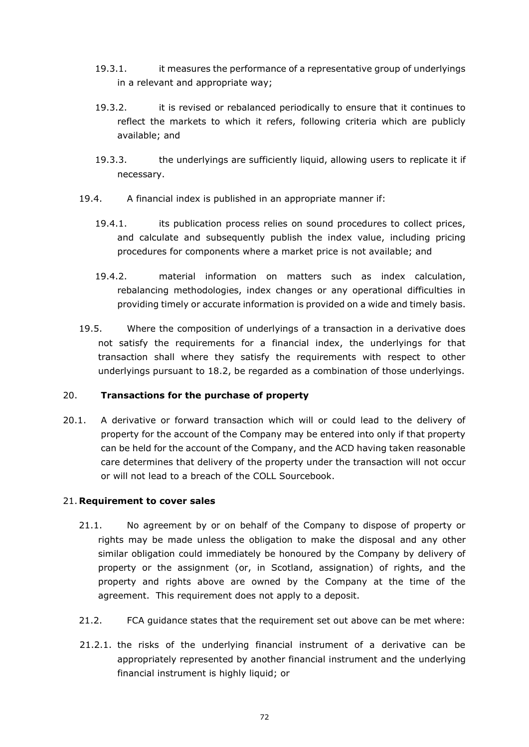- 19.3.1. it measures the performance of a representative group of underlyings in a relevant and appropriate way;
- 19.3.2. it is revised or rebalanced periodically to ensure that it continues to reflect the markets to which it refers, following criteria which are publicly available; and
- 19.3.3. the underlyings are sufficiently liquid, allowing users to replicate it if necessary.
- 19.4. A financial index is published in an appropriate manner if:
	- 19.4.1. its publication process relies on sound procedures to collect prices, and calculate and subsequently publish the index value, including pricing procedures for components where a market price is not available; and
	- 19.4.2. material information on matters such as index calculation, rebalancing methodologies, index changes or any operational difficulties in providing timely or accurate information is provided on a wide and timely basis.
- 19.5. Where the composition of underlyings of a transaction in a derivative does not satisfy the requirements for a financial index, the underlyings for that transaction shall where they satisfy the requirements with respect to other underlyings pursuant to [18.2,](#page-69-1) be regarded as a combination of those underlyings.

## 20. **Transactions for the purchase of property**

20.1. A derivative or forward transaction which will or could lead to the delivery of property for the account of the Company may be entered into only if that property can be held for the account of the Company, and the ACD having taken reasonable care determines that delivery of the property under the transaction will not occur or will not lead to a breach of the COLL Sourcebook.

#### 21. **Requirement to cover sales**

- 21.1. No agreement by or on behalf of the Company to dispose of property or rights may be made unless the obligation to make the disposal and any other similar obligation could immediately be honoured by the Company by delivery of property or the assignment (or, in Scotland, assignation) of rights, and the property and rights above are owned by the Company at the time of the agreement. This requirement does not apply to a deposit.
- <span id="page-71-0"></span>21.2. FCA guidance states that the requirement set out above can be met where:
- 21.2.1. the risks of the underlying financial instrument of a derivative can be appropriately represented by another financial instrument and the underlying financial instrument is highly liquid; or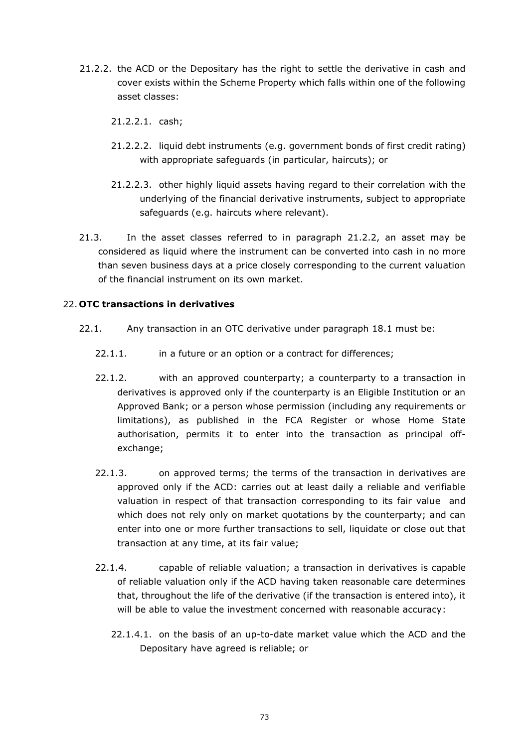- <span id="page-72-0"></span>21.2.2. the ACD or the Depositary has the right to settle the derivative in cash and cover exists within the Scheme Property which falls within one of the following asset classes:
	- 21.2.2.1. cash;
	- 21.2.2.2. liquid debt instruments (e.g. government bonds of first credit rating) with appropriate safeguards (in particular, haircuts); or
	- 21.2.2.3. other highly liquid assets having regard to their correlation with the underlying of the financial derivative instruments, subject to appropriate safeguards (e.g. haircuts where relevant).
- 21.3. In the asset classes referred to in paragraph [21.2.2,](#page-72-0) an asset may be considered as liquid where the instrument can be converted into cash in no more than seven business days at a price closely corresponding to the current valuation of the financial instrument on its own market.

## 22. **OTC transactions in derivatives**

- <span id="page-72-1"></span>22.1. Any transaction in an OTC derivative under paragraph [18.1](#page-69-0) must be:
	- 22.1.1. in a future or an option or a contract for differences;
	- 22.1.2. with an approved counterparty; a counterparty to a transaction in derivatives is approved only if the counterparty is an Eligible Institution or an Approved Bank; or a person whose permission (including any requirements or limitations), as published in the FCA Register or whose Home State authorisation, permits it to enter into the transaction as principal offexchange;
	- 22.1.3. on approved terms; the terms of the transaction in derivatives are approved only if the ACD: carries out at least daily a reliable and verifiable valuation in respect of that transaction corresponding to its fair value and which does not rely only on market quotations by the counterparty; and can enter into one or more further transactions to sell, liquidate or close out that transaction at any time, at its fair value;
	- 22.1.4. capable of reliable valuation; a transaction in derivatives is capable of reliable valuation only if the ACD having taken reasonable care determines that, throughout the life of the derivative (if the transaction is entered into), it will be able to value the investment concerned with reasonable accuracy:
		- 22.1.4.1. on the basis of an up-to-date market value which the ACD and the Depositary have agreed is reliable; or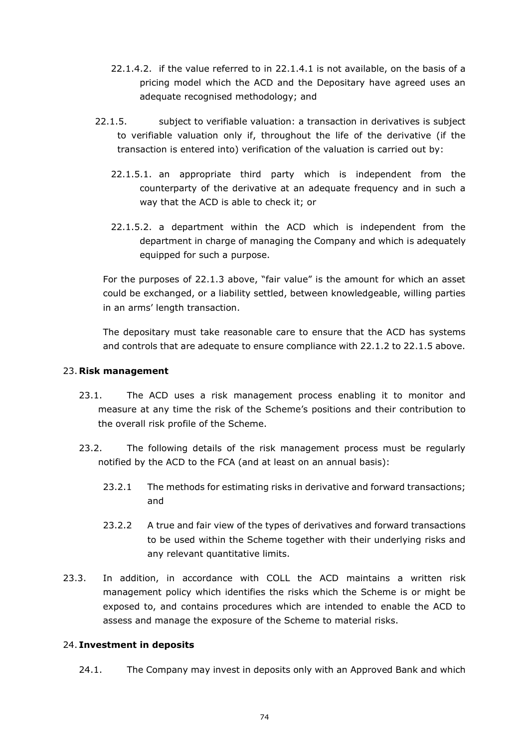- 22.1.4.2. if the value referred to in [22.1.4.1](#page-72-1) is not available, on the basis of a pricing model which the ACD and the Depositary have agreed uses an adequate recognised methodology; and
- 22.1.5. subject to verifiable valuation: a transaction in derivatives is subject to verifiable valuation only if, throughout the life of the derivative (if the transaction is entered into) verification of the valuation is carried out by:
	- 22.1.5.1. an appropriate third party which is independent from the counterparty of the derivative at an adequate frequency and in such a way that the ACD is able to check it; or
	- 22.1.5.2. a department within the ACD which is independent from the department in charge of managing the Company and which is adequately equipped for such a purpose.

For the purposes of 22.1.3 above, "fair value" is the amount for which an asset could be exchanged, or a liability settled, between knowledgeable, willing parties in an arms' length transaction.

The depositary must take reasonable care to ensure that the ACD has systems and controls that are adequate to ensure compliance with 22.1.2 to 22.1.5 above.

### 23. **Risk management**

- 23.1. The ACD uses a risk management process enabling it to monitor and measure at any time the risk of the Scheme's positions and their contribution to the overall risk profile of the Scheme.
- 23.2. The following details of the risk management process must be regularly notified by the ACD to the FCA (and at least on an annual basis):
	- 23.2.1 The methods for estimating risks in derivative and forward transactions; and
	- 23.2.2 A true and fair view of the types of derivatives and forward transactions to be used within the Scheme together with their underlying risks and any relevant quantitative limits.
- 23.3. In addition, in accordance with COLL the ACD maintains a written risk management policy which identifies the risks which the Scheme is or might be exposed to, and contains procedures which are intended to enable the ACD to assess and manage the exposure of the Scheme to material risks.

## 24. **Investment in deposits**

24.1. The Company may invest in deposits only with an Approved Bank and which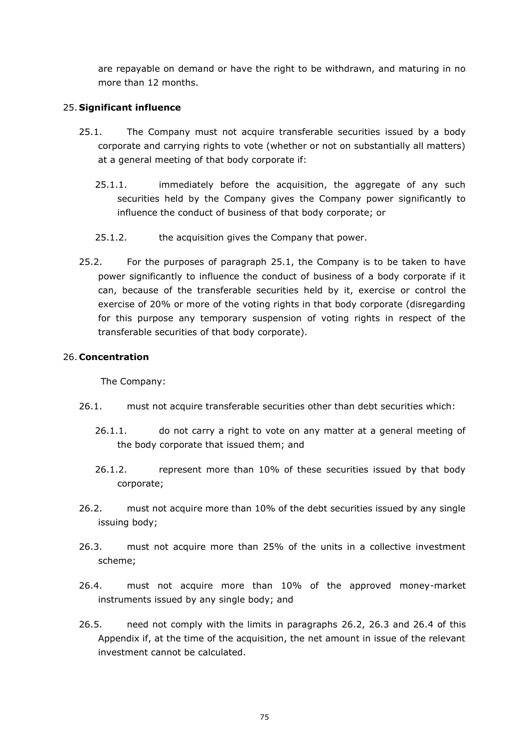are repayable on demand or have the right to be withdrawn, and maturing in no more than 12 months.

## 25. **Significant influence**

- <span id="page-74-0"></span>25.1. The Company must not acquire transferable securities issued by a body corporate and carrying rights to vote (whether or not on substantially all matters) at a general meeting of that body corporate if:
	- 25.1.1. immediately before the acquisition, the aggregate of any such securities held by the Company gives the Company power significantly to influence the conduct of business of that body corporate; or
	- 25.1.2. the acquisition gives the Company that power.
- 25.2. For the purposes of paragraph [25.1,](#page-74-0) the Company is to be taken to have power significantly to influence the conduct of business of a body corporate if it can, because of the transferable securities held by it, exercise or control the exercise of 20% or more of the voting rights in that body corporate (disregarding for this purpose any temporary suspension of voting rights in respect of the transferable securities of that body corporate).

# 26. **Concentration**

The Company:

- 26.1. must not acquire transferable securities other than debt securities which:
	- 26.1.1. do not carry a right to vote on any matter at a general meeting of the body corporate that issued them; and
	- 26.1.2. represent more than 10% of these securities issued by that body corporate;
- <span id="page-74-1"></span>26.2. must not acquire more than 10% of the debt securities issued by any single issuing body;
- <span id="page-74-2"></span>26.3. must not acquire more than 25% of the units in a collective investment scheme;
- <span id="page-74-3"></span>26.4. must not acquire more than 10% of the approved money-market instruments issued by any single body; and
- 26.5. need not comply with the limits in paragraphs [26.2,](#page-74-1) [26.3](#page-74-2) and [26.4](#page-74-3) of this Appendix if, at the time of the acquisition, the net amount in issue of the relevant investment cannot be calculated.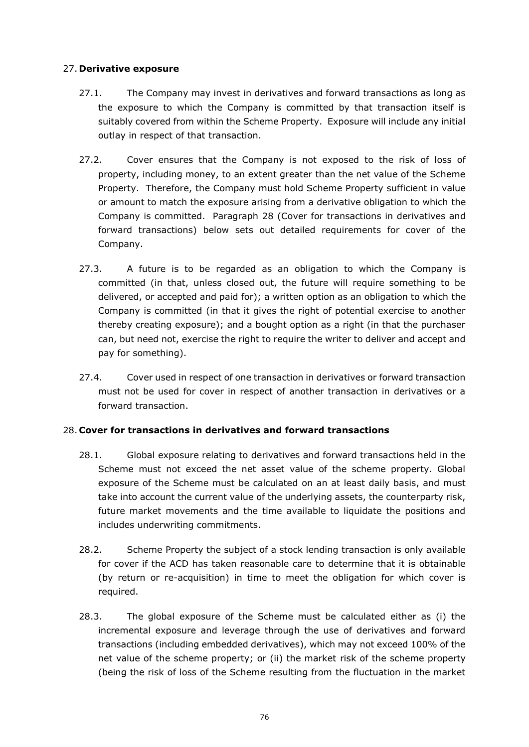# 27. **Derivative exposure**

- 27.1. The Company may invest in derivatives and forward transactions as long as the exposure to which the Company is committed by that transaction itself is suitably covered from within the Scheme Property. Exposure will include any initial outlay in respect of that transaction.
- 27.2. Cover ensures that the Company is not exposed to the risk of loss of property, including money, to an extent greater than the net value of the Scheme Property. Therefore, the Company must hold Scheme Property sufficient in value or amount to match the exposure arising from a derivative obligation to which the Company is committed. Paragraph [28](#page-75-0) (Cover for transactions in derivatives and forward transactions) below sets out detailed requirements for cover of the Company.
- 27.3. A future is to be regarded as an obligation to which the Company is committed (in that, unless closed out, the future will require something to be delivered, or accepted and paid for); a written option as an obligation to which the Company is committed (in that it gives the right of potential exercise to another thereby creating exposure); and a bought option as a right (in that the purchaser can, but need not, exercise the right to require the writer to deliver and accept and pay for something).
- 27.4. Cover used in respect of one transaction in derivatives or forward transaction must not be used for cover in respect of another transaction in derivatives or a forward transaction.

# <span id="page-75-0"></span>28. **Cover for transactions in derivatives and forward transactions**

- 28.1. Global exposure relating to derivatives and forward transactions held in the Scheme must not exceed the net asset value of the scheme property. Global exposure of the Scheme must be calculated on an at least daily basis, and must take into account the current value of the underlying assets, the counterparty risk, future market movements and the time available to liquidate the positions and includes underwriting commitments.
- 28.2. Scheme Property the subject of a stock lending transaction is only available for cover if the ACD has taken reasonable care to determine that it is obtainable (by return or re-acquisition) in time to meet the obligation for which cover is required.
- 28.3. The global exposure of the Scheme must be calculated either as (i) the incremental exposure and leverage through the use of derivatives and forward transactions (including embedded derivatives), which may not exceed 100% of the net value of the scheme property; or (ii) the market risk of the scheme property (being the risk of loss of the Scheme resulting from the fluctuation in the market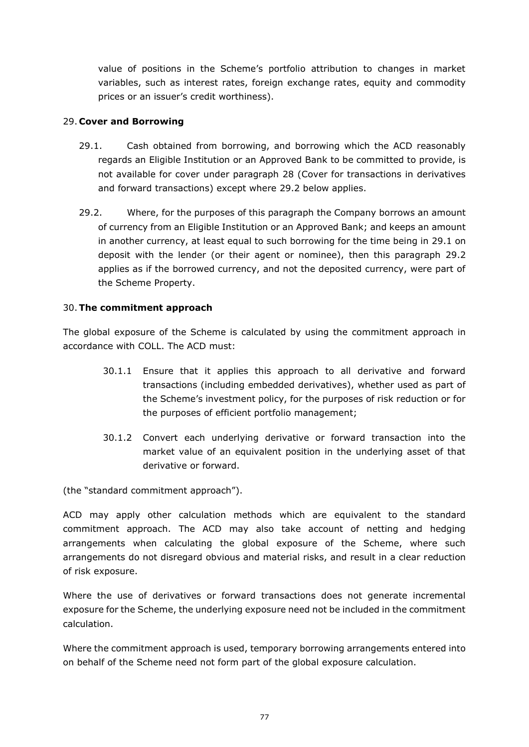value of positions in the Scheme's portfolio attribution to changes in market variables, such as interest rates, foreign exchange rates, equity and commodity prices or an issuer's credit worthiness).

# 29. **Cover and Borrowing**

- <span id="page-76-1"></span>29.1. Cash obtained from borrowing, and borrowing which the ACD reasonably regards an Eligible Institution or an Approved Bank to be committed to provide, is not available for cover under paragraph [28](#page-75-0) (Cover for transactions in derivatives and forward transactions) except where [29.2](#page-76-0) below applies.
- <span id="page-76-0"></span>29.2. Where, for the purposes of this paragraph the Company borrows an amount of currency from an Eligible Institution or an Approved Bank; and keeps an amount in another currency, at least equal to such borrowing for the time being in [29.1](#page-76-1) on deposit with the lender (or their agent or nominee), then this paragraph [29.2](#page-76-0) applies as if the borrowed currency, and not the deposited currency, were part of the Scheme Property.

# 30.**The commitment approach**

The global exposure of the Scheme is calculated by using the commitment approach in accordance with COLL. The ACD must:

- 30.1.1 Ensure that it applies this approach to all derivative and forward transactions (including embedded derivatives), whether used as part of the Scheme's investment policy, for the purposes of risk reduction or for the purposes of efficient portfolio management;
- 30.1.2 Convert each underlying derivative or forward transaction into the market value of an equivalent position in the underlying asset of that derivative or forward.

(the "standard commitment approach").

ACD may apply other calculation methods which are equivalent to the standard commitment approach. The ACD may also take account of netting and hedging arrangements when calculating the global exposure of the Scheme, where such arrangements do not disregard obvious and material risks, and result in a clear reduction of risk exposure.

Where the use of derivatives or forward transactions does not generate incremental exposure for the Scheme, the underlying exposure need not be included in the commitment calculation.

Where the commitment approach is used, temporary borrowing arrangements entered into on behalf of the Scheme need not form part of the global exposure calculation.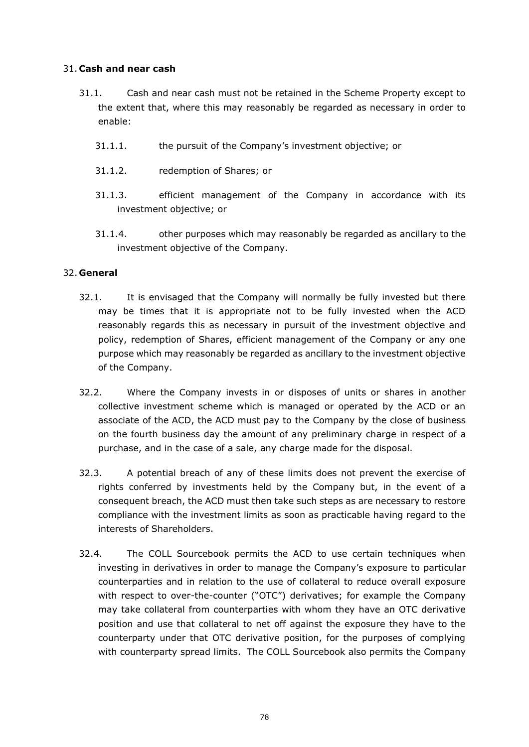## 31. **Cash and near cash**

- 31.1. Cash and near cash must not be retained in the Scheme Property except to the extent that, where this may reasonably be regarded as necessary in order to enable:
	- 31.1.1. the pursuit of the Company's investment objective; or
	- 31.1.2. redemption of Shares; or
	- 31.1.3. efficient management of the Company in accordance with its investment objective; or
	- 31.1.4. other purposes which may reasonably be regarded as ancillary to the investment objective of the Company.

# 32. **General**

- 32.1. It is envisaged that the Company will normally be fully invested but there may be times that it is appropriate not to be fully invested when the ACD reasonably regards this as necessary in pursuit of the investment objective and policy, redemption of Shares, efficient management of the Company or any one purpose which may reasonably be regarded as ancillary to the investment objective of the Company.
- 32.2. Where the Company invests in or disposes of units or shares in another collective investment scheme which is managed or operated by the ACD or an associate of the ACD, the ACD must pay to the Company by the close of business on the fourth business day the amount of any preliminary charge in respect of a purchase, and in the case of a sale, any charge made for the disposal.
- 32.3. A potential breach of any of these limits does not prevent the exercise of rights conferred by investments held by the Company but, in the event of a consequent breach, the ACD must then take such steps as are necessary to restore compliance with the investment limits as soon as practicable having regard to the interests of Shareholders.
- 32.4. The COLL Sourcebook permits the ACD to use certain techniques when investing in derivatives in order to manage the Company's exposure to particular counterparties and in relation to the use of collateral to reduce overall exposure with respect to over-the-counter ("OTC") derivatives; for example the Company may take collateral from counterparties with whom they have an OTC derivative position and use that collateral to net off against the exposure they have to the counterparty under that OTC derivative position, for the purposes of complying with counterparty spread limits. The COLL Sourcebook also permits the Company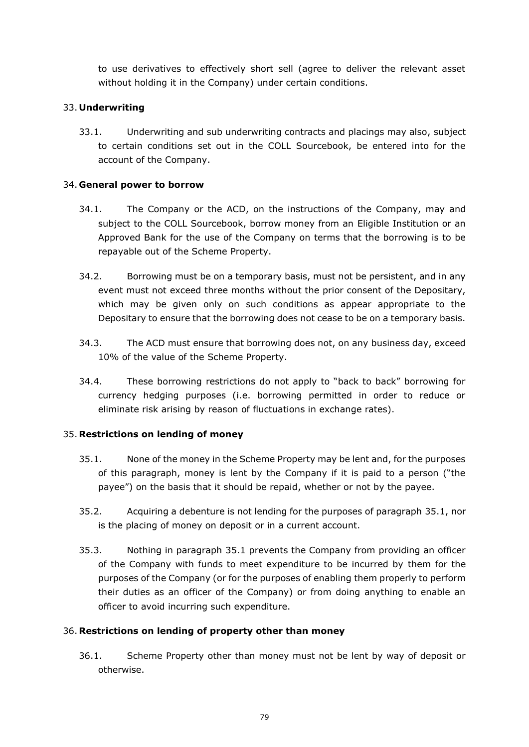to use derivatives to effectively short sell (agree to deliver the relevant asset without holding it in the Company) under certain conditions.

## 33. **Underwriting**

33.1. Underwriting and sub underwriting contracts and placings may also, subject to certain conditions set out in the COLL Sourcebook, be entered into for the account of the Company.

## 34. **General power to borrow**

- 34.1. The Company or the ACD, on the instructions of the Company, may and subject to the COLL Sourcebook, borrow money from an Eligible Institution or an Approved Bank for the use of the Company on terms that the borrowing is to be repayable out of the Scheme Property.
- 34.2. Borrowing must be on a temporary basis, must not be persistent, and in any event must not exceed three months without the prior consent of the Depositary, which may be given only on such conditions as appear appropriate to the Depositary to ensure that the borrowing does not cease to be on a temporary basis.
- 34.3. The ACD must ensure that borrowing does not, on any business day, exceed 10% of the value of the Scheme Property.
- 34.4. These borrowing restrictions do not apply to "back to back" borrowing for currency hedging purposes (i.e. borrowing permitted in order to reduce or eliminate risk arising by reason of fluctuations in exchange rates).

# 35. **Restrictions on lending of money**

- <span id="page-78-0"></span>35.1. None of the money in the Scheme Property may be lent and, for the purposes of this paragraph, money is lent by the Company if it is paid to a person ("the payee") on the basis that it should be repaid, whether or not by the payee.
- 35.2. Acquiring a debenture is not lending for the purposes of paragraph [35.1,](#page-78-0) nor is the placing of money on deposit or in a current account.
- 35.3. Nothing in paragraph [35.1](#page-78-0) prevents the Company from providing an officer of the Company with funds to meet expenditure to be incurred by them for the purposes of the Company (or for the purposes of enabling them properly to perform their duties as an officer of the Company) or from doing anything to enable an officer to avoid incurring such expenditure.

## 36. **Restrictions on lending of property other than money**

<span id="page-78-1"></span>36.1. Scheme Property other than money must not be lent by way of deposit or otherwise.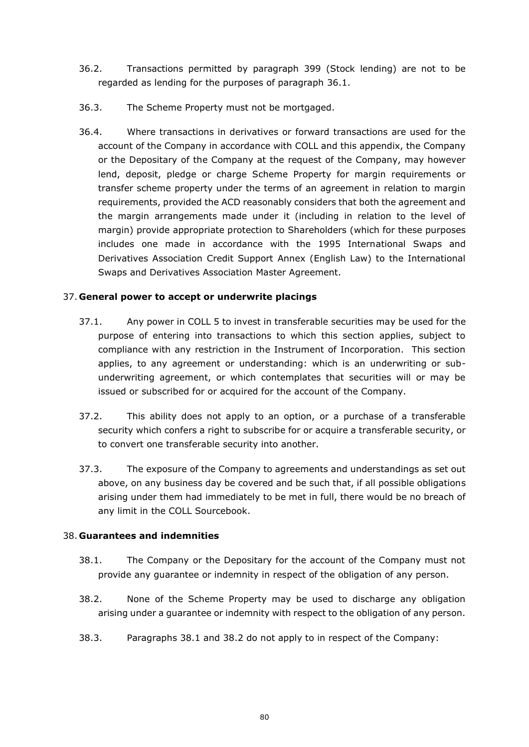- 36.2. Transactions permitted by paragraph [399](#page-80-0) (Stock lending) are not to be regarded as lending for the purposes of paragraph [36.1.](#page-78-1)
- 36.3. The Scheme Property must not be mortgaged.
- 36.4. Where transactions in derivatives or forward transactions are used for the account of the Company in accordance with COLL and this appendix, the Company or the Depositary of the Company at the request of the Company, may however lend, deposit, pledge or charge Scheme Property for margin requirements or transfer scheme property under the terms of an agreement in relation to margin requirements, provided the ACD reasonably considers that both the agreement and the margin arrangements made under it (including in relation to the level of margin) provide appropriate protection to Shareholders (which for these purposes includes one made in accordance with the 1995 International Swaps and Derivatives Association Credit Support Annex (English Law) to the International Swaps and Derivatives Association Master Agreement.

# 37. **General power to accept or underwrite placings**

- 37.1. Any power in COLL 5 to invest in transferable securities may be used for the purpose of entering into transactions to which this section applies, subject to compliance with any restriction in the Instrument of Incorporation. This section applies, to any agreement or understanding: which is an underwriting or subunderwriting agreement, or which contemplates that securities will or may be issued or subscribed for or acquired for the account of the Company.
- 37.2. This ability does not apply to an option, or a purchase of a transferable security which confers a right to subscribe for or acquire a transferable security, or to convert one transferable security into another.
- 37.3. The exposure of the Company to agreements and understandings as set out above, on any business day be covered and be such that, if all possible obligations arising under them had immediately to be met in full, there would be no breach of any limit in the COLL Sourcebook.

# 38. **Guarantees and indemnities**

- <span id="page-79-0"></span>38.1. The Company or the Depositary for the account of the Company must not provide any guarantee or indemnity in respect of the obligation of any person.
- <span id="page-79-1"></span>38.2. None of the Scheme Property may be used to discharge any obligation arising under a guarantee or indemnity with respect to the obligation of any person.
- 38.3. Paragraphs [38.1](#page-79-0) and [38.2](#page-79-1) do not apply to in respect of the Company: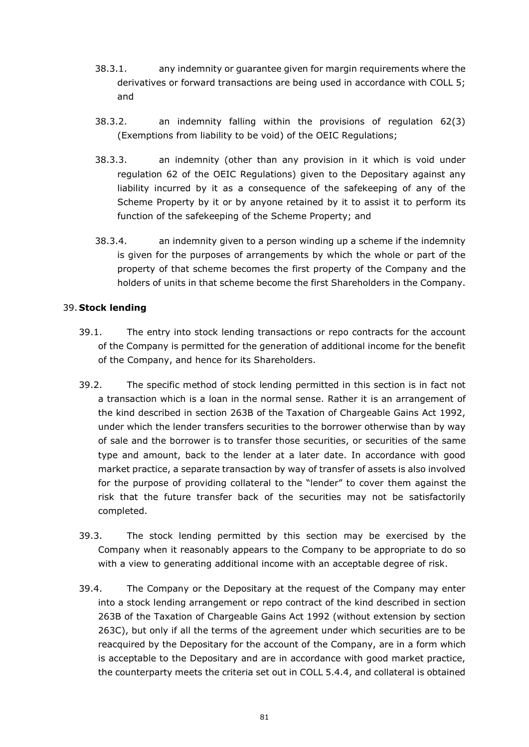- 38.3.1. any indemnity or guarantee given for margin requirements where the derivatives or forward transactions are being used in accordance with COLL 5; and
- 38.3.2. an indemnity falling within the provisions of regulation 62(3) (Exemptions from liability to be void) of the OEIC Regulations;
- 38.3.3. an indemnity (other than any provision in it which is void under regulation 62 of the OEIC Regulations) given to the Depositary against any liability incurred by it as a consequence of the safekeeping of any of the Scheme Property by it or by anyone retained by it to assist it to perform its function of the safekeeping of the Scheme Property; and
- 38.3.4. an indemnity given to a person winding up a scheme if the indemnity is given for the purposes of arrangements by which the whole or part of the property of that scheme becomes the first property of the Company and the holders of units in that scheme become the first Shareholders in the Company.

# <span id="page-80-0"></span>39. **Stock lending**

- 39.1. The entry into stock lending transactions or repo contracts for the account of the Company is permitted for the generation of additional income for the benefit of the Company, and hence for its Shareholders.
- 39.2. The specific method of stock lending permitted in this section is in fact not a transaction which is a loan in the normal sense. Rather it is an arrangement of the kind described in section 263B of the Taxation of Chargeable Gains Act 1992, under which the lender transfers securities to the borrower otherwise than by way of sale and the borrower is to transfer those securities, or securities of the same type and amount, back to the lender at a later date. In accordance with good market practice, a separate transaction by way of transfer of assets is also involved for the purpose of providing collateral to the "lender" to cover them against the risk that the future transfer back of the securities may not be satisfactorily completed.
- 39.3. The stock lending permitted by this section may be exercised by the Company when it reasonably appears to the Company to be appropriate to do so with a view to generating additional income with an acceptable degree of risk.
- 39.4. The Company or the Depositary at the request of the Company may enter into a stock lending arrangement or repo contract of the kind described in section 263B of the Taxation of Chargeable Gains Act 1992 (without extension by section 263C), but only if all the terms of the agreement under which securities are to be reacquired by the Depositary for the account of the Company, are in a form which is acceptable to the Depositary and are in accordance with good market practice, the counterparty meets the criteria set out in COLL 5.4.4, and collateral is obtained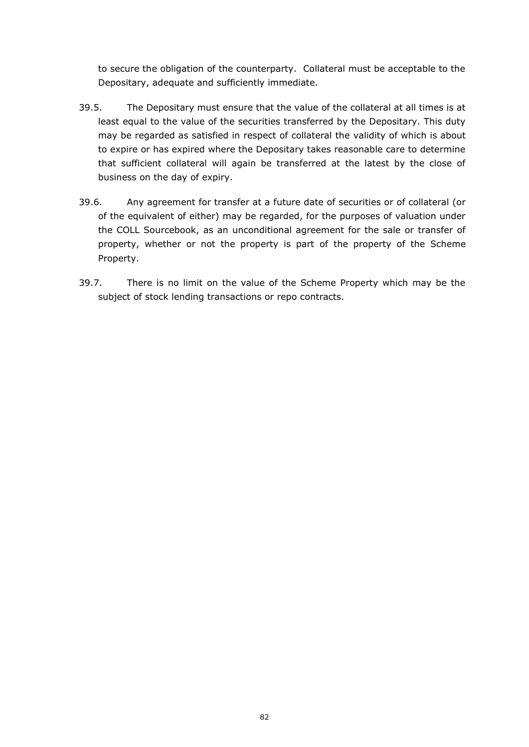to secure the obligation of the counterparty. Collateral must be acceptable to the Depositary, adequate and sufficiently immediate.

- 39.5. The Depositary must ensure that the value of the collateral at all times is at least equal to the value of the securities transferred by the Depositary. This duty may be regarded as satisfied in respect of collateral the validity of which is about to expire or has expired where the Depositary takes reasonable care to determine that sufficient collateral will again be transferred at the latest by the close of business on the day of expiry.
- 39.6. Any agreement for transfer at a future date of securities or of collateral (or of the equivalent of either) may be regarded, for the purposes of valuation under the COLL Sourcebook, as an unconditional agreement for the sale or transfer of property, whether or not the property is part of the property of the Scheme Property.
- 39.7. There is no limit on the value of the Scheme Property which may be the subject of stock lending transactions or repo contracts.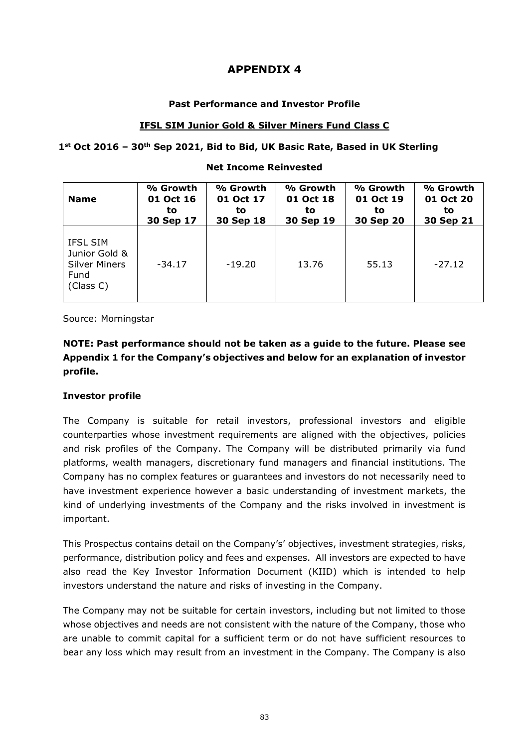### **Past Performance and Investor Profile**

### **IFSL SIM Junior Gold & Silver Miners Fund Class C**

#### **1st Oct 2016 – 30th Sep 2021, Bid to Bid, UK Basic Rate, Based in UK Sterling**

#### **Name % Growth 01 Oct 16 to 30 Sep 17 % Growth 01 Oct 17 to 30 Sep 18 % Growth 01 Oct 18 to 30 Sep 19 % Growth 01 Oct 19 to 30 Sep 20 % Growth 01 Oct 20 to 30 Sep 21** IFSL SIM Junior Gold & Silver Miners Fund (Class C) -34.17 | -19.20 | 13.76 | 55.13 | -27.12

### **Net Income Reinvested**

Source: Morningstar

# **NOTE: Past performance should not be taken as a guide to the future. Please see Appendix 1 for the Company's objectives and below for an explanation of investor profile.**

## **Investor profile**

The Company is suitable for retail investors, professional investors and eligible counterparties whose investment requirements are aligned with the objectives, policies and risk profiles of the Company. The Company will be distributed primarily via fund platforms, wealth managers, discretionary fund managers and financial institutions. The Company has no complex features or guarantees and investors do not necessarily need to have investment experience however a basic understanding of investment markets, the kind of underlying investments of the Company and the risks involved in investment is important.

This Prospectus contains detail on the Company's' objectives, investment strategies, risks, performance, distribution policy and fees and expenses. All investors are expected to have also read the Key Investor Information Document (KIID) which is intended to help investors understand the nature and risks of investing in the Company.

The Company may not be suitable for certain investors, including but not limited to those whose objectives and needs are not consistent with the nature of the Company, those who are unable to commit capital for a sufficient term or do not have sufficient resources to bear any loss which may result from an investment in the Company. The Company is also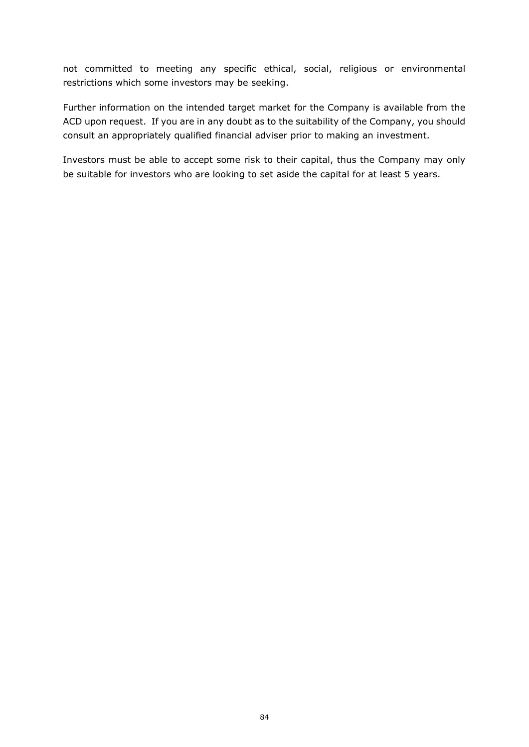not committed to meeting any specific ethical, social, religious or environmental restrictions which some investors may be seeking.

Further information on the intended target market for the Company is available from the ACD upon request. If you are in any doubt as to the suitability of the Company, you should consult an appropriately qualified financial adviser prior to making an investment.

Investors must be able to accept some risk to their capital, thus the Company may only be suitable for investors who are looking to set aside the capital for at least 5 years.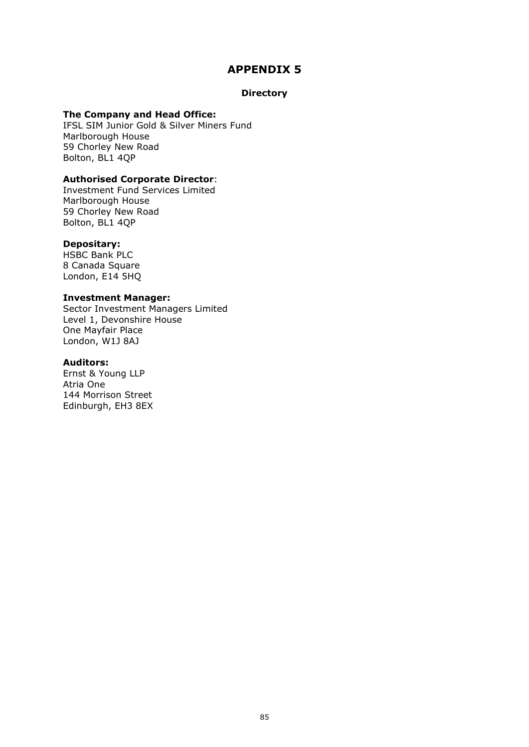#### **Directory**

#### **The Company and Head Office:**

IFSL SIM Junior Gold & Silver Miners Fund Marlborough House 59 Chorley New Road Bolton, BL1 4QP

#### **Authorised Corporate Director**:

Investment Fund Services Limited Marlborough House 59 Chorley New Road Bolton, BL1 4QP

#### **Depositary:**

HSBC Bank PLC 8 Canada Square London, E14 5HQ

#### **Investment Manager:**

Sector Investment Managers Limited Level 1, Devonshire House One Mayfair Place London, W1J 8AJ

#### **Auditors:**

Ernst & Young LLP Atria One 144 Morrison Street Edinburgh, EH3 8EX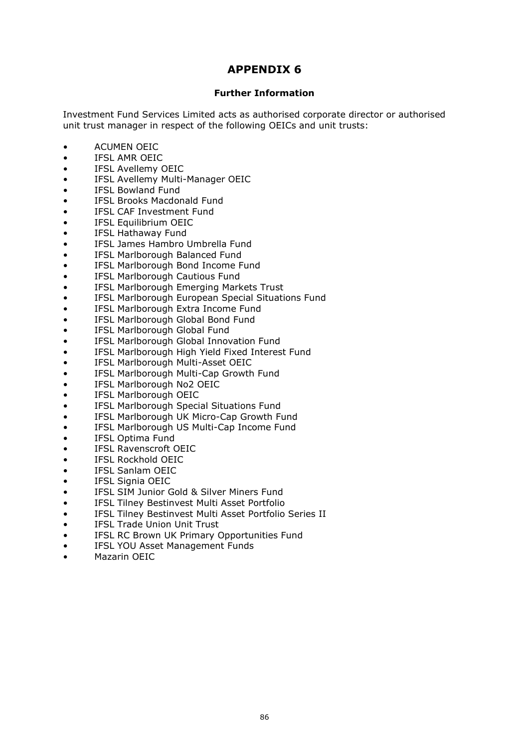#### **Further Information**

Investment Fund Services Limited acts as authorised corporate director or authorised unit trust manager in respect of the following OEICs and unit trusts:

- ACUMEN OEIC
- IFSL AMR OEIC
- IFSL Avellemy OEIC
- IFSL Avellemy Multi-Manager OEIC
- IFSL Bowland Fund
- IFSL Brooks Macdonald Fund
- IFSL CAF Investment Fund
- IFSL Equilibrium OEIC
- IFSL Hathaway Fund
- IFSL James Hambro Umbrella Fund
- IFSL Marlborough Balanced Fund
- IFSL Marlborough Bond Income Fund
- IFSL Marlborough Cautious Fund
- IFSL Marlborough Emerging Markets Trust
- IFSL Marlborough European Special Situations Fund
- IFSL Marlborough Extra Income Fund
- IFSL Marlborough Global Bond Fund
- IFSL Marlborough Global Fund
- IFSL Marlborough Global Innovation Fund
- IFSL Marlborough High Yield Fixed Interest Fund
- IFSL Marlborough Multi-Asset OEIC
- IFSL Marlborough Multi-Cap Growth Fund
- IFSL Marlborough No2 OEIC
- IFSL Marlborough OEIC
- IFSL Marlborough Special Situations Fund
- IFSL Marlborough UK Micro-Cap Growth Fund
- IFSL Marlborough US Multi-Cap Income Fund
- IFSL Optima Fund
- IFSL Ravenscroft OEIC
- IFSL Rockhold OEIC
- IFSL Sanlam OEIC
- IFSL Signia OEIC
- IFSL SIM Junior Gold & Silver Miners Fund
- IFSL Tilney Bestinvest Multi Asset Portfolio
- IFSL Tilney Bestinvest Multi Asset Portfolio Series II
- IFSL Trade Union Unit Trust
- IFSL RC Brown UK Primary Opportunities Fund
- IFSL YOU Asset Management Funds
- Mazarin OEIC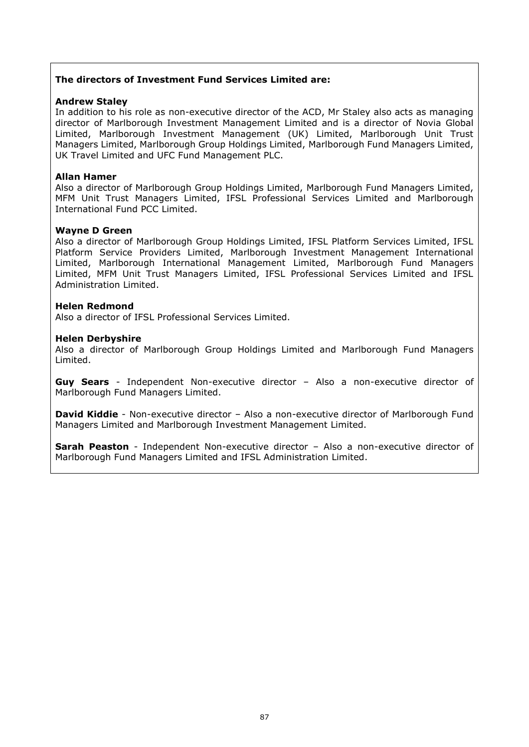### **The directors of Investment Fund Services Limited are:**

#### **Andrew Staley**

In addition to his role as non-executive director of the ACD, Mr Staley also acts as managing director of Marlborough Investment Management Limited and is a director of Novia Global Limited, Marlborough Investment Management (UK) Limited, Marlborough Unit Trust Managers Limited, Marlborough Group Holdings Limited, Marlborough Fund Managers Limited, UK Travel Limited and UFC Fund Management PLC.

#### **Allan Hamer**

Also a director of Marlborough Group Holdings Limited, Marlborough Fund Managers Limited, MFM Unit Trust Managers Limited, IFSL Professional Services Limited and Marlborough International Fund PCC Limited.

### **Wayne D Green**

Also a director of Marlborough Group Holdings Limited, IFSL Platform Services Limited, IFSL Platform Service Providers Limited, Marlborough Investment Management International Limited, Marlborough International Management Limited, Marlborough Fund Managers Limited, MFM Unit Trust Managers Limited, IFSL Professional Services Limited and IFSL Administration Limited.

### **Helen Redmond**

Also a director of IFSL Professional Services Limited.

### **Helen Derbyshire**

Also a director of Marlborough Group Holdings Limited and Marlborough Fund Managers Limited.

**Guy Sears** - Independent Non-executive director – Also a non-executive director of Marlborough Fund Managers Limited.

**David Kiddie** - Non-executive director - Also a non-executive director of Marlborough Fund Managers Limited and Marlborough Investment Management Limited.

**Sarah Peaston** - Independent Non-executive director – Also a non-executive director of Marlborough Fund Managers Limited and IFSL Administration Limited.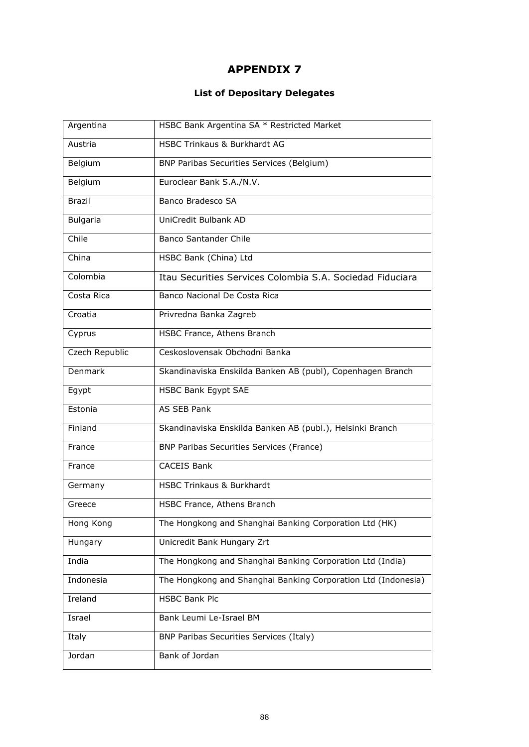# **List of Depositary Delegates**

| Argentina       | HSBC Bank Argentina SA * Restricted Market                    |
|-----------------|---------------------------------------------------------------|
| Austria         | <b>HSBC Trinkaus &amp; Burkhardt AG</b>                       |
| Belgium         | BNP Paribas Securities Services (Belgium)                     |
| Belgium         | Euroclear Bank S.A./N.V.                                      |
| <b>Brazil</b>   | Banco Bradesco SA                                             |
| <b>Bulgaria</b> | UniCredit Bulbank AD                                          |
| Chile           | <b>Banco Santander Chile</b>                                  |
| China           | HSBC Bank (China) Ltd                                         |
| Colombia        | Itau Securities Services Colombia S.A. Sociedad Fiduciara     |
| Costa Rica      | Banco Nacional De Costa Rica                                  |
| Croatia         | Privredna Banka Zagreb                                        |
| Cyprus          | HSBC France, Athens Branch                                    |
| Czech Republic  | Ceskoslovensak Obchodni Banka                                 |
| Denmark         | Skandinaviska Enskilda Banken AB (publ), Copenhagen Branch    |
| Egypt           | HSBC Bank Egypt SAE                                           |
| Estonia         | AS SEB Pank                                                   |
| Finland         | Skandinaviska Enskilda Banken AB (publ.), Helsinki Branch     |
| France          | <b>BNP Paribas Securities Services (France)</b>               |
| France          | <b>CACEIS Bank</b>                                            |
| Germany         | <b>HSBC Trinkaus &amp; Burkhardt</b>                          |
| Greece          | HSBC France, Athens Branch                                    |
| Hong Kong       | The Hongkong and Shanghai Banking Corporation Ltd (HK)        |
| Hungary         | Unicredit Bank Hungary Zrt                                    |
| India           | The Hongkong and Shanghai Banking Corporation Ltd (India)     |
| Indonesia       | The Hongkong and Shanghai Banking Corporation Ltd (Indonesia) |
| Ireland         | <b>HSBC Bank Plc</b>                                          |
| Israel          | Bank Leumi Le-Israel BM                                       |
| Italy           | <b>BNP Paribas Securities Services (Italy)</b>                |
| Jordan          | Bank of Jordan                                                |